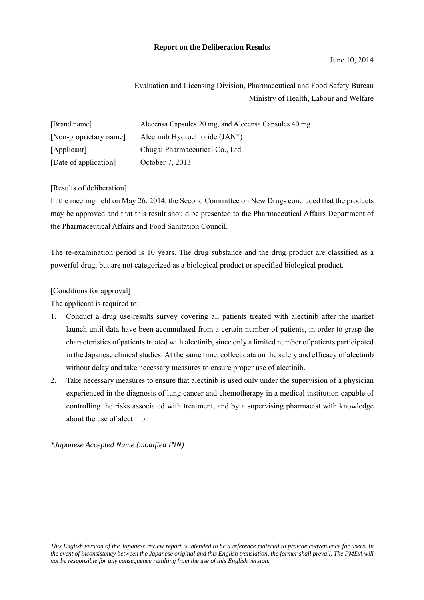### **Report on the Deliberation Results**

Evaluation and Licensing Division, Pharmaceutical and Food Safety Bureau Ministry of Health, Labour and Welfare

| [Brand name]           | Alecensa Capsules 20 mg, and Alecensa Capsules 40 mg |
|------------------------|------------------------------------------------------|
| [Non-proprietary name] | Alectinib Hydrochloride $(JAN^*)$                    |
| [Applicant]            | Chugai Pharmaceutical Co., Ltd.                      |
| [Date of application]  | October 7, 2013                                      |

### [Results of deliberation]

In the meeting held on May 26, 2014, the Second Committee on New Drugs concluded that the products may be approved and that this result should be presented to the Pharmaceutical Affairs Department of the Pharmaceutical Affairs and Food Sanitation Council.

The re-examination period is 10 years. The drug substance and the drug product are classified as a powerful drug, but are not categorized as a biological product or specified biological product.

[Conditions for approval]

The applicant is required to:

- 1. Conduct a drug use-results survey covering all patients treated with alectinib after the market launch until data have been accumulated from a certain number of patients, in order to grasp the characteristics of patients treated with alectinib, since only a limited number of patients participated in the Japanese clinical studies. At the same time, collect data on the safety and efficacy of alectinib without delay and take necessary measures to ensure proper use of alectinib.
- 2. Take necessary measures to ensure that alectinib is used only under the supervision of a physician experienced in the diagnosis of lung cancer and chemotherapy in a medical institution capable of controlling the risks associated with treatment, and by a supervising pharmacist with knowledge about the use of alectinib.

*\*Japanese Accepted Name (modified INN)*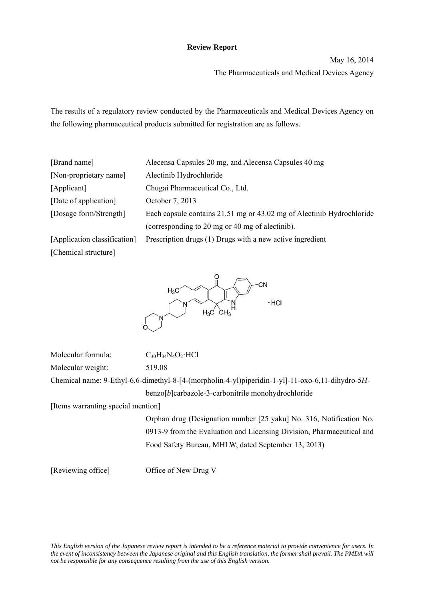### **Review Report**

May 16, 2014 The Pharmaceuticals and Medical Devices Agency

The results of a regulatory review conducted by the Pharmaceuticals and Medical Devices Agency on the following pharmaceutical products submitted for registration are as follows.

| [Brand name]                 | Alecensa Capsules 20 mg, and Alecensa Capsules 40 mg                  |
|------------------------------|-----------------------------------------------------------------------|
| [Non-proprietary name]       | Alectinib Hydrochloride                                               |
| [Applicant]                  | Chugai Pharmaceutical Co., Ltd.                                       |
| [Date of application]        | October 7, 2013                                                       |
| [Dosage form/Strength]       | Each capsule contains 21.51 mg or 43.02 mg of Alectinib Hydrochloride |
|                              | (corresponding to 20 mg or 40 mg of alectinib).                       |
| [Application classification] | Prescription drugs (1) Drugs with a new active ingredient             |
| [Chemical structure]         |                                                                       |



Molecular formula:  $C_{30}H_{34}N_4O_2 \cdot HCl$ Molecular weight: 519.08

Chemical name: 9-Ethyl-6,6-dimethyl-8-[4-(morpholin-4-yl)piperidin-1-yl]-11-oxo-6,11-dihydro-5*H*benzo[*b*]carbazole-3-carbonitrile monohydrochloride

[Items warranting special mention]

 Orphan drug (Designation number [25 yaku] No. 316, Notification No. 0913-9 from the Evaluation and Licensing Division, Pharmaceutical and Food Safety Bureau, MHLW, dated September 13, 2013)

[Reviewing office] Office of New Drug V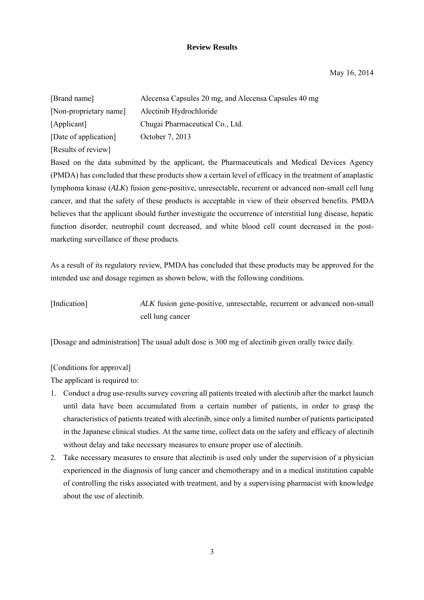### **Review Results**

May 16, 2014

| [Brand name]           | Alecensa Capsules 20 mg, and Alecensa Capsules 40 mg |
|------------------------|------------------------------------------------------|
| [Non-proprietary name] | Alectinib Hydrochloride                              |
| [Applicant]            | Chugai Pharmaceutical Co., Ltd.                      |
| [Date of application]  | October 7, 2013                                      |
| [Results of review]    |                                                      |

Based on the data submitted by the applicant, the Pharmaceuticals and Medical Devices Agency (PMDA) has concluded that these products show a certain level of efficacy in the treatment of anaplastic lymphoma kinase (*ALK*) fusion gene-positive, unresectable, recurrent or advanced non-small cell lung cancer, and that the safety of these products is acceptable in view of their observed benefits. PMDA believes that the applicant should further investigate the occurrence of interstitial lung disease, hepatic function disorder, neutrophil count decreased, and white blood cell count decreased in the postmarketing surveillance of these products.

As a result of its regulatory review, PMDA has concluded that these products may be approved for the intended use and dosage regimen as shown below, with the following conditions.

[Indication] *ALK* fusion gene-positive, unresectable, recurrent or advanced non-small cell lung cancer

[Dosage and administration] The usual adult dose is 300 mg of alectinib given orally twice daily.

### [Conditions for approval]

The applicant is required to:

- 1. Conduct a drug use-results survey covering all patients treated with alectinib after the market launch until data have been accumulated from a certain number of patients, in order to grasp the characteristics of patients treated with alectinib, since only a limited number of patients participated in the Japanese clinical studies. At the same time, collect data on the safety and efficacy of alectinib without delay and take necessary measures to ensure proper use of alectinib.
- 2. Take necessary measures to ensure that alectinib is used only under the supervision of a physician experienced in the diagnosis of lung cancer and chemotherapy and in a medical institution capable of controlling the risks associated with treatment, and by a supervising pharmacist with knowledge about the use of alectinib.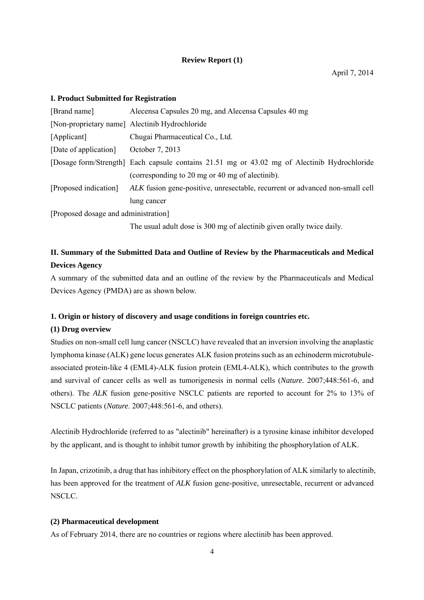### **Review Report (1)**

### **I. Product Submitted for Registration**

| [Brand name]                         | Alecensa Capsules 20 mg, and Alecensa Capsules 40 mg                                         |  |  |  |  |  |  |
|--------------------------------------|----------------------------------------------------------------------------------------------|--|--|--|--|--|--|
|                                      | [Non-proprietary name] Alectinib Hydrochloride                                               |  |  |  |  |  |  |
| [Applicant]                          | Chugai Pharmaceutical Co., Ltd.                                                              |  |  |  |  |  |  |
| [Date of application]                | October 7, 2013                                                                              |  |  |  |  |  |  |
|                                      | [Dosage form/Strength] Each capsule contains 21.51 mg or 43.02 mg of Alectinib Hydrochloride |  |  |  |  |  |  |
|                                      | (corresponding to 20 mg or 40 mg of alectinib).                                              |  |  |  |  |  |  |
| [Proposed indication]                | ALK fusion gene-positive, unresectable, recurrent or advanced non-small cell                 |  |  |  |  |  |  |
|                                      | lung cancer                                                                                  |  |  |  |  |  |  |
| [Proposed dosage and administration] |                                                                                              |  |  |  |  |  |  |

The usual adult dose is 300 mg of alectinib given orally twice daily.

# **II. Summary of the Submitted Data and Outline of Review by the Pharmaceuticals and Medical Devices Agency**

A summary of the submitted data and an outline of the review by the Pharmaceuticals and Medical Devices Agency (PMDA) are as shown below.

### **1. Origin or history of discovery and usage conditions in foreign countries etc.**

### **(1) Drug overview**

Studies on non-small cell lung cancer (NSCLC) have revealed that an inversion involving the anaplastic lymphoma kinase (ALK) gene locus generates ALK fusion proteins such as an echinoderm microtubuleassociated protein-like 4 (EML4)-ALK fusion protein (EML4-ALK), which contributes to the growth and survival of cancer cells as well as tumorigenesis in normal cells (*Nature.* 2007;448:561-6, and others). The *ALK* fusion gene-positive NSCLC patients are reported to account for 2% to 13% of NSCLC patients (*Nature*. 2007;448:561-6, and others).

Alectinib Hydrochloride (referred to as "alectinib" hereinafter) is a tyrosine kinase inhibitor developed by the applicant, and is thought to inhibit tumor growth by inhibiting the phosphorylation of ALK.

In Japan, crizotinib, a drug that has inhibitory effect on the phosphorylation of ALK similarly to alectinib, has been approved for the treatment of *ALK* fusion gene-positive, unresectable, recurrent or advanced NSCLC.

### **(2) Pharmaceutical development**

As of February 2014, there are no countries or regions where alectinib has been approved.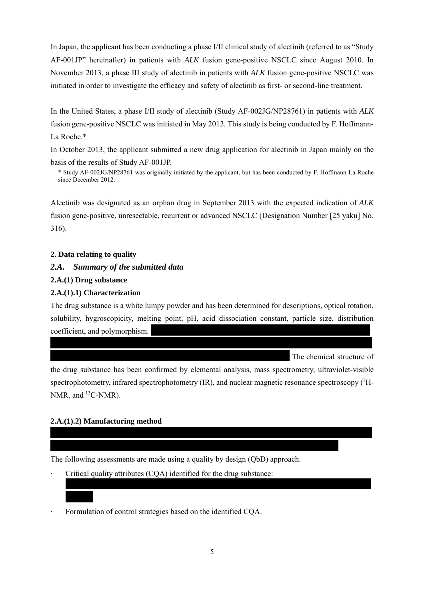In Japan, the applicant has been conducting a phase I/II clinical study of alectinib (referred to as "Study AF-001JP" hereinafter) in patients with *ALK* fusion gene-positive NSCLC since August 2010. In November 2013, a phase III study of alectinib in patients with *ALK* fusion gene-positive NSCLC was initiated in order to investigate the efficacy and safety of alectinib as first- or second-line treatment.

In the United States, a phase I/II study of alectinib (Study AF-002JG/NP28761) in patients with *ALK* fusion gene-positive NSCLC was initiated in May 2012. This study is being conducted by F. Hoffmann-La Roche.\*

In October 2013, the applicant submitted a new drug application for alectinib in Japan mainly on the basis of the results of Study AF-001JP.

\* Study AF-002JG/NP28761 was originally initiated by the applicant, but has been conducted by F. Hoffmann-La Roche since December 2012.

Alectinib was designated as an orphan drug in September 2013 with the expected indication of *ALK* fusion gene-positive, unresectable, recurrent or advanced NSCLC (Designation Number [25 yaku] No. 316).

### **2. Data relating to quality**

#### *2.A. Summary of the submitted data*

#### **2.A.(1) Drug substance**

### **2.A.(1).1) Characterization**

The drug substance is a white lumpy powder and has been determined for descriptions, optical rotation, solubility, hygroscopicity, melting point, pH, acid dissociation constant, particle size, distribution coefficient, and polymorphism.

The chemical structure of

the drug substance has been confirmed by elemental analysis, mass spectrometry, ultraviolet-visible spectrophotometry, infrared spectrophotometry  $(IR)$ , and nuclear magnetic resonance spectroscopy  $(^1H$ -NMR, and  $^{13}$ C-NMR).

#### **2.A.(1).2) Manufacturing method**

\*\*\*\*\*\*\*

The following assessments are made using a quality by design (QbD) approach.

\*\*\*\*\*\*\*\*\*\*\*\*\*\*\*\*\*\*\*\*\*\*\*\*\*\*\*\*\*\*\*\*\*\*\*\*\*\*\*\*\*\*\*\*\*\*\*\*\*\*\*\*\*\*\*\*\*\*\*\*\*\*\*\*\*\*\*\*\*\*\*\*\*\*\*\*\*

- Critical quality attributes (COA) identified for the drug substance:
- Formulation of control strategies based on the identified COA.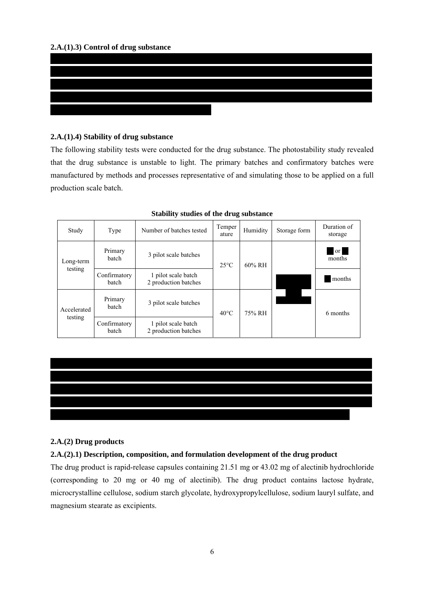

### **2.A.(1).4) Stability of drug substance**

The following stability tests were conducted for the drug substance. The photostability study revealed that the drug substance is unstable to light. The primary batches and confirmatory batches were manufactured by methods and processes representative of and simulating those to be applied on a full production scale batch.

| Study                           | Type                  | Number of batches tested                    | Temper<br>ature | Humidity  | Storage form | Duration of<br>storage  |
|---------------------------------|-----------------------|---------------------------------------------|-----------------|-----------|--------------|-------------------------|
| Long-term                       | Primary<br>hatch      | 3 pilot scale batches                       | $25^{\circ}$ C  | $60\%$ RH |              | <sub>or</sub><br>months |
| testing                         | Confirmatory<br>batch | 1 pilot scale batch<br>2 production batches |                 |           |              | months                  |
| Primary<br>batch<br>Accelerated |                       | 3 pilot scale batches                       | $40^{\circ}$ C  | 75% RH    |              | 6 months                |
| testing                         | Confirmatory<br>batch | 1 pilot scale batch<br>2 production batches |                 |           |              |                         |

**Stability studies of the drug substance** 



### **2.A.(2) Drug products**

### **2.A.(2).1) Description, composition, and formulation development of the drug product**

The drug product is rapid-release capsules containing 21.51 mg or 43.02 mg of alectinib hydrochloride (corresponding to 20 mg or 40 mg of alectinib). The drug product contains lactose hydrate, microcrystalline cellulose, sodium starch glycolate, hydroxypropylcellulose, sodium lauryl sulfate, and magnesium stearate as excipients.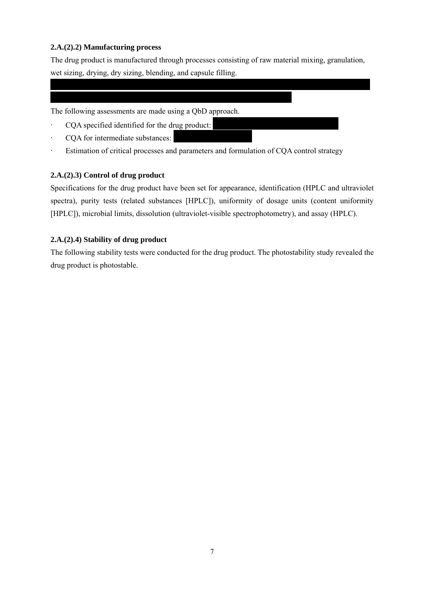### **2.A.(2).2) Manufacturing process**

The drug product is manufactured through processes consisting of raw material mixing, granulation, wet sizing, drying, dry sizing, blending, and capsule filling.

### The following assessments are made using a QbD approach.

\* \*\*\*\*\*\*\*\*\*\*\*\*\*\*\*\*\*\*\*\*\*\*\*\*\*\*\*\*\*\*\*\*\*\*\*\*\*\*\*\*\*\*\*\*\*\*\*\*\*\*\*\*\*\*\*\*\*\*\*\*

- CQA specified identified for the drug product:
- COA for intermediate substances:
- · Estimation of critical processes and parameters and formulation of CQA control strategy

### **2.A.(2).3) Control of drug product**

Specifications for the drug product have been set for appearance, identification (HPLC and ultraviolet spectra), purity tests (related substances [HPLC]), uniformity of dosage units (content uniformity [HPLC]), microbial limits, dissolution (ultraviolet-visible spectrophotometry), and assay (HPLC).

### **2.A.(2).4) Stability of drug product**

The following stability tests were conducted for the drug product. The photostability study revealed the drug product is photostable.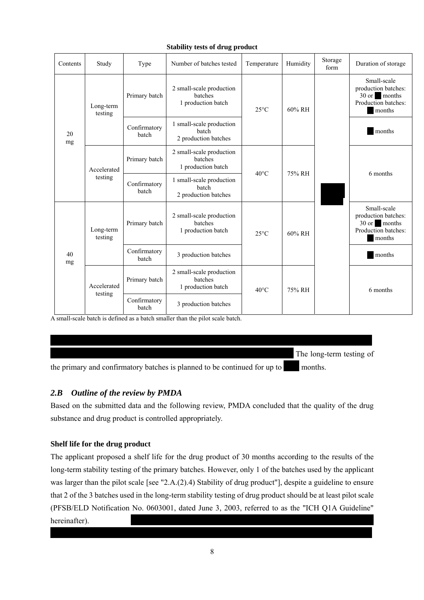### **Stability tests of drug product**

| Contents             | Study                                                                                     | Type                                                      | Number of batches tested                                  | Temperature    | Humidity | Storage<br>form | Duration of storage                                                                 |
|----------------------|-------------------------------------------------------------------------------------------|-----------------------------------------------------------|-----------------------------------------------------------|----------------|----------|-----------------|-------------------------------------------------------------------------------------|
| Long-term<br>testing |                                                                                           | Primary batch                                             | 2 small-scale production<br>batches<br>1 production batch | $25^{\circ}$ C | 60% RH   |                 | Small-scale<br>production batches:<br>30 or months<br>Production batches:<br>months |
| 20<br>mg             |                                                                                           | Confirmatory<br>hatch                                     | 1 small-scale production<br>batch<br>2 production batches |                |          |                 | months                                                                              |
|                      | 2 small-scale production<br>batches<br>Primary batch<br>1 production batch<br>Accelerated |                                                           | $40^{\circ}$ C                                            | 75% RH         |          | 6 months        |                                                                                     |
| testing              | Confirmatory<br>batch                                                                     | 1 small-scale production<br>batch<br>2 production batches |                                                           |                |          |                 |                                                                                     |
| Long-term<br>testing |                                                                                           | Primary batch                                             | 2 small-scale production<br>batches<br>1 production batch | $25^{\circ}$ C | 60% RH   |                 | Small-scale<br>production batches:<br>30 or months<br>Production batches:<br>months |
| 40<br>mg             | Confirmatory<br>batch                                                                     | 3 production batches                                      |                                                           |                |          | months          |                                                                                     |
|                      | Accelerated                                                                               | Primary batch                                             | 2 small-scale production<br>batches<br>1 production batch | $40^{\circ}$ C | 75% RH   |                 | 6 months                                                                            |
| testing              |                                                                                           | Confirmatory<br>3 production batches<br>batch             |                                                           |                |          |                 |                                                                                     |

A small-scale batch is defined as a batch smaller than the pilot scale batch.

The long-term testing of

the primary and confirmatory batches is planned to be continued for up to  $\blacksquare$  months.

# *2.B Outline of the review by PMDA*

Based on the submitted data and the following review, PMDA concluded that the quality of the drug substance and drug product is controlled appropriately.

### **Shelf life for the drug product**

The applicant proposed a shelf life for the drug product of 30 months according to the results of the long-term stability testing of the primary batches. However, only 1 of the batches used by the applicant was larger than the pilot scale [see "2.A.(2).4) Stability of drug product"], despite a guideline to ensure that 2 of the 3 batches used in the long-term stability testing of drug product should be at least pilot scale (PFSB/ELD Notification No. 0603001, dated June 3, 2003, referred to as the "ICH Q1A Guideline" hereinafter).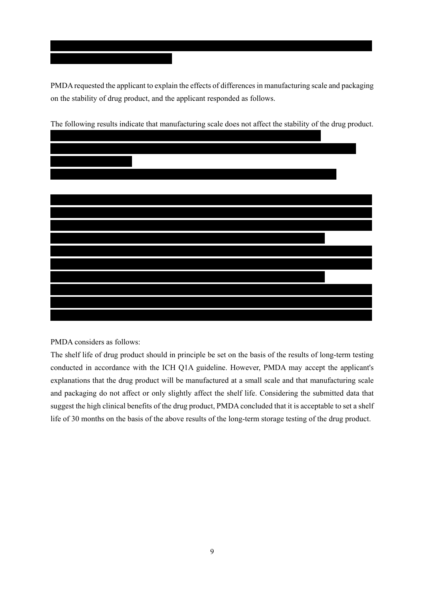PMDA requested the applicant to explain the effects of differences in manufacturing scale and packaging on the stability of drug product, and the applicant responded as follows.



The following results indicate that manufacturing scale does not affect the stability of the drug product.

PMDA considers as follows:

\*\*\*\*\*\*\*\*\*\*\*\*\*\*\*\*\*\*\*

The shelf life of drug product should in principle be set on the basis of the results of long-term testing conducted in accordance with the ICH Q1A guideline. However, PMDA may accept the applicant's explanations that the drug product will be manufactured at a small scale and that manufacturing scale and packaging do not affect or only slightly affect the shelf life. Considering the submitted data that suggest the high clinical benefits of the drug product, PMDA concluded that it is acceptable to set a shelf life of 30 months on the basis of the above results of the long-term storage testing of the drug product.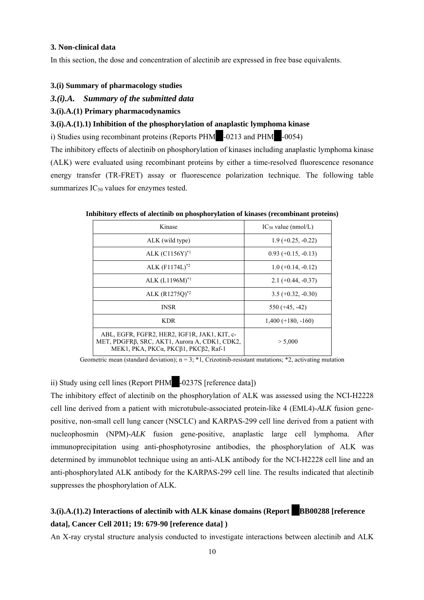#### **3. Non-clinical data**

In this section, the dose and concentration of alectinib are expressed in free base equivalents.

#### **3.(i) Summary of pharmacology studies**

#### *3.(i).A. Summary of the submitted data*

#### **3.(i).A.(1) Primary pharmacodynamics**

### **3.(i).A.(1).1) Inhibition of the phosphorylation of anaplastic lymphoma kinase**

i) Studies using recombinant proteins (Reports PHM $\sim$ -0213 and PHM $\sim$ -0054)

The inhibitory effects of alectinib on phosphorylation of kinases including anaplastic lymphoma kinase (ALK) were evaluated using recombinant proteins by either a time-resolved fluorescence resonance energy transfer (TR-FRET) assay or fluorescence polarization technique. The following table summarizes  $IC_{50}$  values for enzymes tested.

| Kinase                                                                                                                                | $IC_{50}$ value (nmol/L) |
|---------------------------------------------------------------------------------------------------------------------------------------|--------------------------|
| ALK (wild type)                                                                                                                       | $1.9 (+0.25, -0.22)$     |
| ALK $(C1156Y)^{*1}$                                                                                                                   | $0.93 (+0.15, -0.13)$    |
| ALK $(F1174L)^{*2}$                                                                                                                   | $1.0 (+0.14, -0.12)$     |
| ALK $(L1196M)^{*1}$                                                                                                                   | $2.1 (+0.44, -0.37)$     |
| ALK $(R1275Q)^{*2}$                                                                                                                   | $3.5 (+0.32, -0.30)$     |
| <b>INSR</b>                                                                                                                           | $550 (+45, -42)$         |
| <b>KDR</b>                                                                                                                            | $1,400 (+180, -160)$     |
| ABL, EGFR, FGFR2, HER2, IGF1R, JAK1, KIT, c-<br>MET, PDGFRβ, SRC, AKT1, Aurora A, CDK1, CDK2,<br>MEK1, PKA, PKCα, PKCβ1, PKCβ2, Raf-1 | > 5,000                  |

**Inhibitory effects of alectinib on phosphorylation of kinases (recombinant proteins)** 

Geometric mean (standard deviation);  $n = 3$ ; \*1, Crizotinib-resistant mutations; \*2, activating mutation

### ii) Study using cell lines (Report PHM $\;$ -0237S [reference data])

The inhibitory effect of alectinib on the phosphorylation of ALK was assessed using the NCI-H2228 cell line derived from a patient with microtubule-associated protein-like 4 (EML4)-*ALK* fusion genepositive, non-small cell lung cancer (NSCLC) and KARPAS-299 cell line derived from a patient with nucleophosmin (NPM)-*ALK* fusion gene-positive, anaplastic large cell lymphoma. After immunoprecipitation using anti-phosphotyrosine antibodies, the phosphorylation of ALK was determined by immunoblot technique using an anti-ALK antibody for the NCI-H2228 cell line and an anti-phosphorylated ALK antibody for the KARPAS-299 cell line. The results indicated that alectinib suppresses the phosphorylation of ALK.

# **3.(i).A.(1).2) Interactions of alectinib with ALK kinase domains (Report BB00288 [reference data], Cancer Cell 2011; 19: 679-90 [reference data] )**

An X-ray crystal structure analysis conducted to investigate interactions between alectinib and ALK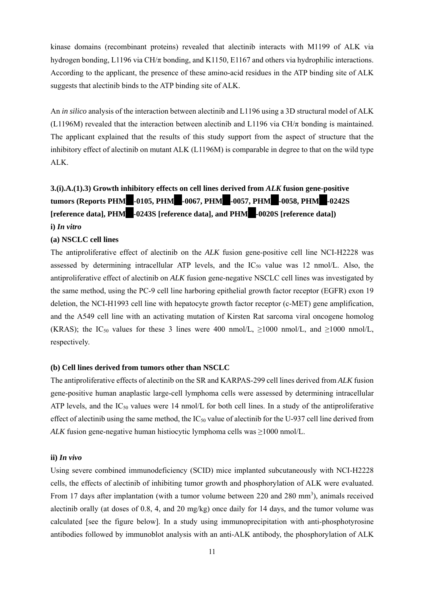kinase domains (recombinant proteins) revealed that alectinib interacts with M1199 of ALK via hydrogen bonding, L1196 via CH/π bonding, and K1150, E1167 and others via hydrophilic interactions. According to the applicant, the presence of these amino-acid residues in the ATP binding site of ALK suggests that alectinib binds to the ATP binding site of ALK.

An *in silico* analysis of the interaction between alectinib and L1196 using a 3D structural model of ALK (L1196M) revealed that the interaction between alectinib and L1196 via  $CH/\pi$  bonding is maintained. The applicant explained that the results of this study support from the aspect of structure that the inhibitory effect of alectinib on mutant ALK (L1196M) is comparable in degree to that on the wild type ALK.

# **3.(i).A.(1).3) Growth inhibitory effects on cell lines derived from** *ALK* **fusion gene-positive tumors (Reports PHM \*-0105, PHM \*-0067, PHM \*-0057, PHM \*-0058, PHM \*-0242S [reference data], PHM -0243S [reference data], and PHM -0020S [reference data]) i)** *In vitro*

#### **(a) NSCLC cell lines**

The antiproliferative effect of alectinib on the *ALK* fusion gene-positive cell line NCI-H2228 was assessed by determining intracellular ATP levels, and the  $IC_{50}$  value was 12 nmol/L. Also, the antiproliferative effect of alectinib on *ALK* fusion gene-negative NSCLC cell lines was investigated by the same method, using the PC-9 cell line harboring epithelial growth factor receptor (EGFR) exon 19 deletion, the NCI-H1993 cell line with hepatocyte growth factor receptor (c-MET) gene amplification, and the A549 cell line with an activating mutation of Kirsten Rat sarcoma viral oncogene homolog (KRAS); the IC<sub>50</sub> values for these 3 lines were 400 nmol/L,  $\geq 1000$  nmol/L, and  $\geq 1000$  nmol/L, respectively.

#### **(b) Cell lines derived from tumors other than NSCLC**

The antiproliferative effects of alectinib on the SR and KARPAS-299 cell lines derived from *ALK* fusion gene-positive human anaplastic large-cell lymphoma cells were assessed by determining intracellular ATP levels, and the  $IC_{50}$  values were 14 nmol/L for both cell lines. In a study of the antiproliferative effect of alectinib using the same method, the  $IC_{50}$  value of alectinib for the U-937 cell line derived from *ALK* fusion gene-negative human histiocytic lymphoma cells was ≥1000 nmol/L.

#### **ii)** *In vivo*

Using severe combined immunodeficiency (SCID) mice implanted subcutaneously with NCI-H2228 cells, the effects of alectinib of inhibiting tumor growth and phosphorylation of ALK were evaluated. From 17 days after implantation (with a tumor volume between 220 and 280 mm<sup>3</sup>), animals received alectinib orally (at doses of 0.8, 4, and 20 mg/kg) once daily for 14 days, and the tumor volume was calculated [see the figure below]. In a study using immunoprecipitation with anti-phosphotyrosine antibodies followed by immunoblot analysis with an anti-ALK antibody, the phosphorylation of ALK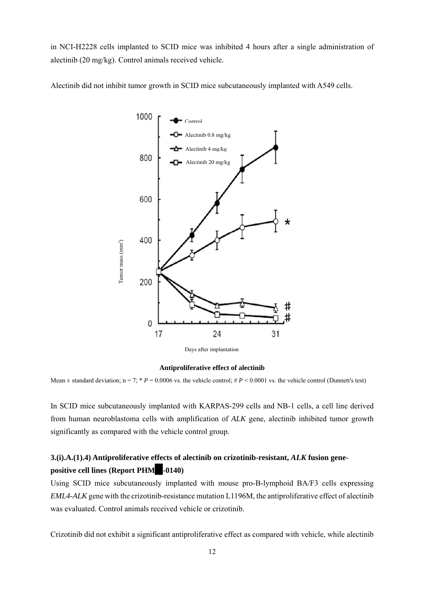in NCI-H2228 cells implanted to SCID mice was inhibited 4 hours after a single administration of alectinib (20 mg/kg). Control animals received vehicle.

Alectinib did not inhibit tumor growth in SCID mice subcutaneously implanted with A549 cells.



Days after implantation

#### **Antiproliferative effect of alectinib**

Mean  $\pm$  standard deviation; n = 7; \* *P* = 0.0006 vs. the vehicle control; # *P* < 0.0001 vs. the vehicle control (Dunnett's test)

In SCID mice subcutaneously implanted with KARPAS-299 cells and NB-1 cells, a cell line derived from human neuroblastoma cells with amplification of *ALK* gene, alectinib inhibited tumor growth significantly as compared with the vehicle control group.

# **3.(i).A.(1).4) Antiproliferative effects of alectinib on crizotinib-resistant,** *ALK* **fusion genepositive cell lines (Report PHM -0140)**

Using SCID mice subcutaneously implanted with mouse pro-B-lymphoid BA/F3 cells expressing *EML4-ALK* gene with the crizotinib-resistance mutation L1196M, the antiproliferative effect of alectinib was evaluated. Control animals received vehicle or crizotinib.

Crizotinib did not exhibit a significant antiproliferative effect as compared with vehicle, while alectinib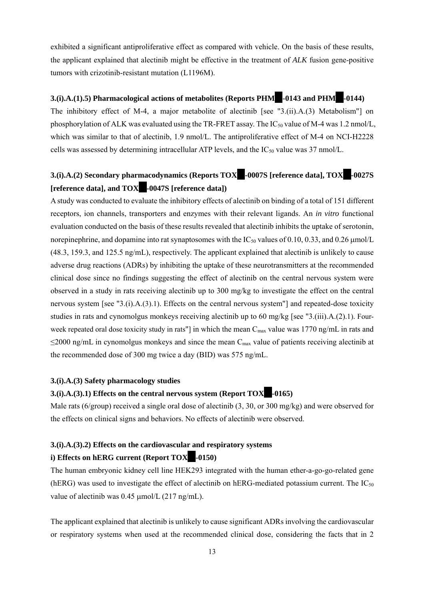exhibited a significant antiproliferative effect as compared with vehicle. On the basis of these results, the applicant explained that alectinib might be effective in the treatment of *ALK* fusion gene-positive tumors with crizotinib-resistant mutation (L1196M).

### **3.(i).A.(1).5) Pharmacological actions of metabolites (Reports PHM**  $-0143$  **and PHM**  $-0144$ **)**

The inhibitory effect of M-4, a major metabolite of alectinib [see "3.(ii).A.(3) Metabolism"] on phosphorylation of ALK was evaluated using the TR-FRET assay. The  $IC_{50}$  value of M-4 was 1.2 nmol/L, which was similar to that of alectinib, 1.9 nmol/L. The antiproliferative effect of M-4 on NCI-H2228 cells was assessed by determining intracellular ATP levels, and the  $IC_{50}$  value was 37 nmol/L.

# **3.(i).A.(2) Secondary pharmacodynamics (Reports TOX\*\*-0007S [reference data], TOX\*\*-0027S [**reference data], and **TOX** -0047S [reference data])

A study was conducted to evaluate the inhibitory effects of alectinib on binding of a total of 151 different receptors, ion channels, transporters and enzymes with their relevant ligands. An *in vitro* functional evaluation conducted on the basis of these results revealed that alectinib inhibits the uptake of serotonin, norepinephrine, and dopamine into rat synaptosomes with the  $IC_{50}$  values of 0.10, 0.33, and 0.26  $\mu$ mol/L (48.3, 159.3, and 125.5 ng/mL), respectively. The applicant explained that alectinib is unlikely to cause adverse drug reactions (ADRs) by inhibiting the uptake of these neurotransmitters at the recommended clinical dose since no findings suggesting the effect of alectinib on the central nervous system were observed in a study in rats receiving alectinib up to 300 mg/kg to investigate the effect on the central nervous system [see "3.(i).A.(3).1). Effects on the central nervous system"] and repeated-dose toxicity studies in rats and cynomolgus monkeys receiving alectinib up to 60 mg/kg [see "3.(iii).A.(2).1). Fourweek repeated oral dose toxicity study in rats"] in which the mean  $C_{\text{max}}$  value was 1770 ng/mL in rats and  $\leq$ 2000 ng/mL in cynomolgus monkeys and since the mean C<sub>max</sub> value of patients receiving alectinib at the recommended dose of 300 mg twice a day (BID) was 575 ng/mL.

### **3.(i).A.(3) Safety pharmacology studies**

### **3.(i).A.(3).1) Effects on the central nervous system (Report TOX -0165)**

Male rats (6/group) received a single oral dose of alectinib (3, 30, or 300 mg/kg) and were observed for the effects on clinical signs and behaviors. No effects of alectinib were observed.

## **3.(i).A.(3).2) Effects on the cardiovascular and respiratory systems i) Effects on hERG current (Report TOX -0150)**

The human embryonic kidney cell line HEK293 integrated with the human ether-a-go-go-related gene (hERG) was used to investigate the effect of alectinib on hERG-mediated potassium current. The  $IC_{50}$ value of alectinib was  $0.45 \mu$ mol/L (217 ng/mL).

The applicant explained that alectinib is unlikely to cause significant ADRs involving the cardiovascular or respiratory systems when used at the recommended clinical dose, considering the facts that in 2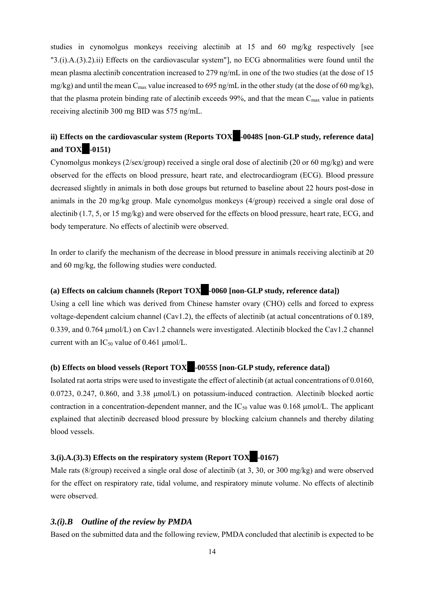studies in cynomolgus monkeys receiving alectinib at 15 and 60 mg/kg respectively [see "3.(i).A.(3).2).ii) Effects on the cardiovascular system"], no ECG abnormalities were found until the mean plasma alectinib concentration increased to 279 ng/mL in one of the two studies (at the dose of 15  $mg/kg$ ) and until the mean C<sub>max</sub> value increased to 695 ng/mL in the other study (at the dose of 60 mg/kg), that the plasma protein binding rate of alectinib exceeds 99%, and that the mean  $C_{\text{max}}$  value in patients receiving alectinib 300 mg BID was 575 ng/mL.

# ii) Effects on the cardiovascular system (Reports TOX<sup>4</sup>-0048S [non-GLP study, reference data] **and TOX** -0151)

Cynomolgus monkeys (2/sex/group) received a single oral dose of alectinib (20 or 60 mg/kg) and were observed for the effects on blood pressure, heart rate, and electrocardiogram (ECG). Blood pressure decreased slightly in animals in both dose groups but returned to baseline about 22 hours post-dose in animals in the 20 mg/kg group. Male cynomolgus monkeys (4/group) received a single oral dose of alectinib (1.7, 5, or 15 mg/kg) and were observed for the effects on blood pressure, heart rate, ECG, and body temperature. No effects of alectinib were observed.

In order to clarify the mechanism of the decrease in blood pressure in animals receiving alectinib at 20 and 60 mg/kg, the following studies were conducted.

### **(a) Effects on calcium channels (Report TOX\*\*-0060 [non-GLP study, reference data])**

Using a cell line which was derived from Chinese hamster ovary (CHO) cells and forced to express voltage-dependent calcium channel (Cav1.2), the effects of alectinib (at actual concentrations of 0.189, 0.339, and 0.764  $\mu$ mol/L) on Cav1.2 channels were investigated. Alectinib blocked the Cav1.2 channel current with an  $IC_{50}$  value of 0.461 µmol/L.

### **(b) Effects on blood vessels (Report TOX\*\*-0055S [non-GLP study, reference data])**

Isolated rat aorta strips were used to investigate the effect of alectinib (at actual concentrations of 0.0160, 0.0723, 0.247, 0.860, and 3.38  $\mu$ mol/L) on potassium-induced contraction. Alectinib blocked aortic contraction in a concentration-dependent manner, and the  $IC_{50}$  value was 0.168  $\mu$ mol/L. The applicant explained that alectinib decreased blood pressure by blocking calcium channels and thereby dilating blood vessels.

### **3.(i).A.(3).3) Effects on the respiratory system (Report TOX -0167)**

Male rats (8/group) received a single oral dose of alectinib (at 3, 30, or 300 mg/kg) and were observed for the effect on respiratory rate, tidal volume, and respiratory minute volume. No effects of alectinib were observed.

### *3.(i).B Outline of the review by PMDA*

Based on the submitted data and the following review, PMDA concluded that alectinib is expected to be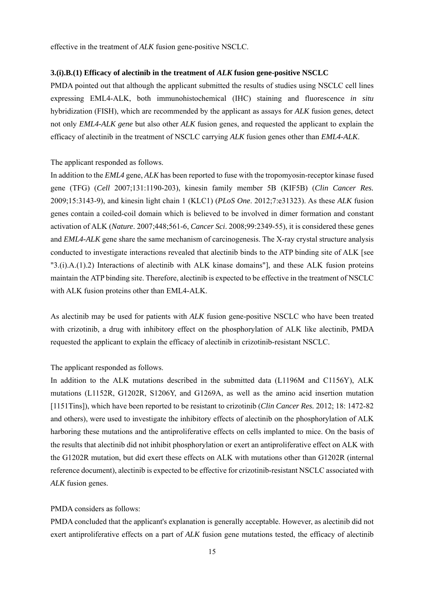effective in the treatment of *ALK* fusion gene-positive NSCLC.

#### **3.(i).B.(1) Efficacy of alectinib in the treatment of** *ALK* **fusion gene-positive NSCLC**

PMDA pointed out that although the applicant submitted the results of studies using NSCLC cell lines expressing EML4-ALK, both immunohistochemical (IHC) staining and fluorescence *in situ* hybridization (FISH), which are recommended by the applicant as assays for *ALK* fusion genes, detect not only *EML4-ALK gene* but also other *ALK* fusion genes, and requested the applicant to explain the efficacy of alectinib in the treatment of NSCLC carrying *ALK* fusion genes other than *EML4-ALK*.

#### The applicant responded as follows.

In addition to the *EML4* gene, *ALK* has been reported to fuse with the tropomyosin-receptor kinase fused gene (TFG) (*Cell* 2007;131:1190-203), kinesin family member 5B (KIF5B) (*Clin Cancer Res.* 2009;15:3143-9), and kinesin light chain 1 (KLC1) (*PLoS One*. 2012;7:e31323). As these *ALK* fusion genes contain a coiled-coil domain which is believed to be involved in dimer formation and constant activation of ALK (*Nature*. 2007;448;561-6, *Cancer Sci*. 2008;99:2349-55), it is considered these genes and *EML4-ALK* gene share the same mechanism of carcinogenesis. The X-ray crystal structure analysis conducted to investigate interactions revealed that alectinib binds to the ATP binding site of ALK [see "3.(i).A.(1).2) Interactions of alectinib with ALK kinase domains"], and these ALK fusion proteins maintain the ATP binding site. Therefore, alectinib is expected to be effective in the treatment of NSCLC with ALK fusion proteins other than EML4-ALK.

As alectinib may be used for patients with *ALK* fusion gene-positive NSCLC who have been treated with crizotinib, a drug with inhibitory effect on the phosphorylation of ALK like alectinib, PMDA requested the applicant to explain the efficacy of alectinib in crizotinib-resistant NSCLC.

#### The applicant responded as follows.

In addition to the ALK mutations described in the submitted data (L1196M and C1156Y), ALK mutations (L1152R, G1202R, S1206Y, and G1269A, as well as the amino acid insertion mutation [1151Tins]), which have been reported to be resistant to crizotinib (*Clin Cancer Res.* 2012; 18: 1472-82 and others), were used to investigate the inhibitory effects of alectinib on the phosphorylation of ALK harboring these mutations and the antiproliferative effects on cells implanted to mice. On the basis of the results that alectinib did not inhibit phosphorylation or exert an antiproliferative effect on ALK with the G1202R mutation, but did exert these effects on ALK with mutations other than G1202R (internal reference document), alectinib is expected to be effective for crizotinib-resistant NSCLC associated with *ALK* fusion genes.

#### PMDA considers as follows:

PMDA concluded that the applicant's explanation is generally acceptable. However, as alectinib did not exert antiproliferative effects on a part of *ALK* fusion gene mutations tested, the efficacy of alectinib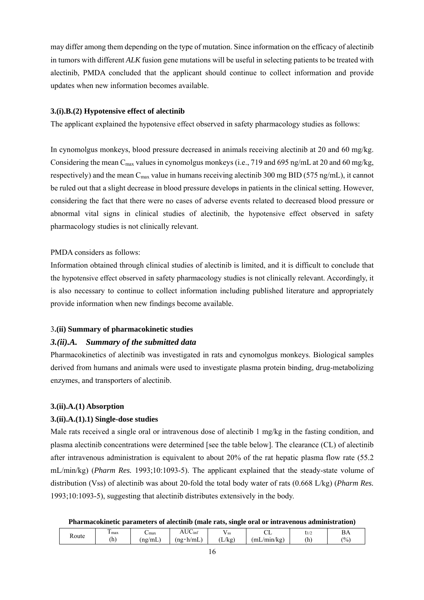may differ among them depending on the type of mutation. Since information on the efficacy of alectinib in tumors with different *ALK* fusion gene mutations will be useful in selecting patients to be treated with alectinib, PMDA concluded that the applicant should continue to collect information and provide updates when new information becomes available.

#### **3.(i).B.(2) Hypotensive effect of alectinib**

The applicant explained the hypotensive effect observed in safety pharmacology studies as follows:

In cynomolgus monkeys, blood pressure decreased in animals receiving alectinib at 20 and 60 mg/kg. Considering the mean C<sub>max</sub> values in cynomolgus monkeys (i.e., 719 and 695 ng/mL at 20 and 60 mg/kg, respectively) and the mean C<sub>max</sub> value in humans receiving alectinib 300 mg BID (575 ng/mL), it cannot be ruled out that a slight decrease in blood pressure develops in patients in the clinical setting. However, considering the fact that there were no cases of adverse events related to decreased blood pressure or abnormal vital signs in clinical studies of alectinib, the hypotensive effect observed in safety pharmacology studies is not clinically relevant.

#### PMDA considers as follows:

Information obtained through clinical studies of alectinib is limited, and it is difficult to conclude that the hypotensive effect observed in safety pharmacology studies is not clinically relevant. Accordingly, it is also necessary to continue to collect information including published literature and appropriately provide information when new findings become available.

#### 3**.(ii) Summary of pharmacokinetic studies**

### *3.(ii).A. Summary of the submitted data*

Pharmacokinetics of alectinib was investigated in rats and cynomolgus monkeys. Biological samples derived from humans and animals were used to investigate plasma protein binding, drug-metabolizing enzymes, and transporters of alectinib.

#### **3.(ii).A.(1) Absorption**

#### **3.(ii).A.(1).1) Single-dose studies**

Male rats received a single oral or intravenous dose of alectinib 1 mg/kg in the fasting condition, and plasma alectinib concentrations were determined [see the table below]. The clearance (CL) of alectinib after intravenous administration is equivalent to about 20% of the rat hepatic plasma flow rate (55.2 mL/min/kg) (*Pharm Res.* 1993;10:1093-5). The applicant explained that the steady-state volume of distribution (Vss) of alectinib was about 20-fold the total body water of rats (0.668 L/kg) (*Pharm Res.* 1993;10:1093-5), suggesting that alectinib distributes extensively in the body.

**Pharmacokinetic parameters of alectinib (male rats, single oral or intravenous administration)** 

| ت | Route | $\overline{\phantom{a}}$<br>max<br>(h | $\mathbf{L}$ max<br>(ng/mL | $T$ $T$ $T$<br>∵∪mf<br>AU'<br>$\sim$<br>(ng∙h/mL | $\cdot$<br>' SS<br>$\mathbf{r}$<br>.L/kg' | ~<br>◡◡<br>mL<br>/min/kg) | 1/2<br>(h | ∽<br>DA<br>$^{(0)}$ |
|---|-------|---------------------------------------|----------------------------|--------------------------------------------------|-------------------------------------------|---------------------------|-----------|---------------------|
|---|-------|---------------------------------------|----------------------------|--------------------------------------------------|-------------------------------------------|---------------------------|-----------|---------------------|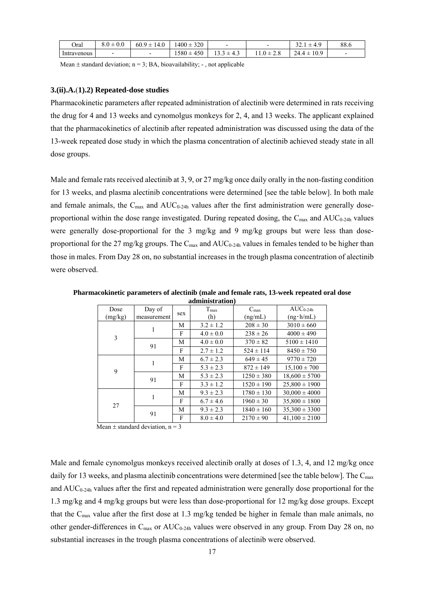| Oral                        | $+0c$<br>o.U<br>v.v | -60.5<br>u<br>14.6       | 320<br>.400:<br>--          |               |                    | $\sim$<br>$\sqrt{2}$<br>.<br>т., | 88.6                     |
|-----------------------------|---------------------|--------------------------|-----------------------------|---------------|--------------------|----------------------------------|--------------------------|
| $\mathbf{r}$<br>Intravenous | -                   | $\overline{\phantom{0}}$ | $\sim$<br>۔ 580<br>τ⊃∪<br>- | - -<br>1 J .J | $\sim$<br>--<br>້⊷ | 10.9<br>24<br>-<br><u>дня</u>    | $\overline{\phantom{0}}$ |

Mean  $\pm$  standard deviation; n = 3; BA, bioavailability; -, not applicable

#### **3.(ii).A.**(**1).2) Repeated-dose studies**

Pharmacokinetic parameters after repeated administration of alectinib were determined in rats receiving the drug for 4 and 13 weeks and cynomolgus monkeys for 2, 4, and 13 weeks. The applicant explained that the pharmacokinetics of alectinib after repeated administration was discussed using the data of the 13-week repeated dose study in which the plasma concentration of alectinib achieved steady state in all dose groups.

Male and female rats received alectinib at 3, 9, or 27 mg/kg once daily orally in the non-fasting condition for 13 weeks, and plasma alectinib concentrations were determined [see the table below]. In both male and female animals, the  $C_{\text{max}}$  and  $AUC_{0.24h}$  values after the first administration were generally doseproportional within the dose range investigated. During repeated dosing, the  $C_{\text{max}}$  and  $AUC_{0-24h}$  values were generally dose-proportional for the 3 mg/kg and 9 mg/kg groups but were less than doseproportional for the 27 mg/kg groups. The  $C_{\text{max}}$  and  $AUC_{0-24h}$  values in females tended to be higher than those in males. From Day 28 on, no substantial increases in the trough plasma concentration of alectinib were observed.

|                 |                       |     | aunninstration)      |                             |                                    |
|-----------------|-----------------------|-----|----------------------|-----------------------------|------------------------------------|
| Dose<br>(mg/kg) | Day of<br>measurement | sex | $T_{\rm max}$<br>(h) | $C_{\text{max}}$<br>(ng/mL) | $AUC_{0-24h}$<br>$(ng \cdot h/mL)$ |
| 3               | 1                     | М   | $3.2 \pm 1.2$        | $208 \pm 30$                | $3010 \pm 660$                     |
|                 |                       | F   | $4.0 \pm 0.0$        | $238 \pm 26$                | $4000 \pm 490$                     |
|                 | 91                    | M   | $4.0 \pm 0.0$        | $370 \pm 82$                | $5100 \pm 1410$                    |
|                 |                       | F   | $2.7 \pm 1.2$        | $524 \pm 114$               | $8450 \pm 750$                     |
| 9               | 1                     | М   | $6.7 \pm 2.3$        | $649 \pm 45$                | $9770 \pm 720$                     |
|                 |                       | F   | $5.3 \pm 2.3$        | $872 \pm 149$               | $15.100 \pm 700$                   |
|                 | 91                    | М   | $5.3 \pm 2.3$        | $1250 \pm 380$              | $18,600 \pm 5700$                  |
|                 |                       | F   | $3.3 \pm 1.2$        | $1520 \pm 190$              | $25,800 \pm 1900$                  |
| 27              | $\mathbf{1}$          | М   | $9.3 \pm 2.3$        | $1780 \pm 130$              | $30.000 \pm 4000$                  |
|                 |                       | F   | $6.7 \pm 4.6$        | $1960 \pm 30$               | $35,800 \pm 1800$                  |
|                 |                       | М   | $9.3 \pm 2.3$        | $1840 \pm 160$              | $35,300 \pm 3300$                  |
|                 | 91                    | F   | $8.0 \pm 4.0$        | $2170 \pm 90$               | $41.100 \pm 2100$                  |

**Pharmacokinetic parameters of alectinib (male and female rats, 13-week repeated oral dose administration)** 

Mean  $\pm$  standard deviation, n = 3

Male and female cynomolgus monkeys received alectinib orally at doses of 1.3, 4, and 12 mg/kg once daily for 13 weeks, and plasma alectinib concentrations were determined [see the table below]. The  $C_{\text{max}}$ and  $AUC_{0-24h}$  values after the first and repeated administration were generally dose proportional for the 1.3 mg/kg and 4 mg/kg groups but were less than dose-proportional for 12 mg/kg dose groups. Except that the Cmax value after the first dose at 1.3 mg/kg tended be higher in female than male animals, no other gender-differences in  $C_{\text{max}}$  or  $AUC_{0.24h}$  values were observed in any group. From Day 28 on, no substantial increases in the trough plasma concentrations of alectinib were observed.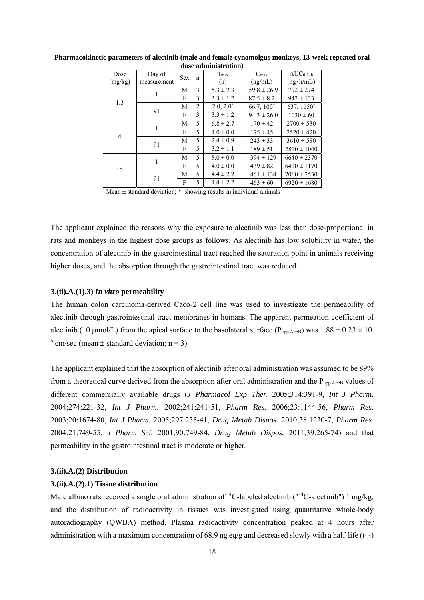| Dose<br>(mg/kg) | Day of<br>measurement | <b>Sex</b> | n | T <sub>max</sub><br>(h) | C <sub>max</sub><br>(ng/mL) | $AUC_{0-24h}$<br>$(ng \cdot h/mL)$ |
|-----------------|-----------------------|------------|---|-------------------------|-----------------------------|------------------------------------|
|                 |                       | М          | 3 | $5.3 \pm 2.3$           | $59.8 \pm 26.9$             | $792 \pm 274$                      |
| 1.3             |                       | F          | 3 | $3.3 \pm 1.2$           | $87.5 \pm 8.2$              | $942 \pm 133$                      |
|                 |                       | М          | 2 | $2.0, 2.0^*$            | $66.7, 100^*$               | 637, 1150*                         |
|                 | 91                    |            | 3 | $3.3 \pm 1.2$           | $94.3 \pm 26.0$             | $1030 \pm 60$                      |
|                 | 1                     | М          | 5 | $6.8 \pm 2.7$           | $170 \pm 42$                | $2700 \pm 530$                     |
| 4               |                       | F          | 5 | $4.0 \pm 0.0$           | $175 \pm 45$                | $2520 \pm 420$                     |
|                 | 91                    | М          | 5 | $2.4 \pm 0.9$           | $243 \pm 33$                | $3610 \pm 580$                     |
|                 |                       | F          | 5 | $3.2 \pm 1.1$           | $189 \pm 51$                | $2810 \pm 1040$                    |
|                 |                       | М          | 5 | $8.0 \pm 0.0$           | $394 \pm 129$               | $6640 \pm 2370$                    |
| 12              | 1                     | F          | 5 | $4.0 \pm 0.0$           | $439 \pm 82$                | $6410 \pm 1170$                    |
|                 | 91                    | М          | 5 | $4.4 \pm 2.2$           | $461 \pm 134$               | $7060 \pm 2530$                    |
|                 |                       | F          | 5 | $4.4 \pm 2.2$           | $463 \pm 60$                | $6920 \pm 1680$                    |

#### **Pharmacokinetic parameters of alectinib (male and female cynomolgus monkeys, 13-week repeated oral dose administration)**

Mean  $\pm$  standard deviation;  $*$ , showing results in individual animals

The applicant explained the reasons why the exposure to alectinib was less than dose-proportional in rats and monkeys in the highest dose groups as follows: As alectinib has low solubility in water, the concentration of alectinib in the gastrointestinal tract reached the saturation point in animals receiving higher doses, and the absorption through the gastrointestinal tract was reduced.

#### **3.(ii).A.(1).3)** *In vitro* **permeability**

The human colon carcinoma-derived Caco-2 cell line was used to investigate the permeability of alectinib through gastrointestinal tract membranes in humans. The apparent permeation coefficient of alectinib (10 µmol/L) from the apical surface to the basolateral surface ( $P_{app A\rightarrow B}$ ) was 1.88  $\pm$  0.23  $\times$  10<sup>-</sup>  $6$  cm/sec (mean  $\pm$  standard deviation; n = 3).

The applicant explained that the absorption of alectinib after oral administration was assumed to be 89% from a theoretical curve derived from the absorption after oral administration and the  $P_{app A\rightarrow B}$  values of different commercially available drugs (*J Pharmacol Exp Ther.* 2005;314:391-9, *Int J Pharm.*  2004;274:221-32, *Int J Pharm.* 2002;241:241-51, *Pharm Res.* 2006;23:1144-56, *Pharm Res.* 2003;20:1674-80, *Int J Pharm.* 2005;297:235-41, *Drug Metab Dispos.* 2010;38:1230-7, *Pharm Res.* 2004;21:749-55, *J Pharm Sci.* 2001;90:749-84, *Drug Metab Dispos.* 2011;39:265-74) and that permeability in the gastrointestinal tract is moderate or higher.

#### **3.(ii).A.(2) Distribution**

#### **3.(ii).A.(2).1) Tissue distribution**

Male albino rats received a single oral administration of <sup>14</sup>C-labeled alectinib ( $14C$ -alectinib") 1 mg/kg, and the distribution of radioactivity in tissues was investigated using quantitative whole-body autoradiography (QWBA) method. Plasma radioactivity concentration peaked at 4 hours after administration with a maximum concentration of 68.9 ng eq/g and decreased slowly with a half-life ( $t_{1/2}$ )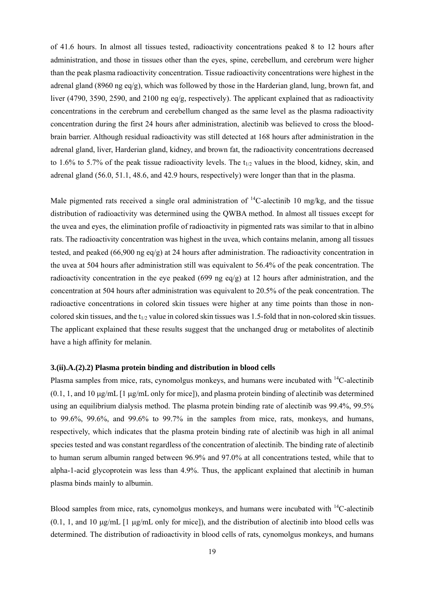of 41.6 hours. In almost all tissues tested, radioactivity concentrations peaked 8 to 12 hours after administration, and those in tissues other than the eyes, spine, cerebellum, and cerebrum were higher than the peak plasma radioactivity concentration. Tissue radioactivity concentrations were highest in the adrenal gland (8960 ng eq/g), which was followed by those in the Harderian gland, lung, brown fat, and liver (4790, 3590, 2590, and 2100 ng eq/g, respectively). The applicant explained that as radioactivity concentrations in the cerebrum and cerebellum changed as the same level as the plasma radioactivity concentration during the first 24 hours after administration, alectinib was believed to cross the bloodbrain barrier. Although residual radioactivity was still detected at 168 hours after administration in the adrenal gland, liver, Harderian gland, kidney, and brown fat, the radioactivity concentrations decreased to 1.6% to 5.7% of the peak tissue radioactivity levels. The  $t_{1/2}$  values in the blood, kidney, skin, and adrenal gland (56.0, 51.1, 48.6, and 42.9 hours, respectively) were longer than that in the plasma.

Male pigmented rats received a single oral administration of  ${}^{14}$ C-alectinib 10 mg/kg, and the tissue distribution of radioactivity was determined using the QWBA method. In almost all tissues except for the uvea and eyes, the elimination profile of radioactivity in pigmented rats was similar to that in albino rats. The radioactivity concentration was highest in the uvea, which contains melanin, among all tissues tested, and peaked (66,900 ng eq/g) at 24 hours after administration. The radioactivity concentration in the uvea at 504 hours after administration still was equivalent to 56.4% of the peak concentration. The radioactivity concentration in the eye peaked (699 ng eq/g) at 12 hours after administration, and the concentration at 504 hours after administration was equivalent to 20.5% of the peak concentration. The radioactive concentrations in colored skin tissues were higher at any time points than those in noncolored skin tissues, and the  $t_{1/2}$  value in colored skin tissues was 1.5-fold that in non-colored skin tissues. The applicant explained that these results suggest that the unchanged drug or metabolites of alectinib have a high affinity for melanin.

#### **3.(ii).A.(2).2) Plasma protein binding and distribution in blood cells**

Plasma samples from mice, rats, cynomolgus monkeys, and humans were incubated with 14C-alectinib  $(0.1, 1, \text{ and } 10 \,\mu\text{g/mL}$  [1  $\mu\text{g/mL}$  only for mice]), and plasma protein binding of alectinib was determined using an equilibrium dialysis method. The plasma protein binding rate of alectinib was 99.4%, 99.5% to 99.6%, 99.6%, and 99.6% to 99.7% in the samples from mice, rats, monkeys, and humans, respectively, which indicates that the plasma protein binding rate of alectinib was high in all animal species tested and was constant regardless of the concentration of alectinib. The binding rate of alectinib to human serum albumin ranged between 96.9% and 97.0% at all concentrations tested, while that to alpha-1-acid glycoprotein was less than 4.9%. Thus, the applicant explained that alectinib in human plasma binds mainly to albumin.

Blood samples from mice, rats, cynomolgus monkeys, and humans were incubated with <sup>14</sup>C-alectinib  $(0.1, 1, \text{ and } 10 \text{ µg/mL}$  [1  $\mu$ g/mL only for mice]), and the distribution of alectinib into blood cells was determined. The distribution of radioactivity in blood cells of rats, cynomolgus monkeys, and humans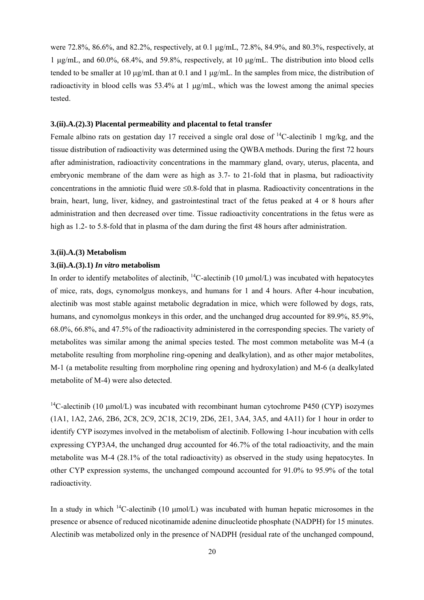were 72.8%, 86.6%, and 82.2%, respectively, at 0.1  $\mu$ g/mL, 72.8%, 84.9%, and 80.3%, respectively, at 1 ug/mL, and  $60.0\%$ ,  $68.4\%$ , and  $59.8\%$ , respectively, at 10 ug/mL. The distribution into blood cells tended to be smaller at 10  $\mu$ g/mL than at 0.1 and 1  $\mu$ g/mL. In the samples from mice, the distribution of radioactivity in blood cells was  $53.4\%$  at 1  $\mu\alpha/\text{mL}$ , which was the lowest among the animal species tested.

#### **3.(ii).A.(2).3) Placental permeability and placental to fetal transfer**

Female albino rats on gestation day 17 received a single oral dose of  ${}^{14}$ C-alectinib 1 mg/kg, and the tissue distribution of radioactivity was determined using the QWBA methods. During the first 72 hours after administration, radioactivity concentrations in the mammary gland, ovary, uterus, placenta, and embryonic membrane of the dam were as high as 3.7- to 21-fold that in plasma, but radioactivity concentrations in the amniotic fluid were  $\leq 0.8$ -fold that in plasma. Radioactivity concentrations in the brain, heart, lung, liver, kidney, and gastrointestinal tract of the fetus peaked at 4 or 8 hours after administration and then decreased over time. Tissue radioactivity concentrations in the fetus were as high as 1.2- to 5.8-fold that in plasma of the dam during the first 48 hours after administration.

#### **3.(ii).A.(3) Metabolism**

#### **3.(ii).A.(3).1)** *In vitro* **metabolism**

In order to identify metabolites of alectinib,  $^{14}$ C-alectinib (10  $\mu$ mol/L) was incubated with hepatocytes of mice, rats, dogs, cynomolgus monkeys, and humans for 1 and 4 hours. After 4-hour incubation, alectinib was most stable against metabolic degradation in mice, which were followed by dogs, rats, humans, and cynomolgus monkeys in this order, and the unchanged drug accounted for 89.9%, 85.9%, 68.0%, 66.8%, and 47.5% of the radioactivity administered in the corresponding species. The variety of metabolites was similar among the animal species tested. The most common metabolite was M-4 (a metabolite resulting from morpholine ring-opening and dealkylation), and as other major metabolites, M-1 (a metabolite resulting from morpholine ring opening and hydroxylation) and M-6 (a dealkylated metabolite of M-4) were also detected.

<sup>14</sup>C-alectinib (10 µmol/L) was incubated with recombinant human cytochrome P450 (CYP) isozymes (1A1, 1A2, 2A6, 2B6, 2C8, 2C9, 2C18, 2C19, 2D6, 2E1, 3A4, 3A5, and 4A11) for 1 hour in order to identify CYP isozymes involved in the metabolism of alectinib. Following 1-hour incubation with cells expressing CYP3A4, the unchanged drug accounted for 46.7% of the total radioactivity, and the main metabolite was M-4 (28.1% of the total radioactivity) as observed in the study using hepatocytes. In other CYP expression systems, the unchanged compound accounted for 91.0% to 95.9% of the total radioactivity.

In a study in which <sup>14</sup>C-alectinib (10  $\mu$ mol/L) was incubated with human hepatic microsomes in the presence or absence of reduced nicotinamide adenine dinucleotide phosphate (NADPH) for 15 minutes. Alectinib was metabolized only in the presence of NADPH (residual rate of the unchanged compound,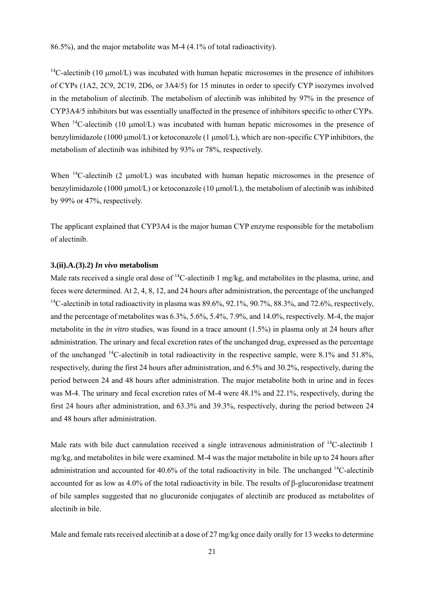86.5%), and the major metabolite was M-4 (4.1% of total radioactivity).

<sup>14</sup>C-alectinib (10  $\mu$ mol/L) was incubated with human hepatic microsomes in the presence of inhibitors of CYPs (1A2, 2C9, 2C19, 2D6, or 3A4/5) for 15 minutes in order to specify CYP isozymes involved in the metabolism of alectinib. The metabolism of alectinib was inhibited by 97% in the presence of CYP3A4/5 inhibitors but was essentially unaffected in the presence of inhibitors specific to other CYPs. When  $^{14}$ C-alectinib (10 umol/L) was incubated with human hepatic microsomes in the presence of benzylimidazole (1000  $\mu$ mol/L) or ketoconazole (1  $\mu$ mol/L), which are non-specific CYP inhibitors, the metabolism of alectinib was inhibited by 93% or 78%, respectively.

When  $^{14}$ C-alectinib (2 µmol/L) was incubated with human hepatic microsomes in the presence of benzylimidazole (1000 umol/L) or ketoconazole (10 umol/L), the metabolism of alectinib was inhibited by 99% or 47%, respectively.

The applicant explained that CYP3A4 is the major human CYP enzyme responsible for the metabolism of alectinib.

### **3.(ii).A.(3).2)** *In vivo* **metabolism**

Male rats received a single oral dose of <sup>14</sup>C-alectinib 1 mg/kg, and metabolites in the plasma, urine, and feces were determined. At 2, 4, 8, 12, and 24 hours after administration, the percentage of the unchanged <sup>14</sup>C-alectinib in total radioactivity in plasma was  $89.6\%$ ,  $92.1\%$ ,  $90.7\%$ ,  $88.3\%$ , and  $72.6\%$ , respectively, and the percentage of metabolites was 6.3%, 5.6%, 5.4%, 7.9%, and 14.0%, respectively. M-4, the major metabolite in the *in vitro* studies, was found in a trace amount (1.5%) in plasma only at 24 hours after administration. The urinary and fecal excretion rates of the unchanged drug, expressed as the percentage of the unchanged 14C-alectinib in total radioactivity in the respective sample, were 8.1% and 51.8%, respectively, during the first 24 hours after administration, and 6.5% and 30.2%, respectively, during the period between 24 and 48 hours after administration. The major metabolite both in urine and in feces was M-4. The urinary and fecal excretion rates of M-4 were 48.1% and 22.1%, respectively, during the first 24 hours after administration, and 63.3% and 39.3%, respectively, during the period between 24 and 48 hours after administration.

Male rats with bile duct cannulation received a single intravenous administration of <sup>14</sup>C-alectinib 1 mg/kg, and metabolites in bile were examined. M-4 was the major metabolite in bile up to 24 hours after administration and accounted for 40.6% of the total radioactivity in bile. The unchanged  $^{14}$ C-alectinib accounted for as low as 4.0% of the total radioactivity in bile. The results of  $\beta$ -glucuronidase treatment of bile samples suggested that no glucuronide conjugates of alectinib are produced as metabolites of alectinib in bile.

Male and female rats received alectinib at a dose of 27 mg/kg once daily orally for 13 weeks to determine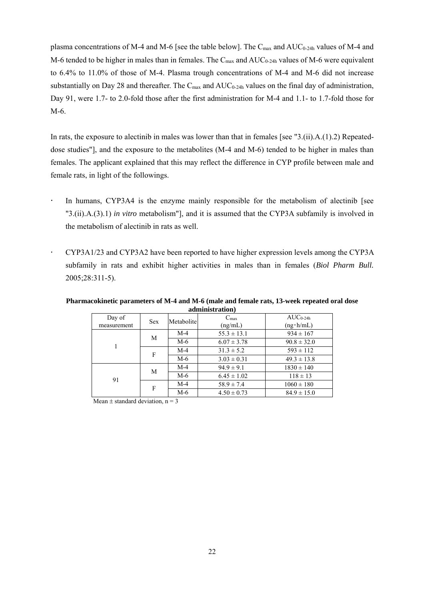plasma concentrations of M-4 and M-6 [see the table below]. The  $C_{\text{max}}$  and  $AUC_{0-24h}$  values of M-4 and M-6 tended to be higher in males than in females. The  $C_{\text{max}}$  and  $AUC_{0-24h}$  values of M-6 were equivalent to 6.4% to 11.0% of those of M-4. Plasma trough concentrations of M-4 and M-6 did not increase substantially on Day 28 and thereafter. The  $C_{\text{max}}$  and  $AUC_{0-24h}$  values on the final day of administration, Day 91, were 1.7- to 2.0-fold those after the first administration for M-4 and 1.1- to 1.7-fold those for M-6.

In rats, the exposure to alectinib in males was lower than that in females [see "3.(ii).A.(1).2) Repeateddose studies"], and the exposure to the metabolites (M-4 and M-6) tended to be higher in males than females. The applicant explained that this may reflect the difference in CYP profile between male and female rats, in light of the followings.

- In humans, CYP3A4 is the enzyme mainly responsible for the metabolism of alectinib [see "3.(ii).A.(3).1) *in vitro* metabolism"], and it is assumed that the CYP3A subfamily is involved in the metabolism of alectinib in rats as well.
- CYP3A1/23 and CYP3A2 have been reported to have higher expression levels among the CYP3A subfamily in rats and exhibit higher activities in males than in females (*Biol Pharm Bull.* 2005;28:311-5).

| Day of<br>measurement | <b>Sex</b> | Metabolite | $C_{\text{max}}$<br>(ng/mL) | $AUC_{0-24h}$<br>$(ng \cdot h/mL)$ |
|-----------------------|------------|------------|-----------------------------|------------------------------------|
|                       |            | $M-4$      | $55.3 \pm 13.1$             | $934 \pm 167$                      |
|                       | M          | M-6        | $6.07 \pm 3.78$             | $90.8 \pm 32.0$                    |
|                       | F          | $M-4$      | $31.3 \pm 5.2$              | $593 \pm 112$                      |
|                       |            | M-6        | $3.03 \pm 0.31$             | $49.3 \pm 13.8$                    |
|                       | M          | $M-4$      | $94.9 \pm 9.1$              | $1830 \pm 140$                     |
| 91                    |            | M-6        | $6.45 \pm 1.02$             | $118 \pm 13$                       |
|                       |            | $M-4$      | $58.9 \pm 7.4$              | $1060 \pm 180$                     |
|                       | F          | M-6        | $4.50 \pm 0.73$             | $84.9 \pm 15.0$                    |

**Pharmacokinetic parameters of M-4 and M-6 (male and female rats, 13-week repeated oral dose administration)** 

Mean  $\pm$  standard deviation, n = 3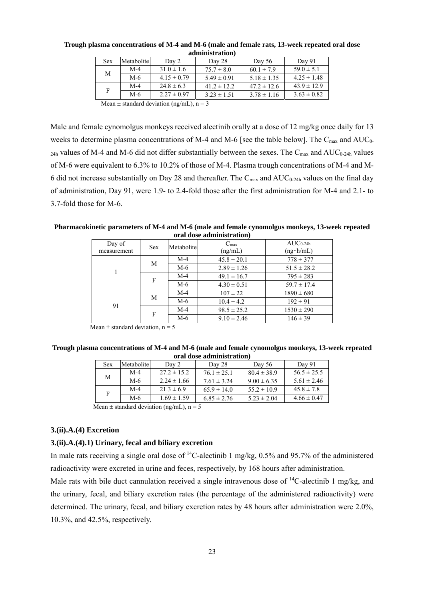| <u>aammusti attom</u>                      |            |                 |                 |                 |                 |  |  |  |
|--------------------------------------------|------------|-----------------|-----------------|-----------------|-----------------|--|--|--|
| <b>Sex</b>                                 | Metabolite | Day 2           | Day 28          | Day $56$        | Day 91          |  |  |  |
| М                                          | $M-4$      | $31.0 \pm 1.6$  | $75.7 \pm 8.0$  | $60.1 \pm 7.9$  | $59.0 \pm 5.1$  |  |  |  |
|                                            | $M-6$      | $4.15 \pm 0.79$ | $5.49 \pm 0.91$ | $5.18 \pm 1.35$ | $4.25 \pm 1.48$ |  |  |  |
| F                                          | $M-4$      | $24.8 \pm 6.3$  | $41.2 \pm 12.2$ | $47.2 \pm 12.6$ | $43.9 \pm 12.9$ |  |  |  |
|                                            | M-6        | $2.27 \pm 0.97$ | $3.23 \pm 1.51$ | $3.78 \pm 1.16$ | $3.63 \pm 0.82$ |  |  |  |
| Mean + standard deviation $(nq/m)$ $n = 2$ |            |                 |                 |                 |                 |  |  |  |

**Trough plasma concentrations of M-4 and M-6 (male and female rats, 13-week repeated oral dose administration)** 

Mean  $\pm$  standard deviation (ng/mL), n = 3

Male and female cynomolgus monkeys received alectinib orally at a dose of 12 mg/kg once daily for 13 weeks to determine plasma concentrations of M-4 and M-6 [see the table below]. The  $C_{\text{max}}$  and  $AUC_0$ - $_{24h}$  values of M-4 and M-6 did not differ substantially between the sexes. The C<sub>max</sub> and AUC<sub>0-24h</sub> values of M-6 were equivalent to 6.3% to 10.2% of those of M-4. Plasma trough concentrations of M-4 and M-6 did not increase substantially on Day 28 and thereafter. The  $C_{\text{max}}$  and  $AUC_{0-24h}$  values on the final day of administration, Day 91, were 1.9- to 2.4-fold those after the first administration for M-4 and 2.1- to 3.7-fold those for M-6.

**Pharmacokinetic parameters of M-4 and M-6 (male and female cynomolgus monkeys, 13-week repeated oral dose administration)** 

| Day of      | <b>Sex</b> | Metabolite | $C_{\text{max}}$ | $AUC_{0-24h}$     |
|-------------|------------|------------|------------------|-------------------|
| measurement |            |            | (ng/mL)          | $(ng \cdot h/mL)$ |
|             | M          | $M-4$      | $45.8 \pm 20.1$  | $778 \pm 377$     |
|             |            | M-6        | $2.89 \pm 1.26$  | $51.5 \pm 28.2$   |
|             | F          | $M-4$      | $49.1 \pm 16.7$  | $795 \pm 283$     |
|             |            | $M-6$      | $4.30 \pm 0.51$  | $59.7 \pm 17.4$   |
|             | M          | $M-4$      | $107 \pm 22$     | $1890 \pm 680$    |
| 91          |            | M-6        | $10.4 \pm 4.2$   | $192 \pm 91$      |
|             | F          | $M-4$      | $98.5 \pm 25.2$  | $1530 \pm 290$    |
|             |            | M-6        | $9.10 \pm 2.46$  | $146 \pm 39$      |

Mean  $\pm$  standard deviation, n = 5

| Trough plasma concentrations of M-4 and M-6 (male and female cynomolgus monkeys, 13-week repeated |  |  |  |  |  |
|---------------------------------------------------------------------------------------------------|--|--|--|--|--|
| oral dose administration)                                                                         |  |  |  |  |  |

| <b>Sex</b>                                                                                                            | Metabolite | Day 2           | Day 28          | Day $56$        | Day 91          |  |
|-----------------------------------------------------------------------------------------------------------------------|------------|-----------------|-----------------|-----------------|-----------------|--|
| М                                                                                                                     | M-4        | $27.2 \pm 15.2$ | $76.1 \pm 25.1$ | $80.4 \pm 38.9$ | $56.5 \pm 25.5$ |  |
|                                                                                                                       | M-6        | $2.24 \pm 1.66$ | $7.61 \pm 3.24$ | $9.00 \pm 6.35$ | $5.61 \pm 2.46$ |  |
|                                                                                                                       | $M-4$      | $21.3 \pm 6.9$  | $65.9 \pm 14.0$ | $55.2 \pm 10.9$ | $45.8 \pm 7.8$  |  |
|                                                                                                                       | $M-6$      | $1.69 \pm 1.59$ | $6.85 \pm 2.76$ | $5.23 \pm 2.04$ | $4.66 \pm 0.47$ |  |
| $\mathbf{r}$ , $\mathbf{r}$ , $\mathbf{r}$ , $\mathbf{r}$ , $\mathbf{r}$ , $\mathbf{r}$ , $\mathbf{r}$ , $\mathbf{r}$ |            |                 |                 |                 |                 |  |

Mean  $\pm$  standard deviation (ng/mL), n = 5

#### **3.(ii).A.(4) Excretion**

### **3.(ii).A.(4).1) Urinary, fecal and biliary excretion**

In male rats receiving a single oral dose of  ${}^{14}$ C-alectinib 1 mg/kg, 0.5% and 95.7% of the administered radioactivity were excreted in urine and feces, respectively, by 168 hours after administration.

Male rats with bile duct cannulation received a single intravenous dose of <sup>14</sup>C-alectinib 1 mg/kg, and the urinary, fecal, and biliary excretion rates (the percentage of the administered radioactivity) were determined. The urinary, fecal, and biliary excretion rates by 48 hours after administration were 2.0%, 10.3%, and 42.5%, respectively.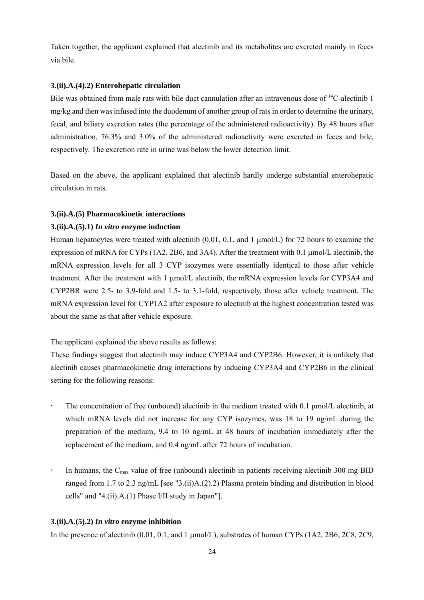Taken together, the applicant explained that alectinib and its metabolites are excreted mainly in feces via bile.

#### **3.(ii).A.(4).2) Enterohepatic circulation**

Bile was obtained from male rats with bile duct cannulation after an intravenous dose of <sup>14</sup>C-alectinib 1 mg/kg and then was infused into the duodenum of another group of rats in order to determine the urinary, fecal, and biliary excretion rates (the percentage of the administered radioactivity). By 48 hours after administration, 76.3% and 3.0% of the administered radioactivity were excreted in feces and bile, respectively. The excretion rate in urine was below the lower detection limit.

Based on the above, the applicant explained that alectinib hardly undergo substantial enterohepatic circulation in rats.

#### **3.(ii).A.(5) Pharmacokinetic interactions**

#### **3.(ii).A.(5).1)** *In vitro* **enzyme induction**

Human hepatocytes were treated with alectinib  $(0.01, 0.1, 0.1, 0.1)$  for 72 hours to examine the expression of mRNA for CYPs (1A2, 2B6, and 3A4). After the treatment with 0.1 mol/L alectinib, the mRNA expression levels for all 3 CYP isozymes were essentially identical to those after vehicle treatment. After the treatment with 1 mol/L alectinib, the mRNA expression levels for CYP3A4 and CYP2BR were 2.5- to 3.9-fold and 1.5- to 3.1-fold, respectively, those after vehicle treatment. The mRNA expression level for CYP1A2 after exposure to alectinib at the highest concentration tested was about the same as that after vehicle exposure.

The applicant explained the above results as follows:

These findings suggest that alectinib may induce CYP3A4 and CYP2B6. However, it is unlikely that alectinib causes pharmacokinetic drug interactions by inducing CYP3A4 and CYP2B6 in the clinical setting for the following reasons:

- The concentration of free (unbound) alectinib in the medium treated with 0.1 μmol/L alectinib, at which mRNA levels did not increase for any CYP isozymes, was 18 to 19 ng/mL during the preparation of the medium, 9.4 to 10 ng/mL at 48 hours of incubation immediately after the replacement of the medium, and 0.4 ng/mL after 72 hours of incubation.
- In humans, the  $C_{\text{max}}$  value of free (unbound) alectinib in patients receiving alectinib 300 mg BID ranged from 1.7 to 2.3 ng/mL [see "3.(ii)A.(2).2) Plasma protein binding and distribution in blood cells" and "4.(ii).A.(1) Phase I/II study in Japan"].

#### **3.(ii).A.(5).2)** *In vitro* **enzyme inhibition**

In the presence of alectinib  $(0.01, 0.1,$  and 1  $\mu$ mol/L), substrates of human CYPs  $(1A2, 2B6, 2C8, 2C9,$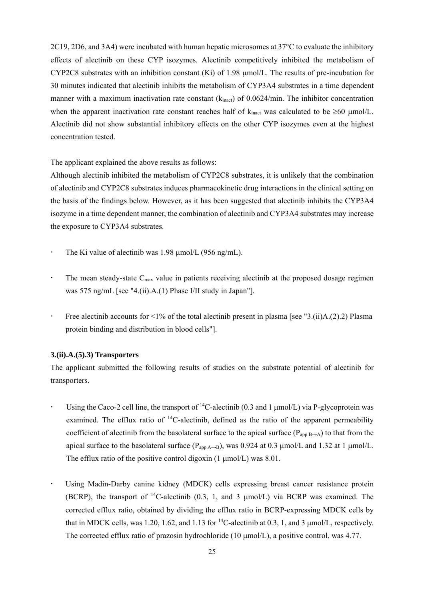2C19, 2D6, and 3A4) were incubated with human hepatic microsomes at 37°C to evaluate the inhibitory effects of alectinib on these CYP isozymes. Alectinib competitively inhibited the metabolism of CYP2C8 substrates with an inhibition constant  $(Ki)$  of 1.98  $\mu$ mol/L. The results of pre-incubation for 30 minutes indicated that alectinib inhibits the metabolism of CYP3A4 substrates in a time dependent manner with a maximum inactivation rate constant ( $k_{inact}$ ) of 0.0624/min. The inhibitor concentration when the apparent inactivation rate constant reaches half of  $k_{\text{inact}}$  was calculated to be  $\geq 60 \text{ \mu m o}$ l/L. Alectinib did not show substantial inhibitory effects on the other CYP isozymes even at the highest concentration tested.

The applicant explained the above results as follows:

Although alectinib inhibited the metabolism of CYP2C8 substrates, it is unlikely that the combination of alectinib and CYP2C8 substrates induces pharmacokinetic drug interactions in the clinical setting on the basis of the findings below. However, as it has been suggested that alectinib inhibits the CYP3A4 isozyme in a time dependent manner, the combination of alectinib and CYP3A4 substrates may increase the exposure to CYP3A4 substrates.

- The Ki value of alectinib was  $1.98 \mu$ mol/L (956 ng/mL).
- $\cdot$  The mean steady-state C<sub>max</sub> value in patients receiving alectinib at the proposed dosage regimen was 575 ng/mL [see "4.(ii).A.(1) Phase I/II study in Japan"].
- Free alectinib accounts for  $\langle 1\%$  of the total alectinib present in plasma [see "3.(ii)A.(2).2) Plasma protein binding and distribution in blood cells"].

#### **3.(ii).A.(5).3) Transporters**

The applicant submitted the following results of studies on the substrate potential of alectinib for transporters.

- Using the Caco-2 cell line, the transport of  ${}^{14}$ C-alectinib (0.3 and 1 µmol/L) via P-glycoprotein was examined. The efflux ratio of  ${}^{14}$ C-alectinib, defined as the ratio of the apparent permeability coefficient of alectinib from the basolateral surface to the apical surface ( $P_{\text{app B}\rightarrow A}$ ) to that from the apical surface to the basolateral surface ( $P_{app\ A\rightarrow B}$ ), was 0.924 at 0.3 µmol/L and 1.32 at 1 µmol/L. The efflux ratio of the positive control digoxin  $(1 \mu \text{mol/L})$  was 8.01.
- Using Madin-Darby canine kidney (MDCK) cells expressing breast cancer resistance protein (BCRP), the transport of  ${}^{14}$ C-alectinib (0.3, 1, and 3 µmol/L) via BCRP was examined. The corrected efflux ratio, obtained by dividing the efflux ratio in BCRP-expressing MDCK cells by that in MDCK cells, was 1.20, 1.62, and 1.13 for  ${}^{14}$ C-alectinib at 0.3, 1, and 3  $\mu$ mol/L, respectively. The corrected efflux ratio of prazosin hydrochloride (10  $\mu$ mol/L), a positive control, was 4.77.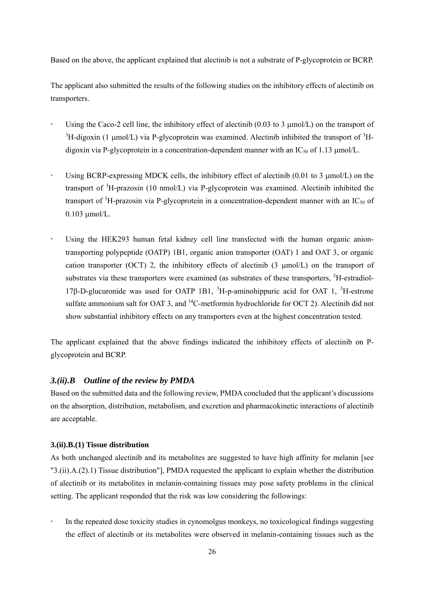Based on the above, the applicant explained that alectinib is not a substrate of P-glycoprotein or BCRP.

The applicant also submitted the results of the following studies on the inhibitory effects of alectinib on transporters.

- Using the Caco-2 cell line, the inhibitory effect of alectinib  $(0.03 \text{ to } 3 \text{ umol/L})$  on the transport of <sup>3</sup>H-digoxin (1 µmol/L) via P-glycoprotein was examined. Alectinib inhibited the transport of <sup>3</sup>Hdigoxin via P-glycoprotein in a concentration-dependent manner with an  $IC_{50}$  of 1.13  $\mu$ mol/L.
- Using BCRP-expressing MDCK cells, the inhibitory effect of alectinib  $(0.01 \text{ to } 3 \text{ µmol/L})$  on the transport of <sup>3</sup>H-prazosin (10 nmol/L) via P-glycoprotein was examined. Alectinib inhibited the transport of  ${}^{3}$ H-prazosin via P-glycoprotein in a concentration-dependent manner with an IC<sub>50</sub> of  $0.103$  umol/L.
- Using the HEK293 human fetal kidney cell line transfected with the human organic aniontransporting polypeptide (OATP) 1B1, organic anion transporter (OAT) 1 and OAT 3, or organic cation transporter (OCT) 2, the inhibitory effects of alectinib  $(3 \mu mol/L)$  on the transport of substrates via these transporters were examined (as substrates of these transporters, <sup>3</sup>H-estradiol-17 $\beta$ -D-glucuronide was used for OATP 1B1, <sup>3</sup>H-p-aminohippuric acid for OAT 1, <sup>3</sup>H-estrone sulfate ammonium salt for OAT 3, and <sup>14</sup>C-metformin hydrochloride for OCT 2). Alectinib did not show substantial inhibitory effects on any transporters even at the highest concentration tested.

The applicant explained that the above findings indicated the inhibitory effects of alectinib on Pglycoprotein and BCRP.

### *3.(ii).B Outline of the review by PMDA*

Based on the submitted data and the following review, PMDA concluded that the applicant's discussions on the absorption, distribution, metabolism, and excretion and pharmacokinetic interactions of alectinib are acceptable.

#### **3.(ii).B.(1) Tissue distribution**

As both unchanged alectinib and its metabolites are suggested to have high affinity for melanin [see "3.(ii).A.(2).1) Tissue distribution"], PMDA requested the applicant to explain whether the distribution of alectinib or its metabolites in melanin-containing tissues may pose safety problems in the clinical setting. The applicant responded that the risk was low considering the followings:

 In the repeated dose toxicity studies in cynomolgus monkeys, no toxicological findings suggesting the effect of alectinib or its metabolites were observed in melanin-containing tissues such as the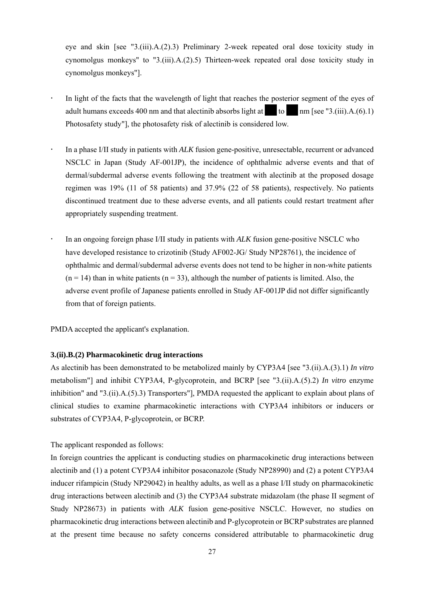eye and skin [see "3.(iii).A.(2).3) Preliminary 2-week repeated oral dose toxicity study in cynomolgus monkeys" to "3.(iii). $A(2)$ .5) Thirteen-week repeated oral dose toxicity study in cynomolgus monkeys"].

- In light of the facts that the wavelength of light that reaches the posterior segment of the eyes of adult humans exceeds 400 nm and that alectinib absorbs light at  $\mathbf{r}$  to  $\mathbf{r}$  nm [see "3.(iii).A.(6).1) Photosafety study"], the photosafety risk of alectinib is considered low.
- In a phase I/II study in patients with *ALK* fusion gene-positive, unresectable, recurrent or advanced NSCLC in Japan (Study AF-001JP), the incidence of ophthalmic adverse events and that of dermal/subdermal adverse events following the treatment with alectinib at the proposed dosage regimen was 19% (11 of 58 patients) and 37.9% (22 of 58 patients), respectively. No patients discontinued treatment due to these adverse events, and all patients could restart treatment after appropriately suspending treatment.
- In an ongoing foreign phase I/II study in patients with *ALK* fusion gene-positive NSCLC who have developed resistance to crizotinib (Study AF002-JG/ Study NP28761), the incidence of ophthalmic and dermal/subdermal adverse events does not tend to be higher in non-white patients  $(n = 14)$  than in white patients  $(n = 33)$ , although the number of patients is limited. Also, the adverse event profile of Japanese patients enrolled in Study AF-001JP did not differ significantly from that of foreign patients.

PMDA accepted the applicant's explanation.

### **3.(ii).B.(2) Pharmacokinetic drug interactions**

As alectinib has been demonstrated to be metabolized mainly by CYP3A4 [see "3.(ii).A.(3).1) *In vitro* metabolism"] and inhibit CYP3A4, P-glycoprotein, and BCRP [see "3.(ii).A.(5).2) *In vitro* enzyme inhibition" and "3.(ii).A.(5).3) Transporters"], PMDA requested the applicant to explain about plans of clinical studies to examine pharmacokinetic interactions with CYP3A4 inhibitors or inducers or substrates of CYP3A4, P-glycoprotein, or BCRP.

The applicant responded as follows:

In foreign countries the applicant is conducting studies on pharmacokinetic drug interactions between alectinib and (1) a potent CYP3A4 inhibitor posaconazole (Study NP28990) and (2) a potent CYP3A4 inducer rifampicin (Study NP29042) in healthy adults, as well as a phase I/II study on pharmacokinetic drug interactions between alectinib and (3) the CYP3A4 substrate midazolam (the phase II segment of Study NP28673) in patients with *ALK* fusion gene-positive NSCLC. However, no studies on pharmacokinetic drug interactions between alectinib and P-glycoprotein or BCRP substrates are planned at the present time because no safety concerns considered attributable to pharmacokinetic drug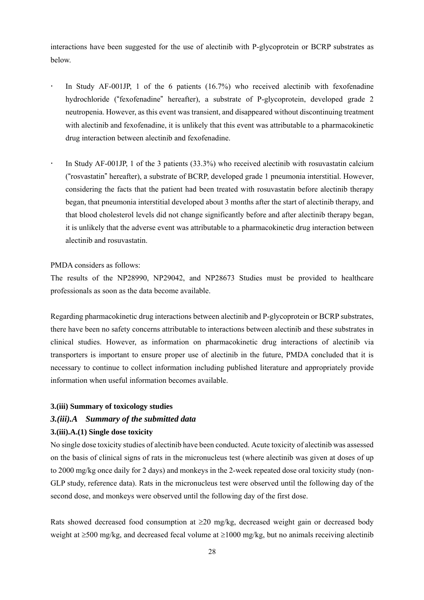interactions have been suggested for the use of alectinib with P-glycoprotein or BCRP substrates as below.

- In Study AF-001JP, 1 of the 6 patients (16.7%) who received alectinib with fexofenadine hydrochloride ("fexofenadine" hereafter), a substrate of P-glycoprotein, developed grade 2 neutropenia. However, as this event was transient, and disappeared without discontinuing treatment with alectinib and fexofenadine, it is unlikely that this event was attributable to a pharmacokinetic drug interaction between alectinib and fexofenadine.
- In Study AF-001JP, 1 of the 3 patients (33.3%) who received alectinib with rosuvastatin calcium ("rosvastatin" hereafter), a substrate of BCRP, developed grade 1 pneumonia interstitial. However, considering the facts that the patient had been treated with rosuvastatin before alectinib therapy began, that pneumonia interstitial developed about 3 months after the start of alectinib therapy, and that blood cholesterol levels did not change significantly before and after alectinib therapy began, it is unlikely that the adverse event was attributable to a pharmacokinetic drug interaction between alectinib and rosuvastatin.

PMDA considers as follows:

The results of the NP28990, NP29042, and NP28673 Studies must be provided to healthcare professionals as soon as the data become available.

Regarding pharmacokinetic drug interactions between alectinib and P-glycoprotein or BCRP substrates, there have been no safety concerns attributable to interactions between alectinib and these substrates in clinical studies. However, as information on pharmacokinetic drug interactions of alectinib via transporters is important to ensure proper use of alectinib in the future, PMDA concluded that it is necessary to continue to collect information including published literature and appropriately provide information when useful information becomes available.

#### **3.(iii) Summary of toxicology studies**

## *3.(iii).A Summary of the submitted data*  **3.(iii).A.(1) Single dose toxicity**

No single dose toxicity studies of alectinib have been conducted. Acute toxicity of alectinib was assessed on the basis of clinical signs of rats in the micronucleus test (where alectinib was given at doses of up to 2000 mg/kg once daily for 2 days) and monkeys in the 2-week repeated dose oral toxicity study (non-GLP study, reference data). Rats in the micronucleus test were observed until the following day of the second dose, and monkeys were observed until the following day of the first dose.

Rats showed decreased food consumption at  $\geq 20$  mg/kg, decreased weight gain or decreased body weight at  $\geq 500$  mg/kg, and decreased fecal volume at  $\geq 1000$  mg/kg, but no animals receiving alectinib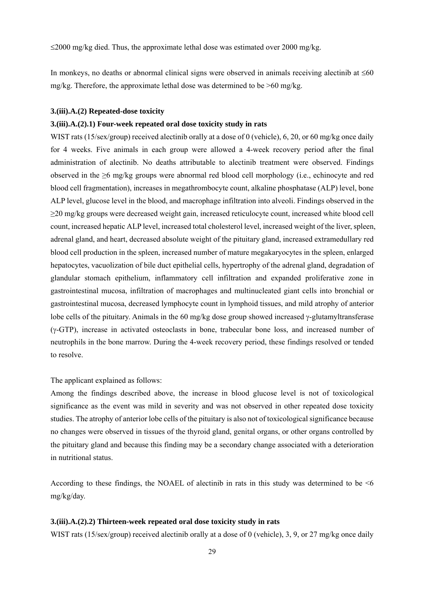$\leq$ 2000 mg/kg died. Thus, the approximate lethal dose was estimated over 2000 mg/kg.

In monkeys, no deaths or abnormal clinical signs were observed in animals receiving alectinib at  $\leq 60$ mg/kg. Therefore, the approximate lethal dose was determined to be  $>60$  mg/kg.

#### **3.(iii).A.(2) Repeated-dose toxicity**

#### **3.(iii).A.(2).1) Four-week repeated oral dose toxicity study in rats**

WIST rats (15/sex/group) received alectinib orally at a dose of 0 (vehicle), 6, 20, or 60 mg/kg once daily for 4 weeks. Five animals in each group were allowed a 4-week recovery period after the final administration of alectinib. No deaths attributable to alectinib treatment were observed. Findings observed in the ≥6 mg/kg groups were abnormal red blood cell morphology (i.e., echinocyte and red blood cell fragmentation), increases in megathrombocyte count, alkaline phosphatase (ALP) level, bone ALP level, glucose level in the blood, and macrophage infiltration into alveoli. Findings observed in the ≥20 mg/kg groups were decreased weight gain, increased reticulocyte count, increased white blood cell count, increased hepatic ALP level, increased total cholesterol level, increased weight of the liver, spleen, adrenal gland, and heart, decreased absolute weight of the pituitary gland, increased extramedullary red blood cell production in the spleen, increased number of mature megakaryocytes in the spleen, enlarged hepatocytes, vacuolization of bile duct epithelial cells, hypertrophy of the adrenal gland, degradation of glandular stomach epithelium, inflammatory cell infiltration and expanded proliferative zone in gastrointestinal mucosa, infiltration of macrophages and multinucleated giant cells into bronchial or gastrointestinal mucosa, decreased lymphocyte count in lymphoid tissues, and mild atrophy of anterior lobe cells of the pituitary. Animals in the 60 mg/kg dose group showed increased  $\gamma$ -glutamyltransferase  $(\gamma$ -GTP), increase in activated osteoclasts in bone, trabecular bone loss, and increased number of neutrophils in the bone marrow. During the 4-week recovery period, these findings resolved or tended to resolve.

The applicant explained as follows:

Among the findings described above, the increase in blood glucose level is not of toxicological significance as the event was mild in severity and was not observed in other repeated dose toxicity studies. The atrophy of anterior lobe cells of the pituitary is also not of toxicological significance because no changes were observed in tissues of the thyroid gland, genital organs, or other organs controlled by the pituitary gland and because this finding may be a secondary change associated with a deterioration in nutritional status.

According to these findings, the NOAEL of alectinib in rats in this study was determined to be <6 mg/kg/day.

#### **3.(iii).A.(2).2) Thirteen-week repeated oral dose toxicity study in rats**

WIST rats (15/sex/group) received alectinib orally at a dose of 0 (vehicle), 3, 9, or 27 mg/kg once daily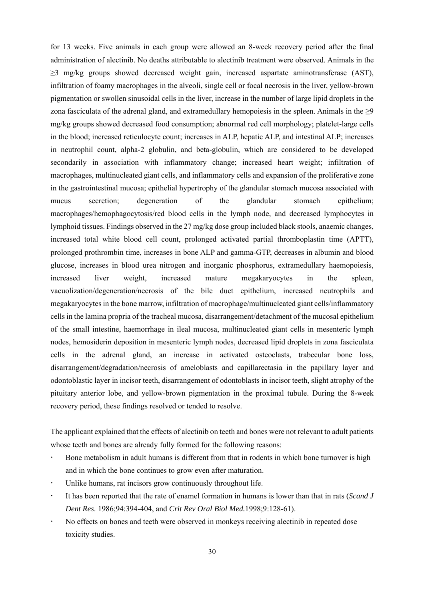for 13 weeks. Five animals in each group were allowed an 8-week recovery period after the final administration of alectinib. No deaths attributable to alectinib treatment were observed. Animals in the ≥3 mg/kg groups showed decreased weight gain, increased aspartate aminotransferase (AST), infiltration of foamy macrophages in the alveoli, single cell or focal necrosis in the liver, yellow-brown pigmentation or swollen sinusoidal cells in the liver, increase in the number of large lipid droplets in the zona fasciculata of the adrenal gland, and extramedullary hemopoiesis in the spleen. Animals in the  $\geq 9$ mg/kg groups showed decreased food consumption; abnormal red cell morphology; platelet-large cells in the blood; increased reticulocyte count; increases in ALP, hepatic ALP, and intestinal ALP; increases in neutrophil count, alpha-2 globulin, and beta-globulin, which are considered to be developed secondarily in association with inflammatory change; increased heart weight; infiltration of macrophages, multinucleated giant cells, and inflammatory cells and expansion of the proliferative zone in the gastrointestinal mucosa; epithelial hypertrophy of the glandular stomach mucosa associated with mucus secretion; degeneration of the glandular stomach epithelium; macrophages/hemophagocytosis/red blood cells in the lymph node, and decreased lymphocytes in lymphoid tissues. Findings observed in the 27 mg/kg dose group included black stools, anaemic changes, increased total white blood cell count, prolonged activated partial thromboplastin time (APTT), prolonged prothrombin time, increases in bone ALP and gamma-GTP, decreases in albumin and blood glucose, increases in blood urea nitrogen and inorganic phosphorus, extramedullary haemopoiesis, increased liver weight, increased mature megakaryocytes in the spleen, vacuolization/degeneration/necrosis of the bile duct epithelium, increased neutrophils and megakaryocytes in the bone marrow, infiltration of macrophage/multinucleated giant cells/inflammatory cells in the lamina propria of the tracheal mucosa, disarrangement/detachment of the mucosal epithelium of the small intestine, haemorrhage in ileal mucosa, multinucleated giant cells in mesenteric lymph nodes, hemosiderin deposition in mesenteric lymph nodes, decreased lipid droplets in zona fasciculata cells in the adrenal gland, an increase in activated osteoclasts, trabecular bone loss, disarrangement/degradation/necrosis of ameloblasts and capillarectasia in the papillary layer and odontoblastic layer in incisor teeth, disarrangement of odontoblasts in incisor teeth, slight atrophy of the pituitary anterior lobe, and yellow-brown pigmentation in the proximal tubule. During the 8-week recovery period, these findings resolved or tended to resolve.

The applicant explained that the effects of alectinib on teeth and bones were not relevant to adult patients whose teeth and bones are already fully formed for the following reasons:

- Bone metabolism in adult humans is different from that in rodents in which bone turnover is high and in which the bone continues to grow even after maturation.
- Unlike humans, rat incisors grow continuously throughout life.
- It has been reported that the rate of enamel formation in humans is lower than that in rats (*Scand J Dent Res*. 1986;94:394-404, and *Crit Rev Oral Biol Med.*1998;9:128-61).
- No effects on bones and teeth were observed in monkeys receiving alectinib in repeated dose toxicity studies.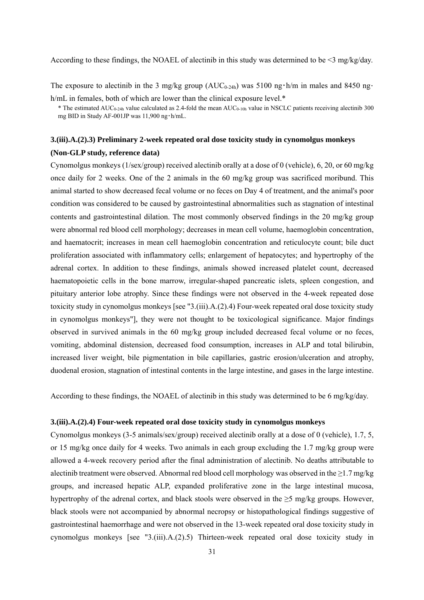According to these findings, the NOAEL of alectinib in this study was determined to be <3 mg/kg/day.

The exposure to alectinib in the 3 mg/kg group ( $AUC_{0-24h}$ ) was 5100 ng·h/m in males and 8450 ng· h/mL in females, both of which are lower than the clinical exposure level.<sup>\*</sup>

\* The estimated AUC0-24h value calculated as 2.4-fold the mean AUC0-10h value in NSCLC patients receiving alectinib 300 mg BID in Study AF-001JP was 11,900 ng・h/mL.

### **3.(iii).A.(2).3) Preliminary 2-week repeated oral dose toxicity study in cynomolgus monkeys (Non-GLP study, reference data)**

Cynomolgus monkeys (1/sex/group) received alectinib orally at a dose of 0 (vehicle), 6, 20, or 60 mg/kg once daily for 2 weeks. One of the 2 animals in the 60 mg/kg group was sacrificed moribund. This animal started to show decreased fecal volume or no feces on Day 4 of treatment, and the animal's poor condition was considered to be caused by gastrointestinal abnormalities such as stagnation of intestinal contents and gastrointestinal dilation. The most commonly observed findings in the 20 mg/kg group were abnormal red blood cell morphology; decreases in mean cell volume, haemoglobin concentration, and haematocrit; increases in mean cell haemoglobin concentration and reticulocyte count; bile duct proliferation associated with inflammatory cells; enlargement of hepatocytes; and hypertrophy of the adrenal cortex. In addition to these findings, animals showed increased platelet count, decreased haematopoietic cells in the bone marrow, irregular-shaped pancreatic islets, spleen congestion, and pituitary anterior lobe atrophy. Since these findings were not observed in the 4-week repeated dose toxicity study in cynomolgus monkeys [see "3.(iii).A.(2).4) Four-week repeated oral dose toxicity study in cynomolgus monkeys"], they were not thought to be toxicological significance. Major findings observed in survived animals in the 60 mg/kg group included decreased fecal volume or no feces, vomiting, abdominal distension, decreased food consumption, increases in ALP and total bilirubin, increased liver weight, bile pigmentation in bile capillaries, gastric erosion/ulceration and atrophy, duodenal erosion, stagnation of intestinal contents in the large intestine, and gases in the large intestine.

According to these findings, the NOAEL of alectinib in this study was determined to be 6 mg/kg/day.

#### **3.(iii).A.(2).4) Four-week repeated oral dose toxicity study in cynomolgus monkeys**

Cynomolgus monkeys (3-5 animals/sex/group) received alectinib orally at a dose of 0 (vehicle), 1.7, 5, or 15 mg/kg once daily for 4 weeks. Two animals in each group excluding the 1.7 mg/kg group were allowed a 4-week recovery period after the final administration of alectinib. No deaths attributable to alectinib treatment were observed. Abnormal red blood cell morphology was observed in the ≥1.7 mg/kg groups, and increased hepatic ALP, expanded proliferative zone in the large intestinal mucosa, hypertrophy of the adrenal cortex, and black stools were observed in the  $\geq$ 5 mg/kg groups. However, black stools were not accompanied by abnormal necropsy or histopathological findings suggestive of gastrointestinal haemorrhage and were not observed in the 13-week repeated oral dose toxicity study in cynomolgus monkeys [see  $"3$ .(iii).A.(2).5) Thirteen-week repeated oral dose toxicity study in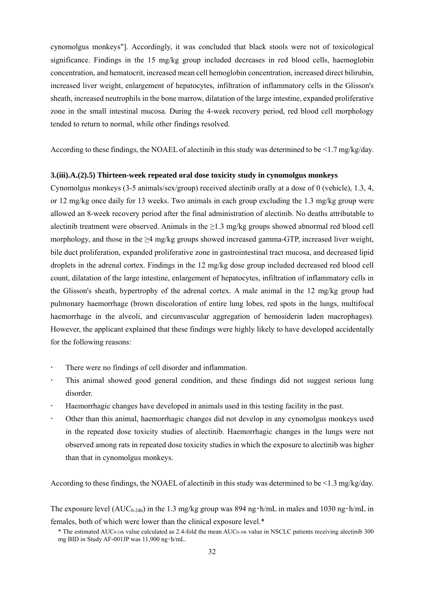cynomolgus monkeys"]. Accordingly, it was concluded that black stools were not of toxicological significance. Findings in the 15 mg/kg group included decreases in red blood cells, haemoglobin concentration, and hematocrit, increased mean cell hemoglobin concentration, increased direct bilirubin, increased liver weight, enlargement of hepatocytes, infiltration of inflammatory cells in the Glisson's sheath, increased neutrophils in the bone marrow, dilatation of the large intestine, expanded proliferative zone in the small intestinal mucosa. During the 4-week recovery period, red blood cell morphology tended to return to normal, while other findings resolved.

According to these findings, the NOAEL of alectinib in this study was determined to be <1.7 mg/kg/day.

#### **3.(iii).A.(2).5) Thirteen-week repeated oral dose toxicity study in cynomolgus monkeys**

Cynomolgus monkeys (3-5 animals/sex/group) received alectinib orally at a dose of 0 (vehicle), 1.3, 4, or 12 mg/kg once daily for 13 weeks. Two animals in each group excluding the 1.3 mg/kg group were allowed an 8-week recovery period after the final administration of alectinib. No deaths attributable to alectinib treatment were observed. Animals in the  $\geq$ 1.3 mg/kg groups showed abnormal red blood cell morphology, and those in the ≥4 mg/kg groups showed increased gamma-GTP, increased liver weight, bile duct proliferation, expanded proliferative zone in gastrointestinal tract mucosa, and decreased lipid droplets in the adrenal cortex. Findings in the 12 mg/kg dose group included decreased red blood cell count, dilatation of the large intestine, enlargement of hepatocytes, infiltration of inflammatory cells in the Glisson's sheath, hypertrophy of the adrenal cortex. A male animal in the 12 mg/kg group had pulmonary haemorrhage (brown discoloration of entire lung lobes, red spots in the lungs, multifocal haemorrhage in the alveoli, and circumvascular aggregation of hemosiderin laden macrophages). However, the applicant explained that these findings were highly likely to have developed accidentally for the following reasons:

- There were no findings of cell disorder and inflammation.
- This animal showed good general condition, and these findings did not suggest serious lung disorder.
- Haemorrhagic changes have developed in animals used in this testing facility in the past.
- Other than this animal, haemorrhagic changes did not develop in any cynomolgus monkeys used in the repeated dose toxicity studies of alectinib. Haemorrhagic changes in the lungs were not observed among rats in repeated dose toxicity studies in which the exposure to alectinib was higher than that in cynomolgus monkeys.

According to these findings, the NOAEL of alectinib in this study was determined to be <1.3 mg/kg/day.

The exposure level ( $AUC_{0-24h}$ ) in the 1.3 mg/kg group was 894 ng  $\cdot$  h/mL in males and 1030 ng $\cdot$  h/mL in females, both of which were lower than the clinical exposure level.\*

<sup>\*</sup> The estimated AUC0-24h value calculated as 2.4-fold the mean AUC0-10h value in NSCLC patients receiving alectinib 300 mg BID in Study AF-001JP was 11,900 ng・h/mL.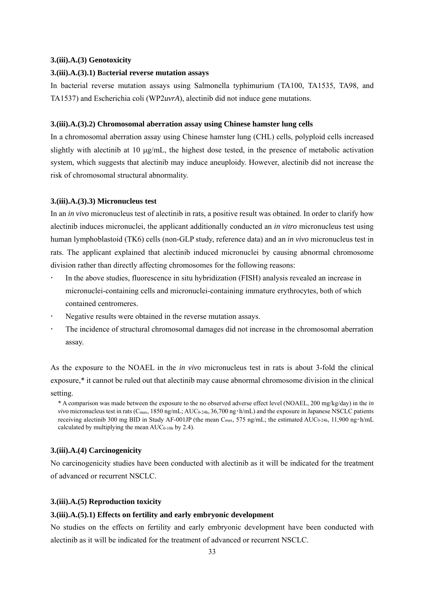#### **3.(iii).A.(3) Genotoxicity**

#### **3.(iii).A.(3).1) B**a**cterial reverse mutation assays**

In bacterial reverse mutation assays using Salmonella typhimurium (TA100, TA1535, TA98, and TA1537) and Escherichia coli (WP2*uvrA*), alectinib did not induce gene mutations.

#### **3.(iii).A.(3).2) Chromosomal aberration assay using Chinese hamster lung cells**

In a chromosomal aberration assay using Chinese hamster lung (CHL) cells, polyploid cells increased slightly with alectinib at 10  $\mu$ g/mL, the highest dose tested, in the presence of metabolic activation system, which suggests that alectinib may induce aneuploidy. However, alectinib did not increase the risk of chromosomal structural abnormality.

#### **3.(iii).A.(3).3) Micronucleus test**

In an *in vivo* micronucleus test of alectinib in rats, a positive result was obtained. In order to clarify how alectinib induces micronuclei, the applicant additionally conducted an *in vitro* micronucleus test using human lymphoblastoid (TK6) cells (non-GLP study, reference data) and an *in vivo* micronucleus test in rats. The applicant explained that alectinib induced micronuclei by causing abnormal chromosome division rather than directly affecting chromosomes for the following reasons:

- In the above studies, fluorescence in situ hybridization (FISH) analysis revealed an increase in micronuclei-containing cells and micronuclei-containing immature erythrocytes, both of which contained centromeres.
- Negative results were obtained in the reverse mutation assays.
- The incidence of structural chromosomal damages did not increase in the chromosomal aberration assay.

As the exposure to the NOAEL in the *in vivo* micronucleus test in rats is about 3-fold the clinical exposure,\* it cannot be ruled out that alectinib may cause abnormal chromosome division in the clinical setting.

\* A comparison was made between the exposure to the no observed adverse effect level (NOAEL, 200 mg/kg/day) in the *in vivo* micronucleus test in rats (C<sub>max</sub>, 1850 ng/mL; AUC<sub>0-24h</sub>, 36,700 ng·h/mL) and the exposure in Japanese NSCLC patients receiving alectinib 300 mg BID in Study AF-001JP (the mean C<sub>max</sub>, 575 ng/mL; the estimated AUC<sub>0-24h</sub>, 11,900 ng·h/mL calculated by multiplying the mean  $AUC_{0-10h}$  by 2.4).

### **3.(iii).A.(4) Carcinogenicity**

No carcinogenicity studies have been conducted with alectinib as it will be indicated for the treatment of advanced or recurrent NSCLC.

### **3.(iii).A.(5) Reproduction toxicity**

#### **3.(iii).A.(5).1) Effects on fertility and early embryonic development**

No studies on the effects on fertility and early embryonic development have been conducted with alectinib as it will be indicated for the treatment of advanced or recurrent NSCLC.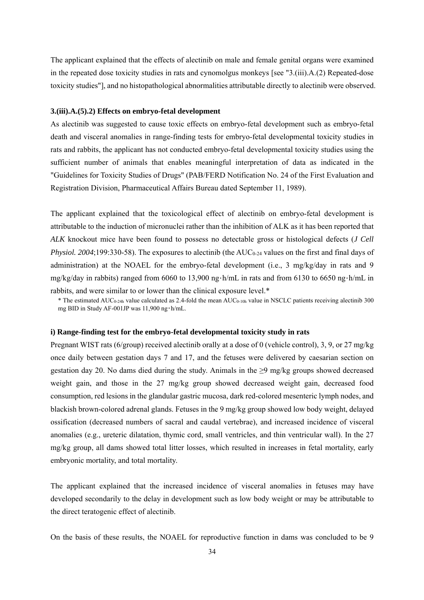The applicant explained that the effects of alectinib on male and female genital organs were examined in the repeated dose toxicity studies in rats and cynomolgus monkeys [see "3.(iii).A.(2) Repeated-dose toxicity studies"], and no histopathological abnormalities attributable directly to alectinib were observed.

#### **3.(iii).A.(5).2) Effects on embryo-fetal development**

As alectinib was suggested to cause toxic effects on embryo-fetal development such as embryo-fetal death and visceral anomalies in range-finding tests for embryo-fetal developmental toxicity studies in rats and rabbits, the applicant has not conducted embryo-fetal developmental toxicity studies using the sufficient number of animals that enables meaningful interpretation of data as indicated in the "Guidelines for Toxicity Studies of Drugs" (PAB/FERD Notification No. 24 of the First Evaluation and Registration Division, Pharmaceutical Affairs Bureau dated September 11, 1989).

The applicant explained that the toxicological effect of alectinib on embryo-fetal development is attributable to the induction of micronuclei rather than the inhibition of ALK as it has been reported that *ALK* knockout mice have been found to possess no detectable gross or histological defects (*J Cell Physiol. 2004*;199:330-58). The exposures to alectinib (the  $AUC_{0.24}$  values on the first and final days of administration) at the NOAEL for the embryo-fetal development (i.e., 3 mg/kg/day in rats and 9 mg/kg/day in rabbits) ranged from 6060 to 13,900 ng・h/mL in rats and from 6130 to 6650 ng・h/mL in rabbits, and were similar to or lower than the clinical exposure level.\*

 $*$  The estimated AUC<sub>0-24h</sub> value calculated as 2.4-fold the mean AUC<sub>0-10h</sub> value in NSCLC patients receiving alectinib 300 mg BID in Study AF-001JP was 11,900 ng・h/mL.

#### **i) Range-finding test for the embryo-fetal developmental toxicity study in rats**

Pregnant WIST rats (6/group) received alectinib orally at a dose of 0 (vehicle control), 3, 9, or 27 mg/kg once daily between gestation days 7 and 17, and the fetuses were delivered by caesarian section on gestation day 20. No dams died during the study. Animals in the ≥9 mg/kg groups showed decreased weight gain, and those in the 27 mg/kg group showed decreased weight gain, decreased food consumption, red lesions in the glandular gastric mucosa, dark red-colored mesenteric lymph nodes, and blackish brown-colored adrenal glands. Fetuses in the 9 mg/kg group showed low body weight, delayed ossification (decreased numbers of sacral and caudal vertebrae), and increased incidence of visceral anomalies (e.g., ureteric dilatation, thymic cord, small ventricles, and thin ventricular wall). In the 27 mg/kg group, all dams showed total litter losses, which resulted in increases in fetal mortality, early embryonic mortality, and total mortality.

The applicant explained that the increased incidence of visceral anomalies in fetuses may have developed secondarily to the delay in development such as low body weight or may be attributable to the direct teratogenic effect of alectinib.

On the basis of these results, the NOAEL for reproductive function in dams was concluded to be 9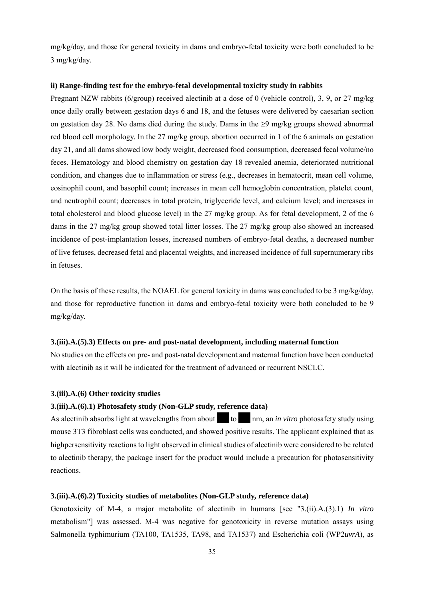mg/kg/day, and those for general toxicity in dams and embryo-fetal toxicity were both concluded to be 3 mg/kg/day.

#### **ii) Range-finding test for the embryo-fetal developmental toxicity study in rabbits**

Pregnant NZW rabbits (6/group) received alectinib at a dose of 0 (vehicle control), 3, 9, or 27 mg/kg once daily orally between gestation days 6 and 18, and the fetuses were delivered by caesarian section on gestation day 28. No dams died during the study. Dams in the  $\geq 9$  mg/kg groups showed abnormal red blood cell morphology. In the 27 mg/kg group, abortion occurred in 1 of the 6 animals on gestation day 21, and all dams showed low body weight, decreased food consumption, decreased fecal volume/no feces. Hematology and blood chemistry on gestation day 18 revealed anemia, deteriorated nutritional condition, and changes due to inflammation or stress (e.g., decreases in hematocrit, mean cell volume, eosinophil count, and basophil count; increases in mean cell hemoglobin concentration, platelet count, and neutrophil count; decreases in total protein, triglyceride level, and calcium level; and increases in total cholesterol and blood glucose level) in the 27 mg/kg group. As for fetal development, 2 of the 6 dams in the 27 mg/kg group showed total litter losses. The 27 mg/kg group also showed an increased incidence of post-implantation losses, increased numbers of embryo-fetal deaths, a decreased number of live fetuses, decreased fetal and placental weights, and increased incidence of full supernumerary ribs in fetuses.

On the basis of these results, the NOAEL for general toxicity in dams was concluded to be 3 mg/kg/day, and those for reproductive function in dams and embryo-fetal toxicity were both concluded to be 9 mg/kg/day.

#### **3.(iii).A.(5).3) Effects on pre- and post-natal development, including maternal function**

No studies on the effects on pre- and post-natal development and maternal function have been conducted with alectinib as it will be indicated for the treatment of advanced or recurrent NSCLC.

#### **3.(iii).A.(6) Other toxicity studies**

#### **3.(iii).A.(6).1) Photosafety study (Non-GLP study, reference data)**

As alectinib absorbs light at wavelengths from about  $\frac{1}{\pi}$  to  $\frac{1}{\pi}$  nm, an *in vitro* photosafety study using mouse 3T3 fibroblast cells was conducted, and showed positive results. The applicant explained that as highpersensitivity reactions to light observed in clinical studies of alectinib were considered to be related to alectinib therapy, the package insert for the product would include a precaution for photosensitivity reactions.

#### **3.(iii).A.(6).2) Toxicity studies of metabolites (Non-GLP study, reference data)**

Genotoxicity of M-4, a major metabolite of alectinib in humans [see "3.(ii).A.(3).1) *In vitro* metabolism"] was assessed. M-4 was negative for genotoxicity in reverse mutation assays using Salmonella typhimurium (TA100, TA1535, TA98, and TA1537) and Escherichia coli (WP2*uvrA*), as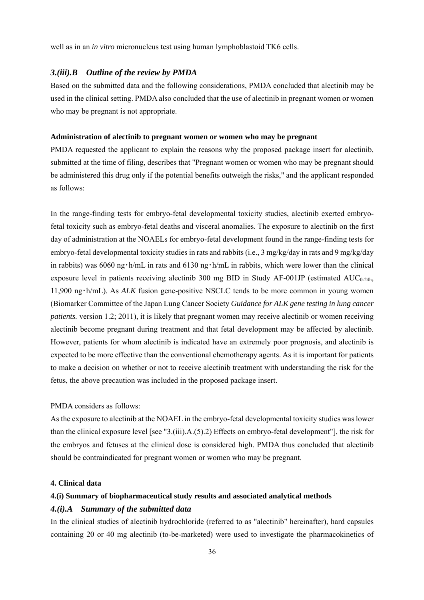well as in an *in vitro* micronucleus test using human lymphoblastoid TK6 cells.

### *3.(iii).B Outline of the review by PMDA*

Based on the submitted data and the following considerations, PMDA concluded that alectinib may be used in the clinical setting. PMDA also concluded that the use of alectinib in pregnant women or women who may be pregnant is not appropriate.

#### **Administration of alectinib to pregnant women or women who may be pregnant**

PMDA requested the applicant to explain the reasons why the proposed package insert for alectinib, submitted at the time of filing, describes that "Pregnant women or women who may be pregnant should be administered this drug only if the potential benefits outweigh the risks," and the applicant responded as follows:

In the range-finding tests for embryo-fetal developmental toxicity studies, alectinib exerted embryofetal toxicity such as embryo-fetal deaths and visceral anomalies. The exposure to alectinib on the first day of administration at the NOAELs for embryo-fetal development found in the range-finding tests for embryo-fetal developmental toxicity studies in rats and rabbits (i.e., 3 mg/kg/day in rats and 9 mg/kg/day in rabbits) was 6060 ng  $\cdot$  h/mL in rats and 6130 ng  $\cdot$  h/mL in rabbits, which were lower than the clinical exposure level in patients receiving alectinib 300 mg BID in Study AF-001JP (estimated  $AUC_{0-24h}$ , 11,900 ng・h/mL). As *ALK* fusion gene-positive NSCLC tends to be more common in young women (Biomarker Committee of the Japan Lung Cancer Society *Guidance for ALK gene testing in lung cancer patients.* version 1.2; 2011), it is likely that pregnant women may receive alectinib or women receiving alectinib become pregnant during treatment and that fetal development may be affected by alectinib. However, patients for whom alectinib is indicated have an extremely poor prognosis, and alectinib is expected to be more effective than the conventional chemotherapy agents. As it is important for patients to make a decision on whether or not to receive alectinib treatment with understanding the risk for the fetus, the above precaution was included in the proposed package insert.

#### PMDA considers as follows:

As the exposure to alectinib at the NOAEL in the embryo-fetal developmental toxicity studies was lower than the clinical exposure level [see "3.(iii).A.(5).2) Effects on embryo-fetal development"], the risk for the embryos and fetuses at the clinical dose is considered high. PMDA thus concluded that alectinib should be contraindicated for pregnant women or women who may be pregnant.

#### **4. Clinical data**

#### **4.(i) Summary of biopharmaceutical study results and associated analytical methods**

### *4.(i).A Summary of the submitted data*

In the clinical studies of alectinib hydrochloride (referred to as "alectinib" hereinafter), hard capsules containing 20 or 40 mg alectinib (to-be-marketed) were used to investigate the pharmacokinetics of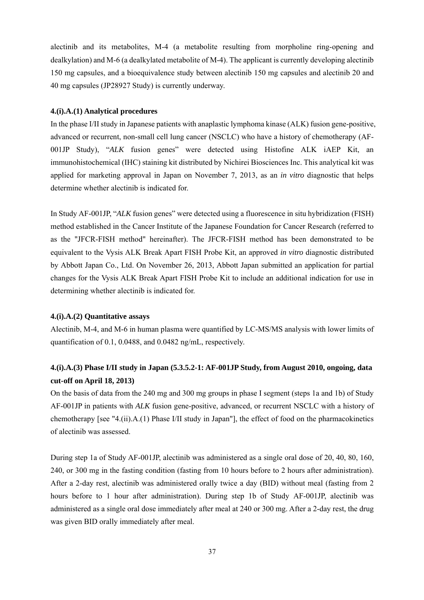alectinib and its metabolites, M-4 (a metabolite resulting from morpholine ring-opening and dealkylation) and M-6 (a dealkylated metabolite of M-4). The applicant is currently developing alectinib 150 mg capsules, and a bioequivalence study between alectinib 150 mg capsules and alectinib 20 and 40 mg capsules (JP28927 Study) is currently underway.

### **4.(i).A.(1) Analytical procedures**

In the phase I/II study in Japanese patients with anaplastic lymphoma kinase (ALK) fusion gene-positive, advanced or recurrent, non-small cell lung cancer (NSCLC) who have a history of chemotherapy (AF-001JP Study), "*ALK* fusion genes" were detected using Histofine ALK iAEP Kit, an immunohistochemical (IHC) staining kit distributed by Nichirei Biosciences Inc. This analytical kit was applied for marketing approval in Japan on November 7, 2013, as an *in vitro* diagnostic that helps determine whether alectinib is indicated for.

In Study AF-001JP, "*ALK* fusion genes" were detected using a fluorescence in situ hybridization (FISH) method established in the Cancer Institute of the Japanese Foundation for Cancer Research (referred to as the "JFCR-FISH method" hereinafter). The JFCR-FISH method has been demonstrated to be equivalent to the Vysis ALK Break Apart FISH Probe Kit, an approved *in vitro* diagnostic distributed by Abbott Japan Co., Ltd. On November 26, 2013, Abbott Japan submitted an application for partial changes for the Vysis ALK Break Apart FISH Probe Kit to include an additional indication for use in determining whether alectinib is indicated for.

### **4.(i).A.(2) Quantitative assays**

Alectinib, M-4, and M-6 in human plasma were quantified by LC-MS/MS analysis with lower limits of quantification of 0.1, 0.0488, and 0.0482 ng/mL, respectively.

# **4.(i).A.(3) Phase I/II study in Japan (5.3.5.2-1: AF-001JP Study, from August 2010, ongoing, data cut-off on April 18, 2013)**

On the basis of data from the 240 mg and 300 mg groups in phase I segment (steps 1a and 1b) of Study AF-001JP in patients with *ALK* fusion gene-positive, advanced, or recurrent NSCLC with a history of chemotherapy [see "4.(ii).A.(1) Phase I/II study in Japan"], the effect of food on the pharmacokinetics of alectinib was assessed.

During step 1a of Study AF-001JP, alectinib was administered as a single oral dose of 20, 40, 80, 160, 240, or 300 mg in the fasting condition (fasting from 10 hours before to 2 hours after administration). After a 2-day rest, alectinib was administered orally twice a day (BID) without meal (fasting from 2 hours before to 1 hour after administration). During step 1b of Study AF-001JP, alectinib was administered as a single oral dose immediately after meal at 240 or 300 mg. After a 2-day rest, the drug was given BID orally immediately after meal.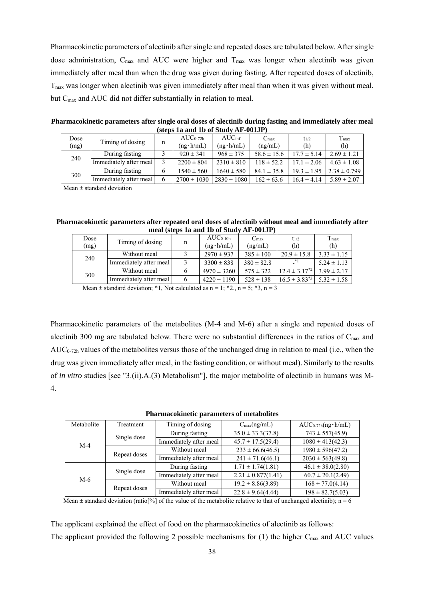Pharmacokinetic parameters of alectinib after single and repeated doses are tabulated below. After single dose administration,  $C_{\text{max}}$  and AUC were higher and  $T_{\text{max}}$  was longer when alectinib was given immediately after meal than when the drug was given during fasting. After repeated doses of alectinib, Tmax was longer when alectinib was given immediately after meal than when it was given without meal, but C<sub>max</sub> and AUC did not differ substantially in relation to meal.

| (steps in and id of study $AF$ - $001Jf$ ) |                        |   |                                    |                                         |                             |                  |                      |
|--------------------------------------------|------------------------|---|------------------------------------|-----------------------------------------|-----------------------------|------------------|----------------------|
| Dose<br>(mg)                               | Timing of dosing       | n | $AUC_{0-72h}$<br>$(ng \cdot h/mL)$ | AUC <sub>inf</sub><br>$(ng \cdot h/mL)$ | $C_{\text{max}}$<br>(ng/mL) | $t_{1/2}$<br>(h) | $T_{\rm max}$<br>(h) |
|                                            | During fasting         |   | $920 \pm 341$                      | $968 \pm 375$                           | $58.6 \pm 15.6$             | $17.7 \pm 5.14$  | $2.69 \pm 1.21$      |
| 240                                        | Immediately after meal |   | $2200 \pm 804$                     | $2310 \pm 810$                          | $118 \pm 52.2$              | $17.1 \pm 2.06$  | $4.63 \pm 1.08$      |
| 300                                        | During fasting         | 6 | $1540 \pm 560$                     | $1640 \pm 580$                          | $84.1 \pm 35.8$             | $19.3 \pm 1.95$  | $2.38 \pm 0.799$     |
|                                            | Immediately after meal | 6 | $2700 \pm 1030$                    | $2830 \pm 1080$                         | $162 \pm 63.6$              | $16.4 \pm 4.14$  | $5.89 \pm 2.07$      |

**Pharmacokinetic parameters after single oral doses of alectinib during fasting and immediately after meal (steps 1a and 1b of Study AF-001JP)** 

Mean  $\pm$  standard deviation

**Pharmacokinetic parameters after repeated oral doses of alectinib without meal and immediately after meal (steps 1a and 1b of Study AF-001JP)** 

| Dose<br>(mg) | Timing of dosing                                                                                                                                                                                                                  | n | $AUC_{0-10h}$<br>$(ng \cdot h/mL)$ | $C_{\text{max}}$<br>(ng/mL) | $t_{1/2}$<br>(h)     | $T_{\text{max}}$<br>(h) |
|--------------|-----------------------------------------------------------------------------------------------------------------------------------------------------------------------------------------------------------------------------------|---|------------------------------------|-----------------------------|----------------------|-------------------------|
|              | Without meal                                                                                                                                                                                                                      |   | $2970 \pm 937$                     | $385 \pm 100$               | $20.9 \pm 15.8$      | $3.33 \pm 1.15$         |
| 240          | Immediately after meal                                                                                                                                                                                                            |   | $3300 \pm 838$                     | $380 \pm 82.8$              | $\mathbf{I}^*$       | $5.24 \pm 1.13$         |
|              | Without meal                                                                                                                                                                                                                      |   | $4970 \pm 3260$                    | $575 \pm 322$               | $12.4 \pm 3.17^{*2}$ | $3.99 \pm 2.17$         |
| 300          | Immediately after meal                                                                                                                                                                                                            |   | $4220 \pm 1190$                    | $528 \pm 138$               | $16.5 \pm 3.83^{*3}$ | $5.32 \pm 1.58$         |
|              | $\mathbf{v}$ , and the second contract of the second contract of the second contract of the second contract of the second contract of the second contract of the second contract of the second contract of the second contract of |   | $\sim$                             | $-1.9$                      |                      |                         |

Mean  $\pm$  standard deviation; \*1, Not calculated as n = 1; \*2., n = 5; \*3, n = 3

Pharmacokinetic parameters of the metabolites (M-4 and M-6) after a single and repeated doses of alectinib 300 mg are tabulated below. There were no substantial differences in the ratios of  $C_{\text{max}}$  and  $AUC_{0.72h}$  values of the metabolites versus those of the unchanged drug in relation to meal (i.e., when the drug was given immediately after meal, in the fasting condition, or without meal). Similarly to the results of *in vitro* studies [see "3.(ii).A.(3) Metabolism"], the major metabolite of alectinib in humans was M-4.

**Pharmacokinetic parameters of metabolites** 

| Metabolite | Treatment    | Timing of dosing       | $C_{\text{max}}(ng/mL)$ | $AUC_{0-72h}(ng \cdot h/mL)$ |
|------------|--------------|------------------------|-------------------------|------------------------------|
|            |              | During fasting         | $35.0 \pm 33.3(37.8)$   | $743 \pm 557(45.9)$          |
| $M-4$      | Single dose  | Immediately after meal | $45.7 \pm 17.5(29.4)$   | $1080 \pm 413(42.3)$         |
|            | Repeat doses | Without meal           | $233 \pm 66.6(46.5)$    | $1980 \pm 596(47.2)$         |
|            |              | Immediately after meal | $241 \pm 71.6(46.1)$    | $2030 \pm 563(49.8)$         |
|            |              | During fasting         | $1.71 \pm 1.74(1.81)$   | $46.1 \pm 38.0(2.80)$        |
| $M-6$      | Single dose  | Immediately after meal | $2.21 \pm 0.877(1.41)$  | $60.7 \pm 20.1(2.49)$        |
|            | Repeat doses | Without meal           | $19.2 \pm 8.86(3.89)$   | $168 \pm 77.0(4.14)$         |
|            |              | Immediately after meal | $22.8 \pm 9.64(4.44)$   | $198 \pm 82.7(5.03)$         |

Mean  $\pm$  standard deviation (ratio[%] of the value of the metabolite relative to that of unchanged alectinib); n = 6

The applicant explained the effect of food on the pharmacokinetics of alectinib as follows: The applicant provided the following 2 possible mechanisms for (1) the higher  $C_{\text{max}}$  and AUC values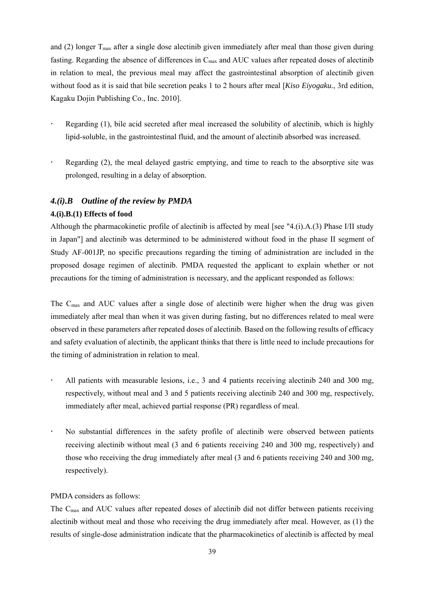and (2) longer  $T_{\text{max}}$  after a single dose alectinib given immediately after meal than those given during fasting. Regarding the absence of differences in  $C_{\text{max}}$  and AUC values after repeated doses of alectinib in relation to meal, the previous meal may affect the gastrointestinal absorption of alectinib given without food as it is said that bile secretion peaks 1 to 2 hours after meal [*Kiso Eiyogaku.*, 3rd edition, Kagaku Dojin Publishing Co., Inc. 2010].

- Regarding (1), bile acid secreted after meal increased the solubility of alectinib, which is highly lipid-soluble, in the gastrointestinal fluid, and the amount of alectinib absorbed was increased.
- Regarding (2), the meal delayed gastric emptying, and time to reach to the absorptive site was prolonged, resulting in a delay of absorption.

## *4.(i).B Outline of the review by PMDA*

### **4.(i).B.(1) Effects of food**

Although the pharmacokinetic profile of alectinib is affected by meal [see "4.(i).A.(3) Phase I/II study in Japan"] and alectinib was determined to be administered without food in the phase II segment of Study AF-001JP, no specific precautions regarding the timing of administration are included in the proposed dosage regimen of alectinib. PMDA requested the applicant to explain whether or not precautions for the timing of administration is necessary, and the applicant responded as follows:

The Cmax and AUC values after a single dose of alectinib were higher when the drug was given immediately after meal than when it was given during fasting, but no differences related to meal were observed in these parameters after repeated doses of alectinib. Based on the following results of efficacy and safety evaluation of alectinib, the applicant thinks that there is little need to include precautions for the timing of administration in relation to meal.

- All patients with measurable lesions, i.e., 3 and 4 patients receiving alectinib 240 and 300 mg, respectively, without meal and 3 and 5 patients receiving alectinib 240 and 300 mg, respectively, immediately after meal, achieved partial response (PR) regardless of meal.
- No substantial differences in the safety profile of alectinib were observed between patients receiving alectinib without meal (3 and 6 patients receiving 240 and 300 mg, respectively) and those who receiving the drug immediately after meal (3 and 6 patients receiving 240 and 300 mg, respectively).

### PMDA considers as follows:

The Cmax and AUC values after repeated doses of alectinib did not differ between patients receiving alectinib without meal and those who receiving the drug immediately after meal. However, as (1) the results of single-dose administration indicate that the pharmacokinetics of alectinib is affected by meal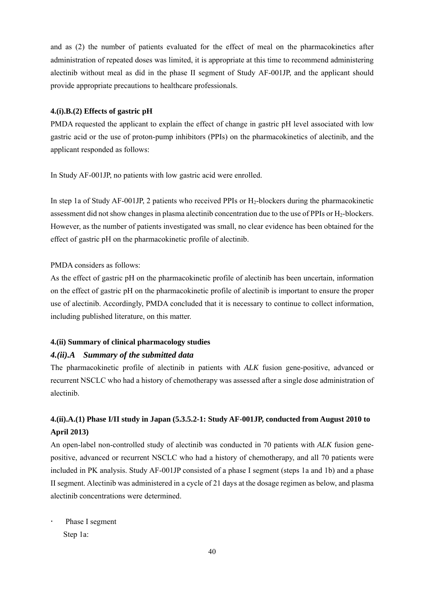and as (2) the number of patients evaluated for the effect of meal on the pharmacokinetics after administration of repeated doses was limited, it is appropriate at this time to recommend administering alectinib without meal as did in the phase II segment of Study AF-001JP, and the applicant should provide appropriate precautions to healthcare professionals.

### **4.(i).B.(2) Effects of gastric pH**

PMDA requested the applicant to explain the effect of change in gastric pH level associated with low gastric acid or the use of proton-pump inhibitors (PPIs) on the pharmacokinetics of alectinib, and the applicant responded as follows:

In Study AF-001JP, no patients with low gastric acid were enrolled.

In step 1a of Study AF-001JP, 2 patients who received PPIs or H2-blockers during the pharmacokinetic assessment did not show changes in plasma alectinib concentration due to the use of PPIs or H<sub>2</sub>-blockers. However, as the number of patients investigated was small, no clear evidence has been obtained for the effect of gastric pH on the pharmacokinetic profile of alectinib.

PMDA considers as follows:

As the effect of gastric pH on the pharmacokinetic profile of alectinib has been uncertain, information on the effect of gastric pH on the pharmacokinetic profile of alectinib is important to ensure the proper use of alectinib. Accordingly, PMDA concluded that it is necessary to continue to collect information, including published literature, on this matter.

### **4.(ii) Summary of clinical pharmacology studies**

## *4.(ii).A Summary of the submitted data*

The pharmacokinetic profile of alectinib in patients with *ALK* fusion gene-positive, advanced or recurrent NSCLC who had a history of chemotherapy was assessed after a single dose administration of alectinib.

# **4.(ii).A.(1) Phase I/II study in Japan (5.3.5.2-1: Study AF-001JP, conducted from August 2010 to April 2013)**

An open-label non-controlled study of alectinib was conducted in 70 patients with *ALK* fusion genepositive, advanced or recurrent NSCLC who had a history of chemotherapy, and all 70 patients were included in PK analysis. Study AF-001JP consisted of a phase I segment (steps 1a and 1b) and a phase II segment. Alectinib was administered in a cycle of 21 days at the dosage regimen as below, and plasma alectinib concentrations were determined.

 Phase I segment Step 1a: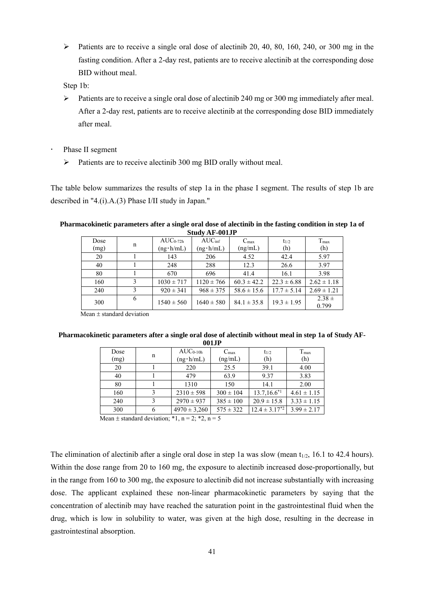$\triangleright$  Patients are to receive a single oral dose of alectinib 20, 40, 80, 160, 240, or 300 mg in the fasting condition. After a 2-day rest, patients are to receive alectinib at the corresponding dose BID without meal.

Step 1b:

- $\triangleright$  Patients are to receive a single oral dose of alectinib 240 mg or 300 mg immediately after meal. After a 2-day rest, patients are to receive alectinib at the corresponding dose BID immediately after meal.
- Phase II segment
	- $\triangleright$  Patients are to receive alectinib 300 mg BID orally without meal.

The table below summarizes the results of step 1a in the phase I segment. The results of step 1b are described in "4.(i).A.(3) Phase I/II study in Japan."

#### **Pharmacokinetic parameters after a single oral dose of alectinib in the fasting condition in step 1a of Study AF-001JP**

| Dose<br>(mg) | n | $AUC_{0-72h}$<br>$(ng \cdot h/mL)$ | AUC <sub>inf</sub><br>$(ng \cdot h/mL)$ | $C_{\text{max}}$<br>(ng/mL) | $t_{1/2}$<br>(h) | $T_{\text{max}}$<br>(h) |
|--------------|---|------------------------------------|-----------------------------------------|-----------------------------|------------------|-------------------------|
| 20           |   | 143                                | 206                                     | 4.52                        | 42.4             | 5.97                    |
| 40           |   | 248                                | 288                                     | 12.3                        | 26.6             | 3.97                    |
| 80           |   | 670                                | 696                                     | 41.4                        | 16.1             | 3.98                    |
| 160          |   | $1030 \pm 717$                     | $1120 \pm 766$                          | $60.3 \pm 42.2$             | $22.3 \pm 6.88$  | $2.62 \pm 1.18$         |
| 240          | 3 | $920 \pm 341$                      | $968 \pm 375$                           | $58.6 \pm 15.6$             | $17.7 \pm 5.14$  | $2.69 \pm 1.21$         |
| 300          | 6 | $1540 \pm 560$                     | $1640 \pm 580$                          | $84.1 \pm 35.8$             | $19.3 \pm 1.95$  | $2.38 \pm$<br>0.799     |

Mean  $\pm$  standard deviation

#### **Pharmacokinetic parameters after a single oral dose of alectinib without meal in step 1a of Study AF-001JP**

| .            |   |                                    |                             |                      |                      |  |  |  |
|--------------|---|------------------------------------|-----------------------------|----------------------|----------------------|--|--|--|
| Dose<br>(mg) | n | $AUC_{0-10h}$<br>$(ng \cdot h/mL)$ | $C_{\text{max}}$<br>(ng/mL) | $t_{1/2}$<br>(h)     | $T_{\rm max}$<br>(h) |  |  |  |
| 20           |   | 220                                | 25.5                        | 39.1                 | 4.00                 |  |  |  |
| 40           |   | 479                                | 63.9                        | 9.37                 | 3.83                 |  |  |  |
| 80           |   | 1310                               | 150                         | 14.1                 | 2.00                 |  |  |  |
| 160          |   | $2310 \pm 598$                     | $300 \pm 104$               | $13.7, 16.6^{*1}$    | $4.61 \pm 1.15$      |  |  |  |
| 240          |   | $2970 \pm 937$                     | $385 \pm 100$               | $20.9 \pm 15.8$      | $3.33 \pm 1.15$      |  |  |  |
| 300          | 6 | $4970 \pm 3,260$                   | $575 \pm 322$               | $12.4 \pm 3.17^{*2}$ | $3.99 \pm 2.17$      |  |  |  |

Mean  $\pm$  standard deviation; \*1, n = 2; \*2, n = 5

The elimination of alectinib after a single oral dose in step 1a was slow (mean  $t_{1/2}$ , 16.1 to 42.4 hours). Within the dose range from 20 to 160 mg, the exposure to alectinib increased dose-proportionally, but in the range from 160 to 300 mg, the exposure to alectinib did not increase substantially with increasing dose. The applicant explained these non-linear pharmacokinetic parameters by saying that the concentration of alectinib may have reached the saturation point in the gastrointestinal fluid when the drug, which is low in solubility to water, was given at the high dose, resulting in the decrease in gastrointestinal absorption.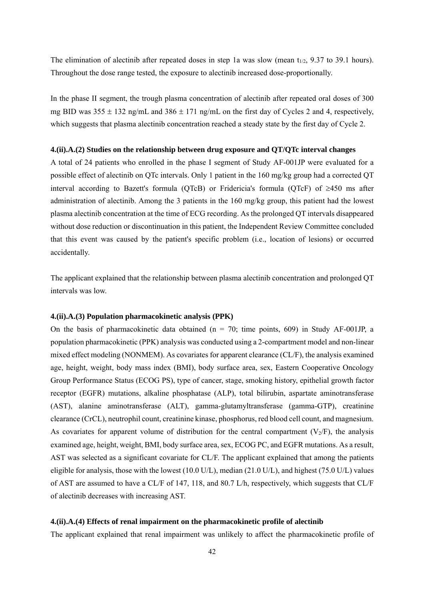The elimination of alectinib after repeated doses in step 1a was slow (mean  $t_{1/2}$ , 9.37 to 39.1 hours). Throughout the dose range tested, the exposure to alectinib increased dose-proportionally.

In the phase II segment, the trough plasma concentration of alectinib after repeated oral doses of 300 mg BID was  $355 \pm 132$  ng/mL and  $386 \pm 171$  ng/mL on the first day of Cycles 2 and 4, respectively, which suggests that plasma alectinib concentration reached a steady state by the first day of Cycle 2.

#### **4.(ii).A.(2) Studies on the relationship between drug exposure and QT/QTc interval changes**

A total of 24 patients who enrolled in the phase I segment of Study AF-001JP were evaluated for a possible effect of alectinib on QTc intervals. Only 1 patient in the 160 mg/kg group had a corrected QT interval according to Bazett's formula (QTcB) or Fridericia's formula (QTcF) of  $\geq$ 450 ms after administration of alectinib. Among the 3 patients in the 160 mg/kg group, this patient had the lowest plasma alectinib concentration at the time of ECG recording. As the prolonged QT intervals disappeared without dose reduction or discontinuation in this patient, the Independent Review Committee concluded that this event was caused by the patient's specific problem (i.e., location of lesions) or occurred accidentally.

The applicant explained that the relationship between plasma alectinib concentration and prolonged QT intervals was low.

### **4.(ii).A.(3) Population pharmacokinetic analysis (PPK)**

On the basis of pharmacokinetic data obtained ( $n = 70$ ; time points, 609) in Study AF-001JP, a population pharmacokinetic (PPK) analysis was conducted using a 2-compartment model and non-linear mixed effect modeling (NONMEM). As covariates for apparent clearance (CL/F), the analysis examined age, height, weight, body mass index (BMI), body surface area, sex, Eastern Cooperative Oncology Group Performance Status (ECOG PS), type of cancer, stage, smoking history, epithelial growth factor receptor (EGFR) mutations, alkaline phosphatase (ALP), total bilirubin, aspartate aminotransferase (AST), alanine aminotransferase (ALT), gamma-glutamyltransferase (gamma-GTP), creatinine clearance (CrCL), neutrophil count, creatinine kinase, phosphorus, red blood cell count, and magnesium. As covariates for apparent volume of distribution for the central compartment  $(V_2/F)$ , the analysis examined age, height, weight, BMI, body surface area, sex, ECOG PC, and EGFR mutations. As a result, AST was selected as a significant covariate for CL/F. The applicant explained that among the patients eligible for analysis, those with the lowest (10.0 U/L), median (21.0 U/L), and highest (75.0 U/L) values of AST are assumed to have a CL/F of 147, 118, and 80.7 L/h, respectively, which suggests that CL/F of alectinib decreases with increasing AST.

### **4.(ii).A.(4) Effects of renal impairment on the pharmacokinetic profile of alectinib**

The applicant explained that renal impairment was unlikely to affect the pharmacokinetic profile of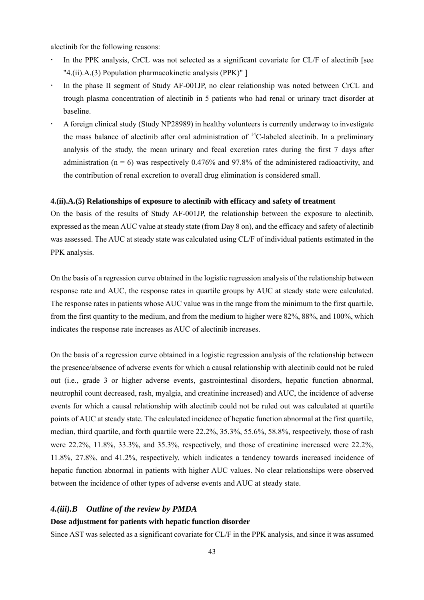alectinib for the following reasons:

- In the PPK analysis, CrCL was not selected as a significant covariate for CL/F of alectinib [see "4.(ii).A.(3) Population pharmacokinetic analysis (PPK)" ]
- In the phase II segment of Study AF-001JP, no clear relationship was noted between CrCL and trough plasma concentration of alectinib in 5 patients who had renal or urinary tract disorder at baseline.
- A foreign clinical study (Study NP28989) in healthy volunteers is currently underway to investigate the mass balance of alectinib after oral administration of  $^{14}$ C-labeled alectinib. In a preliminary analysis of the study, the mean urinary and fecal excretion rates during the first 7 days after administration ( $n = 6$ ) was respectively 0.476% and 97.8% of the administered radioactivity, and the contribution of renal excretion to overall drug elimination is considered small.

### **4.(ii).A.(5) Relationships of exposure to alectinib with efficacy and safety of treatment**

On the basis of the results of Study AF-001JP, the relationship between the exposure to alectinib, expressed as the mean AUC value at steady state (from Day 8 on), and the efficacy and safety of alectinib was assessed. The AUC at steady state was calculated using CL/F of individual patients estimated in the PPK analysis.

On the basis of a regression curve obtained in the logistic regression analysis of the relationship between response rate and AUC, the response rates in quartile groups by AUC at steady state were calculated. The response rates in patients whose AUC value was in the range from the minimum to the first quartile, from the first quantity to the medium, and from the medium to higher were 82%, 88%, and 100%, which indicates the response rate increases as AUC of alectinib increases.

On the basis of a regression curve obtained in a logistic regression analysis of the relationship between the presence/absence of adverse events for which a causal relationship with alectinib could not be ruled out (i.e., grade 3 or higher adverse events, gastrointestinal disorders, hepatic function abnormal, neutrophil count decreased, rash, myalgia, and creatinine increased) and AUC, the incidence of adverse events for which a causal relationship with alectinib could not be ruled out was calculated at quartile points of AUC at steady state. The calculated incidence of hepatic function abnormal at the first quartile, median, third quartile, and forth quartile were 22.2%, 35.3%, 55.6%, 58.8%, respectively, those of rash were 22.2%, 11.8%, 33.3%, and 35.3%, respectively, and those of creatinine increased were 22.2%, 11.8%, 27.8%, and 41.2%, respectively, which indicates a tendency towards increased incidence of hepatic function abnormal in patients with higher AUC values. No clear relationships were observed between the incidence of other types of adverse events and AUC at steady state.

### *4.(iii).B Outline of the review by PMDA*

#### **Dose adjustment for patients with hepatic function disorder**

Since AST was selected as a significant covariate for CL/F in the PPK analysis, and since it was assumed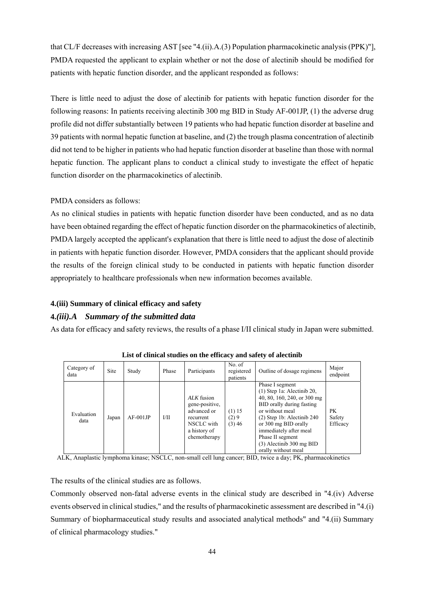that CL/F decreases with increasing AST [see "4.(ii).A.(3) Population pharmacokinetic analysis (PPK)"], PMDA requested the applicant to explain whether or not the dose of alectinib should be modified for patients with hepatic function disorder, and the applicant responded as follows:

There is little need to adjust the dose of alectinib for patients with hepatic function disorder for the following reasons: In patients receiving alectinib 300 mg BID in Study AF-001JP, (1) the adverse drug profile did not differ substantially between 19 patients who had hepatic function disorder at baseline and 39 patients with normal hepatic function at baseline, and (2) the trough plasma concentration of alectinib did not tend to be higher in patients who had hepatic function disorder at baseline than those with normal hepatic function. The applicant plans to conduct a clinical study to investigate the effect of hepatic function disorder on the pharmacokinetics of alectinib.

## PMDA considers as follows:

As no clinical studies in patients with hepatic function disorder have been conducted, and as no data have been obtained regarding the effect of hepatic function disorder on the pharmacokinetics of alectinib, PMDA largely accepted the applicant's explanation that there is little need to adjust the dose of alectinib in patients with hepatic function disorder. However, PMDA considers that the applicant should provide the results of the foreign clinical study to be conducted in patients with hepatic function disorder appropriately to healthcare professionals when new information becomes available.

### **4.(iii) Summary of clinical efficacy and safety**

### **4.***(iii).A Summary of the submitted data*

As data for efficacy and safety reviews, the results of a phase I/II clinical study in Japan were submitted.

| Category of<br>data | <b>Site</b> | Study      | Phase | Participants                                                                                           | No. of<br>registered<br>patients | Outline of dosage regimens                                                                                                                                                                                                                                                                | Major<br>endpoint        |
|---------------------|-------------|------------|-------|--------------------------------------------------------------------------------------------------------|----------------------------------|-------------------------------------------------------------------------------------------------------------------------------------------------------------------------------------------------------------------------------------------------------------------------------------------|--------------------------|
| Evaluation<br>data  | Japan       | $AF-001JP$ | I/II  | ALK fusion<br>gene-positive,<br>advanced or<br>recurrent<br>NSCLC with<br>a history of<br>chemotherapy | (1) 15<br>(2)9<br>(3)46          | Phase I segment<br>$(1)$ Step 1a: Alectinib 20,<br>40, 80, 160, 240, or 300 mg<br>BID orally during fasting<br>or without meal<br>$(2)$ Step 1b: Alectinib 240<br>or 300 mg BID orally<br>immediately after meal<br>Phase II segment<br>$(3)$ Alectinib 300 mg BID<br>orally without meal | PK<br>Safety<br>Efficacy |

**List of clinical studies on the efficacy and safety of alectinib** 

ALK, Anaplastic lymphoma kinase; NSCLC, non-small cell lung cancer; BID, twice a day; PK, pharmacokinetics

The results of the clinical studies are as follows.

Commonly observed non-fatal adverse events in the clinical study are described in "4.(iv) Adverse events observed in clinical studies," and the results of pharmacokinetic assessment are described in "4.(i) Summary of biopharmaceutical study results and associated analytical methods" and "4.(ii) Summary of clinical pharmacology studies."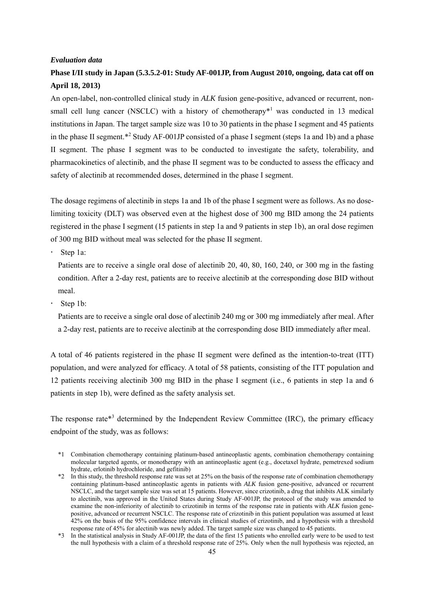### *Evaluation data*

# **Phase I/II study in Japan (5.3.5.2-01: Study AF-001JP, from August 2010, ongoing, data cat off on April 18, 2013)**

An open-label, non-controlled clinical study in *ALK* fusion gene-positive, advanced or recurrent, nonsmall cell lung cancer (NSCLC) with a history of chemotherapy $*$ <sup>1</sup> was conducted in 13 medical institutions in Japan. The target sample size was 10 to 30 patients in the phase I segment and 45 patients in the phase II segment.\*<sup>2</sup> Study AF-001JP consisted of a phase I segment (steps 1a and 1b) and a phase II segment. The phase I segment was to be conducted to investigate the safety, tolerability, and pharmacokinetics of alectinib, and the phase II segment was to be conducted to assess the efficacy and safety of alectinib at recommended doses, determined in the phase I segment.

The dosage regimens of alectinib in steps 1a and 1b of the phase I segment were as follows. As no doselimiting toxicity (DLT) was observed even at the highest dose of 300 mg BID among the 24 patients registered in the phase I segment (15 patients in step 1a and 9 patients in step 1b), an oral dose regimen of 300 mg BID without meal was selected for the phase II segment.

Step 1a:

Patients are to receive a single oral dose of alectinib 20, 40, 80, 160, 240, or 300 mg in the fasting condition. After a 2-day rest, patients are to receive alectinib at the corresponding dose BID without meal.

Step 1b:

Patients are to receive a single oral dose of alectinib 240 mg or 300 mg immediately after meal. After a 2-day rest, patients are to receive alectinib at the corresponding dose BID immediately after meal.

A total of 46 patients registered in the phase II segment were defined as the intention-to-treat (ITT) population, and were analyzed for efficacy. A total of 58 patients, consisting of the ITT population and 12 patients receiving alectinib 300 mg BID in the phase I segment (i.e., 6 patients in step 1a and 6 patients in step 1b), were defined as the safety analysis set.

The response rate\*<sup>3</sup> determined by the Independent Review Committee (IRC), the primary efficacy endpoint of the study, was as follows:

<sup>\*1</sup> Combination chemotherapy containing platinum-based antineoplastic agents, combination chemotherapy containing molecular targeted agents, or monotherapy with an antineoplastic agent (e.g., docetaxel hydrate, pemetrexed sodium hydrate, erlotinib hydrochloride, and gefitinib)

<sup>\*2</sup> In this study, the threshold response rate was set at 25% on the basis of the response rate of combination chemotherapy containing platinum-based antineoplastic agents in patients with *ALK* fusion gene-positive, advanced or recurrent NSCLC, and the target sample size was set at 15 patients. However, since crizotinib, a drug that inhibits ALK similarly to alectinib, was approved in the United States during Study AF-001JP, the protocol of the study was amended to examine the non-inferiority of alectinib to crizotinib in terms of the response rate in patients with *ALK* fusion genepositive, advanced or recurrent NSCLC. The response rate of crizotinib in this patient population was assumed at least 42% on the basis of the 95% confidence intervals in clinical studies of crizotinib, and a hypothesis with a threshold response rate of 45% for alectinib was newly added. The target sample size was changed to 45 patients.

<sup>\*3</sup> In the statistical analysis in Study AF-001JP, the data of the first 15 patients who enrolled early were to be used to test the null hypothesis with a claim of a threshold response rate of 25%. Only when the null hypothesis was rejected, an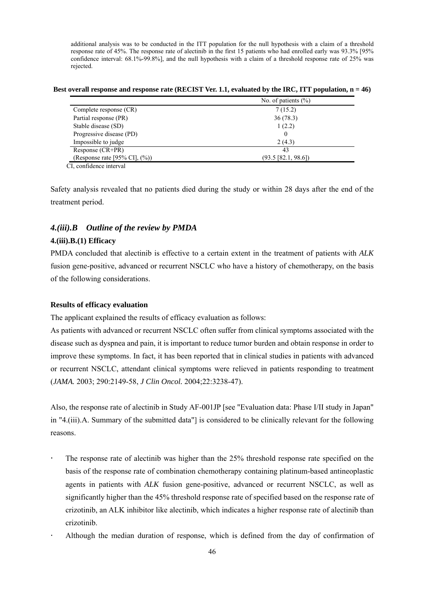additional analysis was to be conducted in the ITT population for the null hypothesis with a claim of a threshold response rate of 45%. The response rate of alectinib in the first 15 patients who had enrolled early was 93.3% [95% confidence interval: 68.1%-99.8%], and the null hypothesis with a claim of a threshold response rate of 25% was rejected.

Best overall response and response rate (RECIST Ver. 1.1, evaluated by the IRC, ITT population, n = 46)

| No. of patients $(\% )$  |
|--------------------------|
| 7(15.2)                  |
| 36(78.3)                 |
| 1(2.2)                   |
| 0                        |
| 2(4.3)                   |
| 43                       |
| $(93.5 \, [82.1, 98.6])$ |
|                          |

CI, confidence interval

Safety analysis revealed that no patients died during the study or within 28 days after the end of the treatment period.

## *4.(iii).B Outline of the review by PMDA*

### **4.(iii).B.(1) Efficacy**

PMDA concluded that alectinib is effective to a certain extent in the treatment of patients with *ALK* fusion gene-positive, advanced or recurrent NSCLC who have a history of chemotherapy, on the basis of the following considerations.

### **Results of efficacy evaluation**

The applicant explained the results of efficacy evaluation as follows:

As patients with advanced or recurrent NSCLC often suffer from clinical symptoms associated with the disease such as dyspnea and pain, it is important to reduce tumor burden and obtain response in order to improve these symptoms. In fact, it has been reported that in clinical studies in patients with advanced or recurrent NSCLC, attendant clinical symptoms were relieved in patients responding to treatment (*JAMA.* 2003; 290:2149-58, *J Clin Oncol.* 2004;22:3238-47).

Also, the response rate of alectinib in Study AF-001JP [see "Evaluation data: Phase I/II study in Japan" in "4.(iii).A. Summary of the submitted data"] is considered to be clinically relevant for the following reasons.

- The response rate of alectinib was higher than the 25% threshold response rate specified on the basis of the response rate of combination chemotherapy containing platinum-based antineoplastic agents in patients with *ALK* fusion gene-positive, advanced or recurrent NSCLC, as well as significantly higher than the 45% threshold response rate of specified based on the response rate of crizotinib, an ALK inhibitor like alectinib, which indicates a higher response rate of alectinib than crizotinib.
- Although the median duration of response, which is defined from the day of confirmation of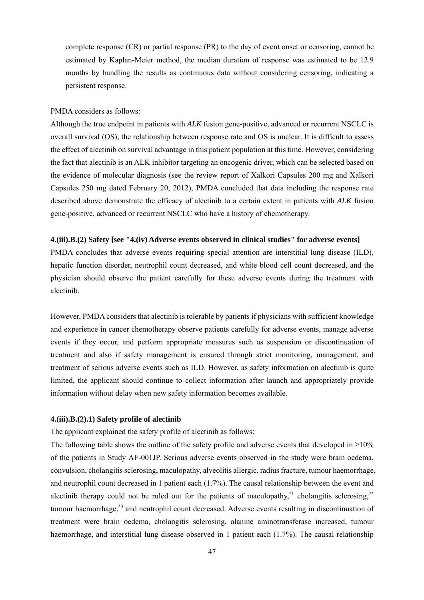complete response (CR) or partial response (PR) to the day of event onset or censoring, cannot be estimated by Kaplan-Meier method, the median duration of response was estimated to be 12.9 months by handling the results as continuous data without considering censoring, indicating a persistent response.

### PMDA considers as follows:

Although the true endpoint in patients with *ALK* fusion gene-positive, advanced or recurrent NSCLC is overall survival (OS), the relationship between response rate and OS is unclear. It is difficult to assess the effect of alectinib on survival advantage in this patient population at this time. However, considering the fact that alectinib is an ALK inhibitor targeting an oncogenic driver, which can be selected based on the evidence of molecular diagnosis (see the review report of Xalkori Capsules 200 mg and Xalkori Capsules 250 mg dated February 20, 2012), PMDA concluded that data including the response rate described above demonstrate the efficacy of alectinib to a certain extent in patients with *ALK* fusion gene-positive, advanced or recurrent NSCLC who have a history of chemotherapy.

### **4.(iii).B.(2) Safety [see "4.(iv) Adverse events observed in clinical studies" for adverse events]**

PMDA concludes that adverse events requiring special attention are interstitial lung disease (ILD), hepatic function disorder, neutrophil count decreased, and white blood cell count decreased, and the physician should observe the patient carefully for these adverse events during the treatment with alectinib.

However, PMDA considers that alectinib is tolerable by patients if physicians with sufficient knowledge and experience in cancer chemotherapy observe patients carefully for adverse events, manage adverse events if they occur, and perform appropriate measures such as suspension or discontinuation of treatment and also if safety management is ensured through strict monitoring, management, and treatment of serious adverse events such as ILD. However, as safety information on alectinib is quite limited, the applicant should continue to collect information after launch and appropriately provide information without delay when new safety information becomes available.

### **4.(iii).B.(2).1) Safety profile of alectinib**

The applicant explained the safety profile of alectinib as follows:

The following table shows the outline of the safety profile and adverse events that developed in  $\geq 10\%$ of the patients in Study AF-001JP. Serious adverse events observed in the study were brain oedema, convulsion, cholangitis sclerosing, maculopathy, alveolitis allergic, radius fracture, tumour haemorrhage, and neutrophil count decreased in 1 patient each (1.7%). The causal relationship between the event and alectinib therapy could not be ruled out for the patients of maculopathy,<sup>\*1</sup> cholangitis sclerosing,<sup>2\*</sup> tumour haemorrhage,\*3 and neutrophil count decreased. Adverse events resulting in discontinuation of treatment were brain oedema, cholangitis sclerosing, alanine aminotransferase increased, tumour haemorrhage, and interstitial lung disease observed in 1 patient each (1.7%). The causal relationship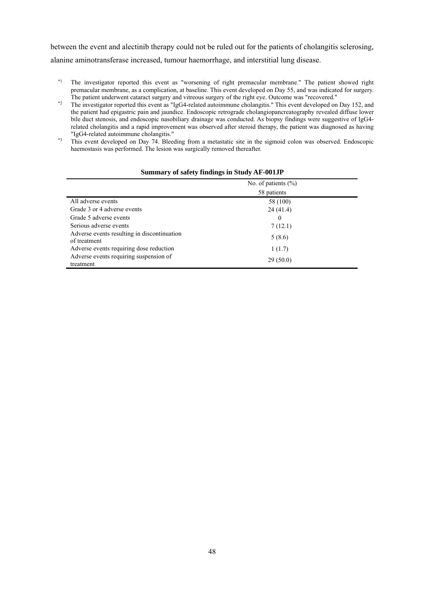between the event and alectinib therapy could not be ruled out for the patients of cholangitis sclerosing, alanine aminotransferase increased, tumour haemorrhage, and interstitial lung disease.

- \*1 The investigator reported this event as "worsening of right premacular membrane." The patient showed right premacular membrane, as a complication, at baseline. This event developed on Day 55, and was indicated for surgery.
- The patient underwent cataract surgery and vitreous surgery of the right eye. Outcome was "recovered."<br><sup>\*2</sup> The investigator reported this event as "IgG4-related autoimmune cholangitis." This event developed on Day 152, an the patient had epigastric pain and jaundice. Endoscopic retrograde cholangiopancreatography revealed diffuse lower bile duct stenosis, and endoscopic nasobiliary drainage was conducted. As biopsy findings were suggestive of IgG4 related cholangitis and a rapid improvement was observed after steroid therapy, the patient was diagnosed as having
- "IgG4-related autoimmune cholangitis." \*3 This event developed on Day 74. Bleeding from a metastatic site in the sigmoid colon was observed. Endoscopic haemostasis was performed. The lesion was surgically removed thereafter.

|                                                             | No. of patients $(\% )$ |  |
|-------------------------------------------------------------|-------------------------|--|
|                                                             | 58 patients             |  |
| All adverse events                                          | 58 (100)                |  |
| Grade 3 or 4 adverse events                                 | 24(41.4)                |  |
| Grade 5 adverse events                                      | $\theta$                |  |
| Serious adverse events                                      | 7(12.1)                 |  |
| Adverse events resulting in discontinuation<br>of treatment | 5(8.6)                  |  |
| Adverse events requiring dose reduction                     | 1(1.7)                  |  |
| Adverse events requiring suspension of<br>treatment         | 29(50.0)                |  |

### **Summary of safety findings in Study AF-001JP**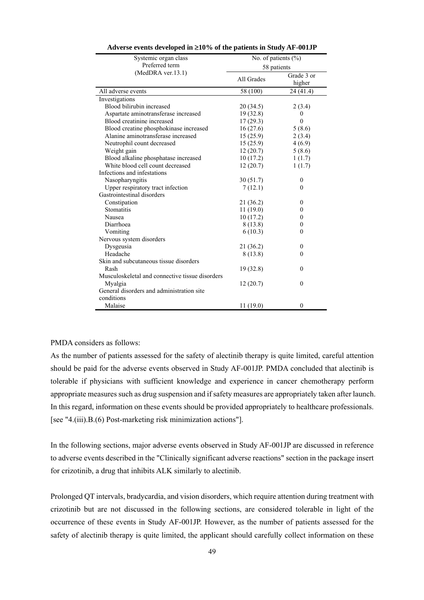| Systemic organ class                            | No. of patients $(\%)$ |                      |  |  |
|-------------------------------------------------|------------------------|----------------------|--|--|
| Preferred term                                  | 58 patients            |                      |  |  |
| $(MedDRA$ ver.13.1)                             | All Grades             | Grade 3 or<br>higher |  |  |
| All adverse events                              | 58 (100)               | 24 (41.4)            |  |  |
| Investigations                                  |                        |                      |  |  |
| Blood bilirubin increased                       | 20 (34.5)              | 2(3.4)               |  |  |
| Aspartate aminotransferase increased            | 19 (32.8)              | $\theta$             |  |  |
| Blood creatinine increased                      | 17(29.3)               | $\mathbf{0}$         |  |  |
| Blood creatine phosphokinase increased          | 16(27.6)               | 5(8.6)               |  |  |
| Alanine aminotransferase increased              | 15(25.9)               | 2(3.4)               |  |  |
| Neutrophil count decreased                      | 15(25.9)               | 4(6.9)               |  |  |
| Weight gain                                     | 12(20.7)               | 5(8.6)               |  |  |
| Blood alkaline phosphatase increased            | 10(17.2)               | 1(1.7)               |  |  |
| White blood cell count decreased                | 12(20.7)               | 1(1.7)               |  |  |
| Infections and infestations                     |                        |                      |  |  |
| Nasopharyngitis                                 | 30(51.7)               | 0                    |  |  |
| Upper respiratory tract infection               | 7(12.1)                | $\theta$             |  |  |
| Gastrointestinal disorders                      |                        |                      |  |  |
| Constipation                                    | 21 (36.2)              | 0                    |  |  |
| Stomatitis                                      | 11(19.0)               | 0                    |  |  |
| Nausea                                          | 10(17.2)               | $\boldsymbol{0}$     |  |  |
| Diarrhoea                                       | 8(13.8)                | 0                    |  |  |
| Vomiting                                        | 6(10.3)                | $\theta$             |  |  |
| Nervous system disorders                        |                        |                      |  |  |
| Dysgeusia                                       | 21(36.2)               | $\boldsymbol{0}$     |  |  |
| Headache                                        | 8 (13.8)               | $\theta$             |  |  |
| Skin and subcutaneous tissue disorders          |                        |                      |  |  |
| Rash                                            | 19 (32.8)              | $\boldsymbol{0}$     |  |  |
| Musculoskeletal and connective tissue disorders |                        |                      |  |  |
| Myalgia                                         | 12(20.7)               | $\mathbf{0}$         |  |  |
| General disorders and administration site       |                        |                      |  |  |
| conditions                                      |                        |                      |  |  |
| Malaise                                         | 11(19.0)               | $\overline{0}$       |  |  |
|                                                 |                        |                      |  |  |

#### **Adverse events developed in 10% of the patients in Study AF-001JP**

### PMDA considers as follows:

As the number of patients assessed for the safety of alectinib therapy is quite limited, careful attention should be paid for the adverse events observed in Study AF-001JP. PMDA concluded that alectinib is tolerable if physicians with sufficient knowledge and experience in cancer chemotherapy perform appropriate measures such as drug suspension and if safety measures are appropriately taken after launch. In this regard, information on these events should be provided appropriately to healthcare professionals. [see "4.(iii).B.(6) Post-marketing risk minimization actions"].

In the following sections, major adverse events observed in Study AF-001JP are discussed in reference to adverse events described in the "Clinically significant adverse reactions" section in the package insert for crizotinib, a drug that inhibits ALK similarly to alectinib.

Prolonged QT intervals, bradycardia, and vision disorders, which require attention during treatment with crizotinib but are not discussed in the following sections, are considered tolerable in light of the occurrence of these events in Study AF-001JP. However, as the number of patients assessed for the safety of alectinib therapy is quite limited, the applicant should carefully collect information on these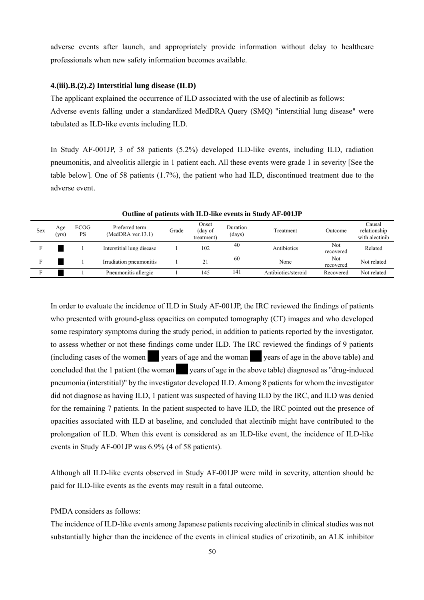adverse events after launch, and appropriately provide information without delay to healthcare professionals when new safety information becomes available.

### **4.(iii).B.(2).2) Interstitial lung disease (ILD)**

The applicant explained the occurrence of ILD associated with the use of alectinib as follows: Adverse events falling under a standardized MedDRA Query (SMQ) "interstitial lung disease" were tabulated as ILD-like events including ILD.

In Study AF-001JP, 3 of 58 patients (5.2%) developed ILD-like events, including ILD, radiation pneumonitis, and alveolitis allergic in 1 patient each. All these events were grade 1 in severity [See the table below]. One of 58 patients (1.7%), the patient who had ILD, discontinued treatment due to the adverse event.

| <b>Sex</b> | Age<br>(yrs) | <b>ECOG</b><br>PS | Preferred term<br>$(MedDRA$ ver.13.1) | Grade | Onset<br>(day of<br>treatment) | Duration<br>(days) | Treatment           | Outcome          | Causal<br>relationship<br>with alectinib |
|------------|--------------|-------------------|---------------------------------------|-------|--------------------------------|--------------------|---------------------|------------------|------------------------------------------|
|            |              |                   | Interstitial lung disease             |       | 102                            | 40                 | Antibiotics         | Not<br>recovered | Related                                  |
|            |              |                   | Irradiation pneumonitis               |       | 21                             | 60                 | None                | Not<br>recovered | Not related                              |
|            |              |                   | Pneumonitis allergic                  |       | 145                            | 141                | Antibiotics/steroid | Recovered        | Not related                              |

**Outline of patients with ILD-like events in Study AF-001JP** 

In order to evaluate the incidence of ILD in Study AF-001JP, the IRC reviewed the findings of patients who presented with ground-glass opacities on computed tomography (CT) images and who developed some respiratory symptoms during the study period, in addition to patients reported by the investigator, to assess whether or not these findings come under ILD. The IRC reviewed the findings of 9 patients (including cases of the women  $\blacksquare$  years of age and the woman vears of age in the above table) and concluded that the 1 patient (the woman \*\*\* years of age in the above table) diagnosed as "drug-induced" pneumonia (interstitial)" by the investigator developed ILD. Among 8 patients for whom the investigator did not diagnose as having ILD, 1 patient was suspected of having ILD by the IRC, and ILD was denied for the remaining 7 patients. In the patient suspected to have ILD, the IRC pointed out the presence of opacities associated with ILD at baseline, and concluded that alectinib might have contributed to the prolongation of ILD. When this event is considered as an ILD-like event, the incidence of ILD-like events in Study AF-001JP was 6.9% (4 of 58 patients).

Although all ILD-like events observed in Study AF-001JP were mild in severity, attention should be paid for ILD-like events as the events may result in a fatal outcome.

### PMDA considers as follows:

The incidence of ILD-like events among Japanese patients receiving alectinib in clinical studies was not substantially higher than the incidence of the events in clinical studies of crizotinib, an ALK inhibitor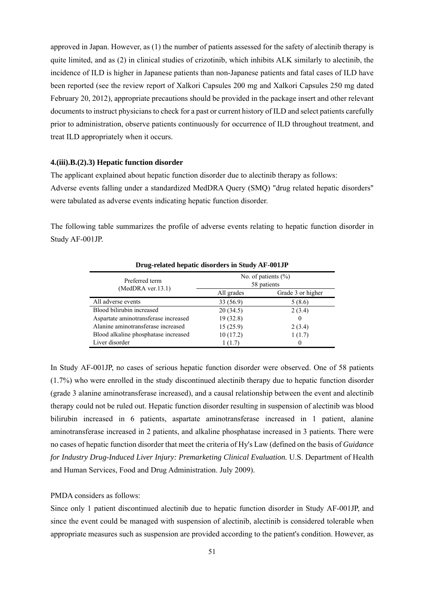approved in Japan. However, as (1) the number of patients assessed for the safety of alectinib therapy is quite limited, and as (2) in clinical studies of crizotinib, which inhibits ALK similarly to alectinib, the incidence of ILD is higher in Japanese patients than non-Japanese patients and fatal cases of ILD have been reported (see the review report of Xalkori Capsules 200 mg and Xalkori Capsules 250 mg dated February 20, 2012), appropriate precautions should be provided in the package insert and other relevant documents to instruct physicians to check for a past or current history of ILD and select patients carefully prior to administration, observe patients continuously for occurrence of ILD throughout treatment, and treat ILD appropriately when it occurs.

### **4.(iii).B.(2).3) Hepatic function disorder**

The applicant explained about hepatic function disorder due to alectinib therapy as follows: Adverse events falling under a standardized MedDRA Query (SMQ) "drug related hepatic disorders" were tabulated as adverse events indicating hepatic function disorder.

The following table summarizes the profile of adverse events relating to hepatic function disorder in Study AF-001JP.

| Drug-related hepatic disorders in Study AF-001JF |                                        |                   |  |  |  |  |
|--------------------------------------------------|----------------------------------------|-------------------|--|--|--|--|
| Preferred term<br>$(MedDRA$ ver.13.1)            | No. of patients $(\% )$<br>58 patients |                   |  |  |  |  |
|                                                  | All grades                             | Grade 3 or higher |  |  |  |  |
| All adverse events                               | 33 (56.9)                              | 5(8.6)            |  |  |  |  |
| Blood bilirubin increased                        | 20(34.5)                               | 2(3.4)            |  |  |  |  |
| Aspartate aminotransferase increased             | 19(32.8)                               | $\theta$          |  |  |  |  |
| Alanine aminotransferase increased               | 15(25.9)                               | 2(3.4)            |  |  |  |  |
| Blood alkaline phosphatase increased             | 10(17.2)                               | 1(1.7)            |  |  |  |  |
| Liver disorder                                   | 1(1.7)                                 | $\theta$          |  |  |  |  |

**Drug-related hepatic disorders in Study AF-001JP** 

In Study AF-001JP, no cases of serious hepatic function disorder were observed. One of 58 patients (1.7%) who were enrolled in the study discontinued alectinib therapy due to hepatic function disorder (grade 3 alanine aminotransferase increased), and a causal relationship between the event and alectinib therapy could not be ruled out. Hepatic function disorder resulting in suspension of alectinib was blood bilirubin increased in 6 patients, aspartate aminotransferase increased in 1 patient, alanine aminotransferase increased in 2 patients, and alkaline phosphatase increased in 3 patients. There were no cases of hepatic function disorder that meet the criteria of Hy's Law (defined on the basis of *Guidance for Industry Drug-Induced Liver Injury: Premarketing Clinical Evaluation.* U.S. Department of Health and Human Services, Food and Drug Administration. July 2009).

#### PMDA considers as follows:

Since only 1 patient discontinued alectinib due to hepatic function disorder in Study AF-001JP, and since the event could be managed with suspension of alectinib, alectinib is considered tolerable when appropriate measures such as suspension are provided according to the patient's condition. However, as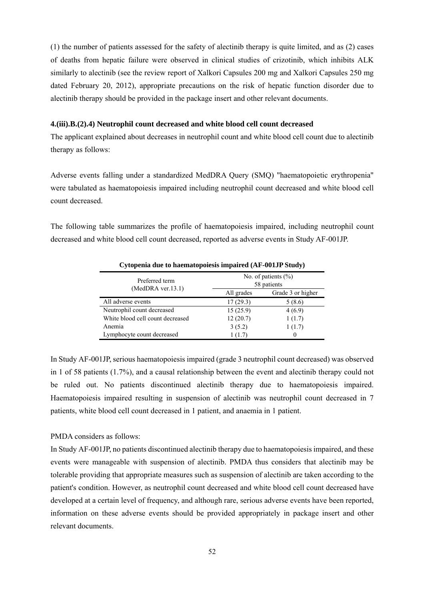(1) the number of patients assessed for the safety of alectinib therapy is quite limited, and as (2) cases of deaths from hepatic failure were observed in clinical studies of crizotinib, which inhibits ALK similarly to alectinib (see the review report of Xalkori Capsules 200 mg and Xalkori Capsules 250 mg dated February 20, 2012), appropriate precautions on the risk of hepatic function disorder due to alectinib therapy should be provided in the package insert and other relevant documents.

#### **4.(iii).B.(2).4) Neutrophil count decreased and white blood cell count decreased**

The applicant explained about decreases in neutrophil count and white blood cell count due to alectinib therapy as follows:

Adverse events falling under a standardized MedDRA Query (SMQ) "haematopoietic erythropenia" were tabulated as haematopoiesis impaired including neutrophil count decreased and white blood cell count decreased.

The following table summarizes the profile of haematopoiesis impaired, including neutrophil count decreased and white blood cell count decreased, reported as adverse events in Study AF-001JP.

| Preferred term                   | No. of patients $(\%)$<br>58 patients |                   |  |  |
|----------------------------------|---------------------------------------|-------------------|--|--|
| $(MedDRA$ ver.13.1)              | All grades                            | Grade 3 or higher |  |  |
| All adverse events               | 17(29.3)                              | 5(8.6)            |  |  |
| Neutrophil count decreased       | 15(25.9)                              | 4(6.9)            |  |  |
| White blood cell count decreased | 12(20.7)                              | 1(1.7)            |  |  |
| Anemia                           | 3(5.2)                                | 1(1.7)            |  |  |
| Lymphocyte count decreased       | 1(1.7)                                |                   |  |  |

**Cytopenia due to haematopoiesis impaired (AF-001JP Study)** 

In Study AF-001JP, serious haematopoiesis impaired (grade 3 neutrophil count decreased) was observed in 1 of 58 patients (1.7%), and a causal relationship between the event and alectinib therapy could not be ruled out. No patients discontinued alectinib therapy due to haematopoiesis impaired. Haematopoiesis impaired resulting in suspension of alectinib was neutrophil count decreased in 7 patients, white blood cell count decreased in 1 patient, and anaemia in 1 patient.

#### PMDA considers as follows:

In Study AF-001JP, no patients discontinued alectinib therapy due to haematopoiesis impaired, and these events were manageable with suspension of alectinib. PMDA thus considers that alectinib may be tolerable providing that appropriate measures such as suspension of alectinib are taken according to the patient's condition. However, as neutrophil count decreased and white blood cell count decreased have developed at a certain level of frequency, and although rare, serious adverse events have been reported, information on these adverse events should be provided appropriately in package insert and other relevant documents.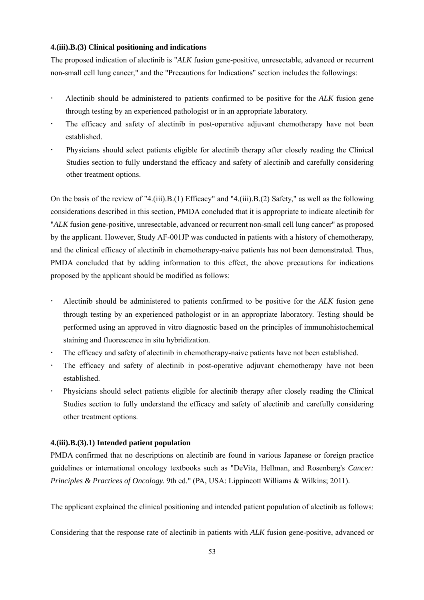### **4.(iii).B.(3) Clinical positioning and indications**

The proposed indication of alectinib is "*ALK* fusion gene-positive, unresectable, advanced or recurrent non-small cell lung cancer," and the "Precautions for Indications" section includes the followings:

- Alectinib should be administered to patients confirmed to be positive for the *ALK* fusion gene through testing by an experienced pathologist or in an appropriate laboratory.
- The efficacy and safety of alectinib in post-operative adjuvant chemotherapy have not been established.
- Physicians should select patients eligible for alectinib therapy after closely reading the Clinical Studies section to fully understand the efficacy and safety of alectinib and carefully considering other treatment options.

On the basis of the review of "4.(iii).B.(1) Efficacy" and "4.(iii).B.(2) Safety," as well as the following considerations described in this section, PMDA concluded that it is appropriate to indicate alectinib for "*ALK* fusion gene-positive, unresectable, advanced or recurrent non-small cell lung cancer" as proposed by the applicant. However, Study AF-001JP was conducted in patients with a history of chemotherapy, and the clinical efficacy of alectinib in chemotherapy-naive patients has not been demonstrated. Thus, PMDA concluded that by adding information to this effect, the above precautions for indications proposed by the applicant should be modified as follows:

- Alectinib should be administered to patients confirmed to be positive for the *ALK* fusion gene through testing by an experienced pathologist or in an appropriate laboratory. Testing should be performed using an approved in vitro diagnostic based on the principles of immunohistochemical staining and fluorescence in situ hybridization.
- The efficacy and safety of alectinib in chemotherapy-naive patients have not been established.
- The efficacy and safety of alectinib in post-operative adjuvant chemotherapy have not been established.
- Physicians should select patients eligible for alectinib therapy after closely reading the Clinical Studies section to fully understand the efficacy and safety of alectinib and carefully considering other treatment options.

## **4.(iii).B.(3).1) Intended patient population**

PMDA confirmed that no descriptions on alectinib are found in various Japanese or foreign practice guidelines or international oncology textbooks such as "DeVita, Hellman, and Rosenberg's *Cancer: Principles & Practices of Oncology.* 9th ed." (PA, USA: Lippincott Williams & Wilkins; 2011).

The applicant explained the clinical positioning and intended patient population of alectinib as follows:

Considering that the response rate of alectinib in patients with *ALK* fusion gene-positive, advanced or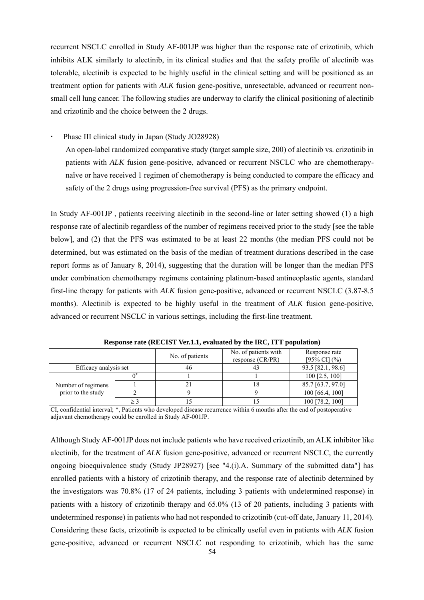recurrent NSCLC enrolled in Study AF-001JP was higher than the response rate of crizotinib, which inhibits ALK similarly to alectinib, in its clinical studies and that the safety profile of alectinib was tolerable, alectinib is expected to be highly useful in the clinical setting and will be positioned as an treatment option for patients with *ALK* fusion gene-positive, unresectable, advanced or recurrent nonsmall cell lung cancer. The following studies are underway to clarify the clinical positioning of alectinib and crizotinib and the choice between the 2 drugs.

Phase III clinical study in Japan (Study JO28928)

An open-label randomized comparative study (target sample size, 200) of alectinib vs. crizotinib in patients with *ALK* fusion gene-positive, advanced or recurrent NSCLC who are chemotherapynaïve or have received 1 regimen of chemotherapy is being conducted to compare the efficacy and safety of the 2 drugs using progression-free survival (PFS) as the primary endpoint.

In Study AF-001JP , patients receiving alectinib in the second-line or later setting showed (1) a high response rate of alectinib regardless of the number of regimens received prior to the study [see the table below], and (2) that the PFS was estimated to be at least 22 months (the median PFS could not be determined, but was estimated on the basis of the median of treatment durations described in the case report forms as of January 8, 2014), suggesting that the duration will be longer than the median PFS under combination chemotherapy regimens containing platinum-based antineoplastic agents, standard first-line therapy for patients with *ALK* fusion gene-positive, advanced or recurrent NSCLC (3.87-8.5 months). Alectinib is expected to be highly useful in the treatment of *ALK* fusion gene-positive, advanced or recurrent NSCLC in various settings, including the first-line treatment.

|                       |     | No. of patients | No. of patients with<br>response $(CR/PR)$ | Response rate<br>$[95\% \text{ CI}]$ (%) |
|-----------------------|-----|-----------------|--------------------------------------------|------------------------------------------|
| Efficacy analysis set |     | 46              | 43                                         | 93.5 [82.1, 98.6]                        |
|                       |     |                 |                                            | $100$ [2.5, 100]                         |
| Number of regimens    |     |                 |                                            | 85.7 [63.7, 97.0]                        |
| prior to the study    |     |                 |                                            | $100$ [66.4, 100]                        |
|                       | > ∶ |                 |                                            | 100 [78.2, 100]                          |

**Response rate (RECIST Ver.1.1, evaluated by the IRC, ITT population)** 

CI, confidential interval; \*, Patients who developed disease recurrence within 6 months after the end of postoperative adjuvant chemotherapy could be enrolled in Study AF-001JP.

Although Study AF-001JP does not include patients who have received crizotinib, an ALK inhibitor like alectinib, for the treatment of *ALK* fusion gene-positive, advanced or recurrent NSCLC, the currently ongoing bioequivalence study (Study JP28927) [see "4.(i).A. Summary of the submitted data"] has enrolled patients with a history of crizotinib therapy, and the response rate of alectinib determined by the investigators was 70.8% (17 of 24 patients, including 3 patients with undetermined response) in patients with a history of crizotinib therapy and 65.0% (13 of 20 patients, including 3 patients with undetermined response) in patients who had not responded to crizotinib (cut-off date, January 11, 2014). Considering these facts, crizotinib is expected to be clinically useful even in patients with *ALK* fusion gene-positive, advanced or recurrent NSCLC not responding to crizotinib, which has the same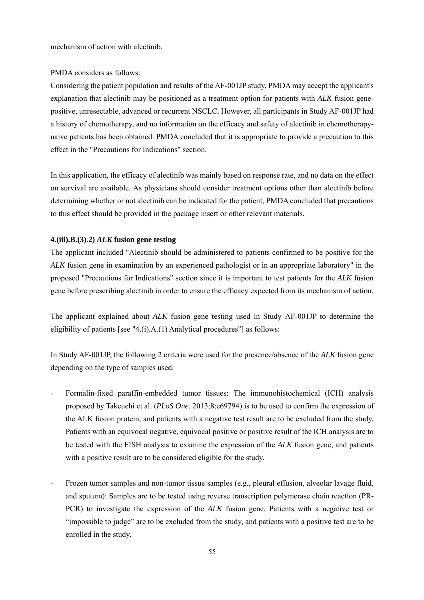mechanism of action with alectinib.

### PMDA considers as follows:

Considering the patient population and results of the AF-001JP study, PMDA may accept the applicant's explanation that alectinib may be positioned as a treatment option for patients with *ALK* fusion genepositive, unresectable, advanced or recurrent NSCLC. However, all participants in Study AF-001JP had a history of chemotherapy, and no information on the efficacy and safety of alectinib in chemotherapynaive patients has been obtained. PMDA concluded that it is appropriate to provide a precaution to this effect in the "Precautions for Indications" section.

In this application, the efficacy of alectinib was mainly based on response rate, and no data on the effect on survival are available. As physicians should consider treatment options other than alectinib before determining whether or not alectinib can be indicated for the patient, PMDA concluded that precautions to this effect should be provided in the package insert or other relevant materials.

### **4.(iii).B.(3).2)** *ALK* **fusion gene testing**

The applicant included "Alectinib should be administered to patients confirmed to be positive for the *ALK* fusion gene in examination by an experienced pathologist or in an appropriate laboratory" in the proposed "Precautions for Indications" section since it is important to test patients for the *ALK* fusion gene before prescribing alectinib in order to ensure the efficacy expected from its mechanism of action.

The applicant explained about *ALK* fusion gene testing used in Study AF-001JP to determine the eligibility of patients [see "4.(i).A.(1) Analytical procedures"] as follows:

In Study AF-001JP, the following 2 criteria were used for the presence/absence of the *ALK* fusion gene depending on the type of samples used.

- Formalin-fixed paraffin-embedded tumor tissues: The immunohistochemical (ICH) analysis proposed by Takeuchi et al. (*PLoS One.* 2013;8;e69794) is to be used to confirm the expression of the ALK fusion protein, and patients with a negative test result are to be excluded from the study. Patients with an equivocal negative, equivocal positive or positive result of the ICH analysis are to be tested with the FISH analysis to examine the expression of the *ALK* fusion gene, and patients with a positive result are to be considered eligible for the study.
- Frozen tumor samples and non-tumor tissue samples (e.g., pleural effusion, alveolar lavage fluid, and sputum): Samples are to be tested using reverse transcription polymerase chain reaction (PR-PCR) to investigate the expression of the *ALK* fusion gene. Patients with a negative test or "impossible to judge" are to be excluded from the study, and patients with a positive test are to be enrolled in the study.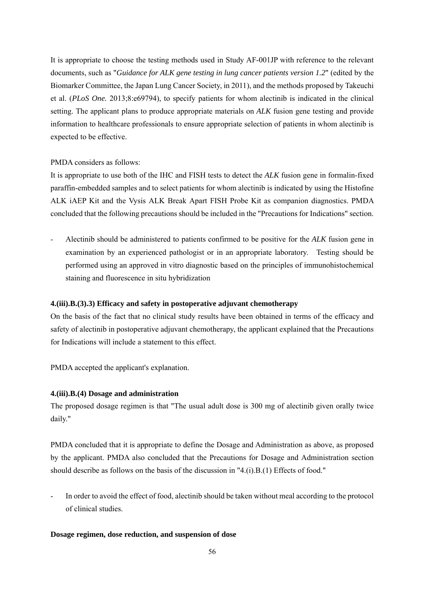It is appropriate to choose the testing methods used in Study AF-001JP with reference to the relevant documents, such as "*Guidance for ALK gene testing in lung cancer patients version 1.2*" (edited by the Biomarker Committee, the Japan Lung Cancer Society, in 2011), and the methods proposed by Takeuchi et al. (*PLoS One.* 2013;8:e69794), to specify patients for whom alectinib is indicated in the clinical setting. The applicant plans to produce appropriate materials on *ALK* fusion gene testing and provide information to healthcare professionals to ensure appropriate selection of patients in whom alectinib is expected to be effective.

## PMDA considers as follows:

It is appropriate to use both of the IHC and FISH tests to detect the *ALK* fusion gene in formalin-fixed paraffin-embedded samples and to select patients for whom alectinib is indicated by using the Histofine ALK iAEP Kit and the Vysis ALK Break Apart FISH Probe Kit as companion diagnostics. PMDA concluded that the following precautions should be included in the "Precautions for Indications" section.

- Alectinib should be administered to patients confirmed to be positive for the *ALK* fusion gene in examination by an experienced pathologist or in an appropriate laboratory. Testing should be performed using an approved in vitro diagnostic based on the principles of immunohistochemical staining and fluorescence in situ hybridization

## **4.(iii).B.(3).3) Efficacy and safety in postoperative adjuvant chemotherapy**

On the basis of the fact that no clinical study results have been obtained in terms of the efficacy and safety of alectinib in postoperative adjuvant chemotherapy, the applicant explained that the Precautions for Indications will include a statement to this effect.

PMDA accepted the applicant's explanation.

## **4.(iii).B.(4) Dosage and administration**

The proposed dosage regimen is that "The usual adult dose is 300 mg of alectinib given orally twice daily."

PMDA concluded that it is appropriate to define the Dosage and Administration as above, as proposed by the applicant. PMDA also concluded that the Precautions for Dosage and Administration section should describe as follows on the basis of the discussion in "4.(i).B.(1) Effects of food."

- In order to avoid the effect of food, alectinib should be taken without meal according to the protocol of clinical studies.

### **Dosage regimen, dose reduction, and suspension of dose**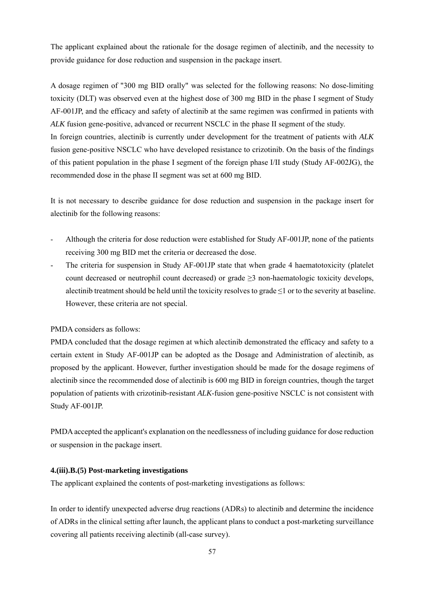The applicant explained about the rationale for the dosage regimen of alectinib, and the necessity to provide guidance for dose reduction and suspension in the package insert.

A dosage regimen of "300 mg BID orally" was selected for the following reasons: No dose-limiting toxicity (DLT) was observed even at the highest dose of 300 mg BID in the phase I segment of Study AF-001JP, and the efficacy and safety of alectinib at the same regimen was confirmed in patients with *ALK* fusion gene-positive, advanced or recurrent NSCLC in the phase II segment of the study.

In foreign countries, alectinib is currently under development for the treatment of patients with *ALK* fusion gene-positive NSCLC who have developed resistance to crizotinib. On the basis of the findings of this patient population in the phase I segment of the foreign phase I/II study (Study AF-002JG), the recommended dose in the phase II segment was set at 600 mg BID.

It is not necessary to describe guidance for dose reduction and suspension in the package insert for alectinib for the following reasons:

- Although the criteria for dose reduction were established for Study AF-001JP, none of the patients receiving 300 mg BID met the criteria or decreased the dose.
- The criteria for suspension in Study AF-001JP state that when grade 4 haematotoxicity (platelet count decreased or neutrophil count decreased) or grade  $\geq$ 3 non-haematologic toxicity develops, alectinib treatment should be held until the toxicity resolves to grade  $\leq 1$  or to the severity at baseline. However, these criteria are not special.

## PMDA considers as follows:

PMDA concluded that the dosage regimen at which alectinib demonstrated the efficacy and safety to a certain extent in Study AF-001JP can be adopted as the Dosage and Administration of alectinib, as proposed by the applicant. However, further investigation should be made for the dosage regimens of alectinib since the recommended dose of alectinib is 600 mg BID in foreign countries, though the target population of patients with crizotinib-resistant *ALK*-fusion gene-positive NSCLC is not consistent with Study AF-001JP.

PMDA accepted the applicant's explanation on the needlessness of including guidance for dose reduction or suspension in the package insert.

### **4.(iii).B.(5) Post-marketing investigations**

The applicant explained the contents of post-marketing investigations as follows:

In order to identify unexpected adverse drug reactions (ADRs) to alectinib and determine the incidence of ADRs in the clinical setting after launch, the applicant plans to conduct a post-marketing surveillance covering all patients receiving alectinib (all-case survey).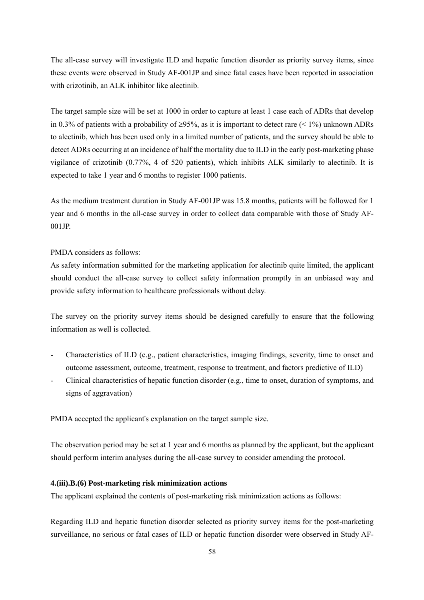The all-case survey will investigate ILD and hepatic function disorder as priority survey items, since these events were observed in Study AF-001JP and since fatal cases have been reported in association with crizotinib, an ALK inhibitor like alectinib.

The target sample size will be set at 1000 in order to capture at least 1 case each of ADRs that develop in 0.3% of patients with a probability of  $\geq$ 95%, as it is important to detect rare (< 1%) unknown ADRs to alectinib, which has been used only in a limited number of patients, and the survey should be able to detect ADRs occurring at an incidence of half the mortality due to ILD in the early post-marketing phase vigilance of crizotinib (0.77%, 4 of 520 patients), which inhibits ALK similarly to alectinib. It is expected to take 1 year and 6 months to register 1000 patients.

As the medium treatment duration in Study AF-001JP was 15.8 months, patients will be followed for 1 year and 6 months in the all-case survey in order to collect data comparable with those of Study AF-001JP.

PMDA considers as follows:

As safety information submitted for the marketing application for alectinib quite limited, the applicant should conduct the all-case survey to collect safety information promptly in an unbiased way and provide safety information to healthcare professionals without delay.

The survey on the priority survey items should be designed carefully to ensure that the following information as well is collected.

- Characteristics of ILD (e.g., patient characteristics, imaging findings, severity, time to onset and outcome assessment, outcome, treatment, response to treatment, and factors predictive of ILD)
- Clinical characteristics of hepatic function disorder (e.g., time to onset, duration of symptoms, and signs of aggravation)

PMDA accepted the applicant's explanation on the target sample size.

The observation period may be set at 1 year and 6 months as planned by the applicant, but the applicant should perform interim analyses during the all-case survey to consider amending the protocol.

## **4.(iii).B.(6) Post-marketing risk minimization actions**

The applicant explained the contents of post-marketing risk minimization actions as follows:

Regarding ILD and hepatic function disorder selected as priority survey items for the post-marketing surveillance, no serious or fatal cases of ILD or hepatic function disorder were observed in Study AF-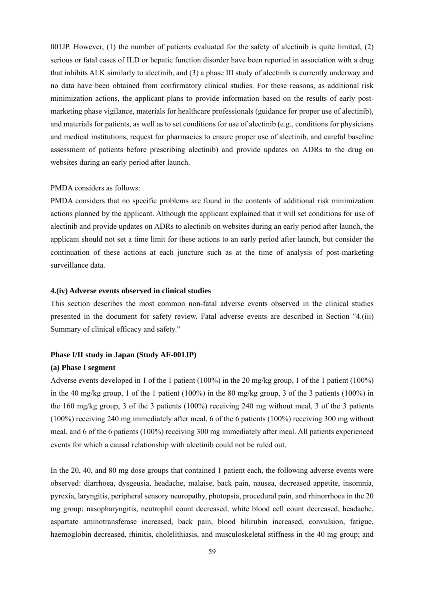001JP. However, (1) the number of patients evaluated for the safety of alectinib is quite limited, (2) serious or fatal cases of ILD or hepatic function disorder have been reported in association with a drug that inhibits ALK similarly to alectinib, and (3) a phase III study of alectinib is currently underway and no data have been obtained from confirmatory clinical studies. For these reasons, as additional risk minimization actions, the applicant plans to provide information based on the results of early postmarketing phase vigilance, materials for healthcare professionals (guidance for proper use of alectinib), and materials for patients, as well as to set conditions for use of alectinib (e.g., conditions for physicians and medical institutions, request for pharmacies to ensure proper use of alectinib, and careful baseline assessment of patients before prescribing alectinib) and provide updates on ADRs to the drug on websites during an early period after launch.

#### PMDA considers as follows:

PMDA considers that no specific problems are found in the contents of additional risk minimization actions planned by the applicant. Although the applicant explained that it will set conditions for use of alectinib and provide updates on ADRs to alectinib on websites during an early period after launch, the applicant should not set a time limit for these actions to an early period after launch, but consider the continuation of these actions at each juncture such as at the time of analysis of post-marketing surveillance data.

#### **4.(iv) Adverse events observed in clinical studies**

This section describes the most common non-fatal adverse events observed in the clinical studies presented in the document for safety review. Fatal adverse events are described in Section "4.(iii) Summary of clinical efficacy and safety."

### **Phase I/II study in Japan (Study AF-001JP)**

#### **(a) Phase I segment**

Adverse events developed in 1 of the 1 patient (100%) in the 20 mg/kg group, 1 of the 1 patient (100%) in the 40 mg/kg group, 1 of the 1 patient (100%) in the 80 mg/kg group, 3 of the 3 patients (100%) in the 160 mg/kg group, 3 of the 3 patients (100%) receiving 240 mg without meal, 3 of the 3 patients (100%) receiving 240 mg immediately after meal, 6 of the 6 patients (100%) receiving 300 mg without meal, and 6 of the 6 patients (100%) receiving 300 mg immediately after meal. All patients experienced events for which a causal relationship with alectinib could not be ruled out.

In the 20, 40, and 80 mg dose groups that contained 1 patient each, the following adverse events were observed: diarrhoea, dysgeusia, headache, malaise, back pain, nausea, decreased appetite, insomnia, pyrexia, laryngitis, peripheral sensory neuropathy, photopsia, procedural pain, and rhinorrhoea in the 20 mg group; nasopharyngitis, neutrophil count decreased, white blood cell count decreased, headache, aspartate aminotransferase increased, back pain, blood bilirubin increased, convulsion, fatigue, haemoglobin decreased, rhinitis, cholelithiasis, and musculoskeletal stiffness in the 40 mg group; and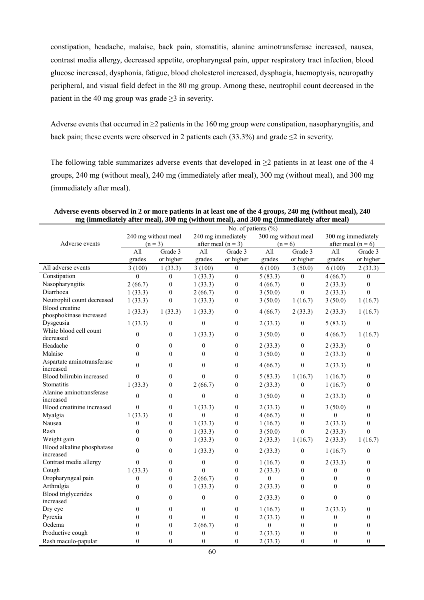constipation, headache, malaise, back pain, stomatitis, alanine aminotransferase increased, nausea, contrast media allergy, decreased appetite, oropharyngeal pain, upper respiratory tract infection, blood glucose increased, dysphonia, fatigue, blood cholesterol increased, dysphagia, haemoptysis, neuropathy peripheral, and visual field defect in the 80 mg group. Among these, neutrophil count decreased in the patient in the 40 mg group was grade  $\geq$ 3 in severity.

Adverse events that occurred in  $\geq 2$  patients in the 160 mg group were constipation, nasopharyngitis, and back pain; these events were observed in 2 patients each (33.3%) and grade  $\leq$  2 in severity.

The following table summarizes adverse events that developed in ≥2 patients in at least one of the 4 groups, 240 mg (without meal), 240 mg (immediately after meal), 300 mg (without meal), and 300 mg (immediately after meal).

|                                                  | No. of patients $(\%)$ |                     |                  |                      |              |                     |                  |                      |
|--------------------------------------------------|------------------------|---------------------|------------------|----------------------|--------------|---------------------|------------------|----------------------|
|                                                  |                        | 240 mg without meal |                  | 240 mg immediately   |              | 300 mg without meal |                  | 300 mg immediately   |
| Adverse events                                   |                        | $(n = 3)$           |                  | after meal $(n = 3)$ |              | $(n = 6)$           |                  | after meal $(n = 6)$ |
|                                                  | A11                    | Grade 3             | All              | Grade 3              | All          | Grade 3             | All              | Grade 3              |
|                                                  | grades                 | or higher           | grades           | or higher            | grades       | or higher           | grades           | or higher            |
| All adverse events                               | 3(100)                 | 1(33.3)             | 3(100)           | $\mathbf{0}$         | 6(100)       | 3(50.0)             | 6(100)           | 2(33.3)              |
| Constipation                                     | $\Omega$               | $\mathbf{0}$        | 1(33.3)          | $\mathbf{0}$         | 5(83.3)      | $\mathbf{0}$        | 4(66.7)          | $\theta$             |
| Nasopharyngitis                                  | 2(66.7)                | $\boldsymbol{0}$    | 1(33.3)          | $\boldsymbol{0}$     | 4(66.7)      | $\boldsymbol{0}$    | 2(33.3)          | $\mathbf{0}$         |
| Diarrhoea                                        | 1(33.3)                | $\boldsymbol{0}$    | 2(66.7)          | $\mathbf{0}$         | 3(50.0)      | $\theta$            | 2(33.3)          | $\theta$             |
| Neutrophil count decreased                       | 1(33.3)                | $\overline{0}$      | 1(33.3)          | $\mathbf{0}$         | 3(50.0)      | 1(16.7)             | 3(50.0)          | 1(16.7)              |
| <b>Blood</b> creatine<br>phosphokinase increased | 1(33.3)                | 1(33.3)             | 1(33.3)          | $\mathbf{0}$         | 4(66.7)      | 2(33.3)             | 2(33.3)          | 1(16.7)              |
| Dysgeusia                                        | 1(33.3)                | $\boldsymbol{0}$    | $\boldsymbol{0}$ | $\boldsymbol{0}$     | 2(33.3)      | $\boldsymbol{0}$    | 5(83.3)          | $\mathbf{0}$         |
| White blood cell count                           |                        |                     |                  |                      |              |                     |                  |                      |
| decreased                                        | $\mathbf{0}$           | $\mathbf{0}$        | 1(33.3)          | $\theta$             | 3(50.0)      | $\mathbf{0}$        | 4(66.7)          | 1(16.7)              |
| Headache                                         | $\mathbf{0}$           | $\mathbf{0}$        | $\mathbf{0}$     | $\boldsymbol{0}$     | 2(33.3)      | $\boldsymbol{0}$    | 2(33.3)          | $\theta$             |
| Malaise                                          | $\theta$               | $\theta$            | $\theta$         | $\mathbf{0}$         | 3(50.0)      | $\boldsymbol{0}$    | 2(33.3)          | $\mathbf{0}$         |
| Aspartate aminotransferase<br>increased          | $\mathbf{0}$           | $\boldsymbol{0}$    | $\mathbf{0}$     | $\boldsymbol{0}$     | 4(66.7)      | $\boldsymbol{0}$    | 2(33.3)          | $\mathbf{0}$         |
| Blood bilirubin increased                        | $\theta$               | $\boldsymbol{0}$    | $\mathbf{0}$     | $\boldsymbol{0}$     | 5(83.3)      | 1(16.7)             | 1(16.7)          | $\mathbf{0}$         |
| Stomatitis                                       | 1(33.3)                | $\boldsymbol{0}$    | 2(66.7)          | $\overline{0}$       | 2(33.3)      | $\mathbf{0}$        | 1(16.7)          | $\mathbf{0}$         |
| Alanine aminotransferase                         |                        |                     |                  |                      |              |                     |                  |                      |
| increased                                        | $\theta$               | $\mathbf{0}$        | $\theta$         | $\mathbf{0}$         | 3(50.0)      | $\mathbf{0}$        | 2(33.3)          | $\theta$             |
| Blood creatinine increased                       | $\theta$               | $\boldsymbol{0}$    | 1(33.3)          | $\boldsymbol{0}$     | 2(33.3)      | $\boldsymbol{0}$    | 3(50.0)          | $\boldsymbol{0}$     |
| Myalgia                                          | 1(33.3)                | $\boldsymbol{0}$    | $\mathbf{0}$     | $\boldsymbol{0}$     | 4(66.7)      | $\boldsymbol{0}$    | $\boldsymbol{0}$ | $\mathbf{0}$         |
| Nausea                                           | $\boldsymbol{0}$       | $\boldsymbol{0}$    | 1(33.3)          | $\boldsymbol{0}$     | 1(16.7)      | $\boldsymbol{0}$    | 2(33.3)          | $\mathbf{0}$         |
| Rash                                             | $\mathbf{0}$           | $\mathbf{0}$        | 1(33.3)          | $\boldsymbol{0}$     | 3(50.0)      | $\mathbf{0}$        | 2(33.3)          | $\theta$             |
| Weight gain                                      | $\theta$               | $\mathbf{0}$        | 1(33.3)          | $\mathbf{0}$         | 2(33.3)      | 1(16.7)             | 2(33.3)          | 1(16.7)              |
| Blood alkaline phosphatase                       | $\theta$               | $\mathbf{0}$        | 1(33.3)          | $\mathbf{0}$         | 2(33.3)      | $\mathbf{0}$        | 1(16.7)          | $\theta$             |
| increased<br>Contrast media allergy              | $\theta$               | $\boldsymbol{0}$    | $\boldsymbol{0}$ | $\boldsymbol{0}$     | 1(16.7)      | $\boldsymbol{0}$    | 2(33.3)          | 0                    |
| Cough                                            | 1(33.3)                | $\mathbf{0}$        | $\Omega$         | $\mathbf{0}$         | 2(33.3)      | $\mathbf{0}$        | $\boldsymbol{0}$ | $\theta$             |
| Oropharyngeal pain                               | $\boldsymbol{0}$       | $\boldsymbol{0}$    | 2(66.7)          | $\mathbf{0}$         | $\theta$     | $\mathbf{0}$        | $\boldsymbol{0}$ | $\theta$             |
| Arthralgia                                       | $\theta$               | $\mathbf{0}$        | 1(33.3)          | $\mathbf{0}$         | 2(33.3)      | $\theta$            | $\theta$         | $\theta$             |
| Blood triglycerides                              |                        |                     |                  |                      |              |                     |                  |                      |
| increased                                        | $\theta$               | $\mathbf{0}$        | $\mathbf{0}$     | $\mathbf{0}$         | 2(33.3)      | $\theta$            | $\theta$         | $\theta$             |
| Dry eye                                          | $\boldsymbol{0}$       | $\boldsymbol{0}$    | $\boldsymbol{0}$ | $\boldsymbol{0}$     | 1(16.7)      | $\boldsymbol{0}$    | 2(33.3)          | $\boldsymbol{0}$     |
| Pyrexia                                          | $\mathbf{0}$           | $\mathbf{0}$        | $\theta$         | $\boldsymbol{0}$     | 2(33.3)      | $\mathbf{0}$        | $\boldsymbol{0}$ | $\mathbf{0}$         |
| Oedema                                           | $\theta$               | $\mathbf{0}$        | 2(66.7)          | $\boldsymbol{0}$     | $\mathbf{0}$ | $\mathbf{0}$        | $\mathbf{0}$     | $\theta$             |
| Productive cough                                 | $\theta$               | $\mathbf{0}$        | $\mathbf{0}$     | $\boldsymbol{0}$     | 2(33.3)      | $\theta$            | $\theta$         | $\theta$             |
| Rash maculo-papular                              | $\Omega$               | $\theta$            | $\theta$         | $\theta$             | 2(33.3)      | $\theta$            | $\theta$         | $\theta$             |

**Adverse events observed in 2 or more patients in at least one of the 4 groups, 240 mg (without meal), 240 mg (immediately after meal), 300 mg (without meal), and 300 mg (immediately after meal)**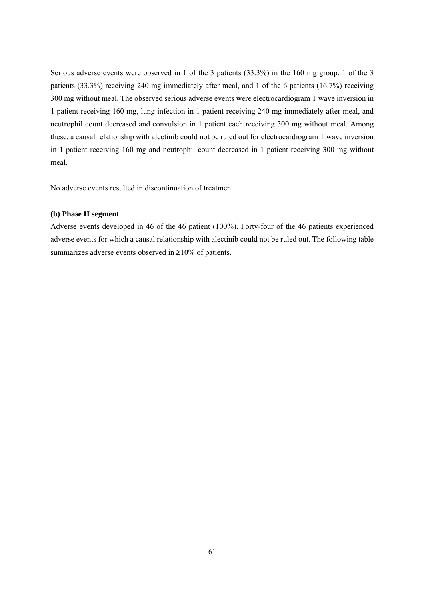Serious adverse events were observed in 1 of the 3 patients (33.3%) in the 160 mg group, 1 of the 3 patients (33.3%) receiving 240 mg immediately after meal, and 1 of the 6 patients (16.7%) receiving 300 mg without meal. The observed serious adverse events were electrocardiogram T wave inversion in 1 patient receiving 160 mg, lung infection in 1 patient receiving 240 mg immediately after meal, and neutrophil count decreased and convulsion in 1 patient each receiving 300 mg without meal. Among these, a causal relationship with alectinib could not be ruled out for electrocardiogram T wave inversion in 1 patient receiving 160 mg and neutrophil count decreased in 1 patient receiving 300 mg without meal.

No adverse events resulted in discontinuation of treatment.

### **(b) Phase II segment**

Adverse events developed in 46 of the 46 patient (100%). Forty-four of the 46 patients experienced adverse events for which a causal relationship with alectinib could not be ruled out. The following table summarizes adverse events observed in  $\geq 10\%$  of patients.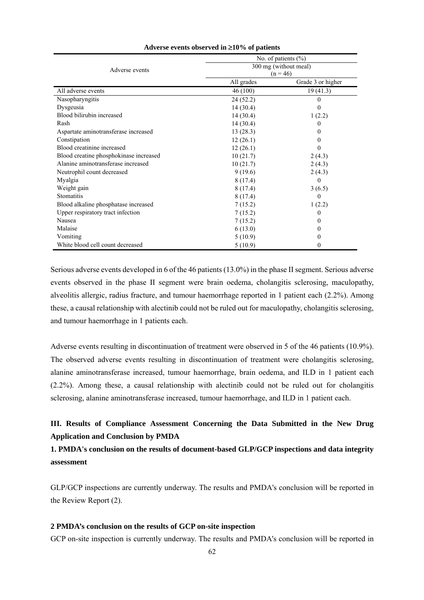|                                        | No. of patients $(\%)$ |                   |  |  |  |
|----------------------------------------|------------------------|-------------------|--|--|--|
| Adverse events                         | 300 mg (without meal)  |                   |  |  |  |
|                                        | $(n = 46)$             |                   |  |  |  |
|                                        | All grades             | Grade 3 or higher |  |  |  |
| All adverse events                     | 46 (100)               | 19(41.3)          |  |  |  |
| Nasopharyngitis                        | 24(52.2)               | $_{0}$            |  |  |  |
| Dysgeusia                              | 14(30.4)               | 0                 |  |  |  |
| Blood bilirubin increased              | 14(30.4)               | 1(2.2)            |  |  |  |
| Rash                                   | 14(30.4)               | $\theta$          |  |  |  |
| Aspartate aminotransferase increased   | 13(28.3)               | $_{0}$            |  |  |  |
| Constipation                           | 12(26.1)               | 0                 |  |  |  |
| Blood creatinine increased             | 12(26.1)               | $\theta$          |  |  |  |
| Blood creatine phosphokinase increased | 10(21.7)               | 2(4.3)            |  |  |  |
| Alanine aminotransferase increased     | 10(21.7)               | 2(4.3)            |  |  |  |
| Neutrophil count decreased             | 9(19.6)                | 2(4.3)            |  |  |  |
| Myalgia                                | 8(17.4)                | $\theta$          |  |  |  |
| Weight gain                            | 8(17.4)                | 3(6.5)            |  |  |  |
| Stomatitis                             | 8(17.4)                | $\theta$          |  |  |  |
| Blood alkaline phosphatase increased   | 7(15.2)                | 1(2.2)            |  |  |  |
| Upper respiratory tract infection      | 7(15.2)                | $\theta$          |  |  |  |
| Nausea                                 | 7(15.2)                | $_{0}$            |  |  |  |
| Malaise                                | 6(13.0)                | 0                 |  |  |  |
| Vomiting                               | 5(10.9)                | $_{0}$            |  |  |  |
| White blood cell count decreased       | 5(10.9)                | 0                 |  |  |  |

#### **Adverse events observed in 10% of patients**

Serious adverse events developed in 6 of the 46 patients (13.0%) in the phase II segment. Serious adverse events observed in the phase II segment were brain oedema, cholangitis sclerosing, maculopathy, alveolitis allergic, radius fracture, and tumour haemorrhage reported in 1 patient each (2.2%). Among these, a causal relationship with alectinib could not be ruled out for maculopathy, cholangitis sclerosing, and tumour haemorrhage in 1 patients each.

Adverse events resulting in discontinuation of treatment were observed in 5 of the 46 patients (10.9%). The observed adverse events resulting in discontinuation of treatment were cholangitis sclerosing, alanine aminotransferase increased, tumour haemorrhage, brain oedema, and ILD in 1 patient each (2.2%). Among these, a causal relationship with alectinib could not be ruled out for cholangitis sclerosing, alanine aminotransferase increased, tumour haemorrhage, and ILD in 1 patient each.

# **III. Results of Compliance Assessment Concerning the Data Submitted in the New Drug Application and Conclusion by PMDA**

# **1. PMDA's conclusion on the results of document-based GLP/GCP inspections and data integrity assessment**

GLP/GCP inspections are currently underway. The results and PMDA's conclusion will be reported in the Review Report (2).

### **2 PMDA's conclusion on the results of GCP on-site inspection**

GCP on-site inspection is currently underway. The results and PMDA's conclusion will be reported in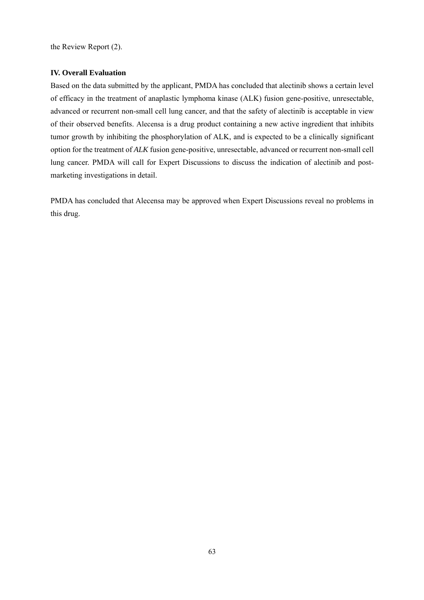the Review Report (2).

## **IV. Overall Evaluation**

Based on the data submitted by the applicant, PMDA has concluded that alectinib shows a certain level of efficacy in the treatment of anaplastic lymphoma kinase (ALK) fusion gene-positive, unresectable, advanced or recurrent non-small cell lung cancer, and that the safety of alectinib is acceptable in view of their observed benefits. Alecensa is a drug product containing a new active ingredient that inhibits tumor growth by inhibiting the phosphorylation of ALK, and is expected to be a clinically significant option for the treatment of *ALK* fusion gene-positive, unresectable, advanced or recurrent non-small cell lung cancer. PMDA will call for Expert Discussions to discuss the indication of alectinib and postmarketing investigations in detail.

PMDA has concluded that Alecensa may be approved when Expert Discussions reveal no problems in this drug.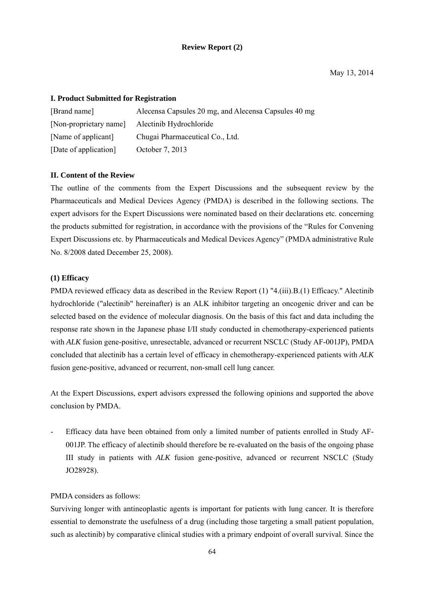### **Review Report (2)**

### **I. Product Submitted for Registration**

| [Brand name]           | Alecensa Capsules 20 mg, and Alecensa Capsules 40 mg |
|------------------------|------------------------------------------------------|
| [Non-proprietary name] | Alectinib Hydrochloride                              |
| [Name of applicant]    | Chugai Pharmaceutical Co., Ltd.                      |
| [Date of application]  | October 7, 2013                                      |

## **II. Content of the Review**

The outline of the comments from the Expert Discussions and the subsequent review by the Pharmaceuticals and Medical Devices Agency (PMDA) is described in the following sections. The expert advisors for the Expert Discussions were nominated based on their declarations etc. concerning the products submitted for registration, in accordance with the provisions of the "Rules for Convening Expert Discussions etc. by Pharmaceuticals and Medical Devices Agency" (PMDA administrative Rule No. 8/2008 dated December 25, 2008).

### **(1) Efficacy**

PMDA reviewed efficacy data as described in the Review Report (1) "4.(iii).B.(1) Efficacy." Alectinib hydrochloride ("alectinib" hereinafter) is an ALK inhibitor targeting an oncogenic driver and can be selected based on the evidence of molecular diagnosis. On the basis of this fact and data including the response rate shown in the Japanese phase I/II study conducted in chemotherapy-experienced patients with *ALK* fusion gene-positive, unresectable, advanced or recurrent NSCLC (Study AF-001JP), PMDA concluded that alectinib has a certain level of efficacy in chemotherapy-experienced patients with *ALK* fusion gene-positive, advanced or recurrent, non-small cell lung cancer.

At the Expert Discussions, expert advisors expressed the following opinions and supported the above conclusion by PMDA.

Efficacy data have been obtained from only a limited number of patients enrolled in Study AF-001JP. The efficacy of alectinib should therefore be re-evaluated on the basis of the ongoing phase III study in patients with *ALK* fusion gene-positive, advanced or recurrent NSCLC (Study JO28928).

### PMDA considers as follows:

Surviving longer with antineoplastic agents is important for patients with lung cancer. It is therefore essential to demonstrate the usefulness of a drug (including those targeting a small patient population, such as alectinib) by comparative clinical studies with a primary endpoint of overall survival. Since the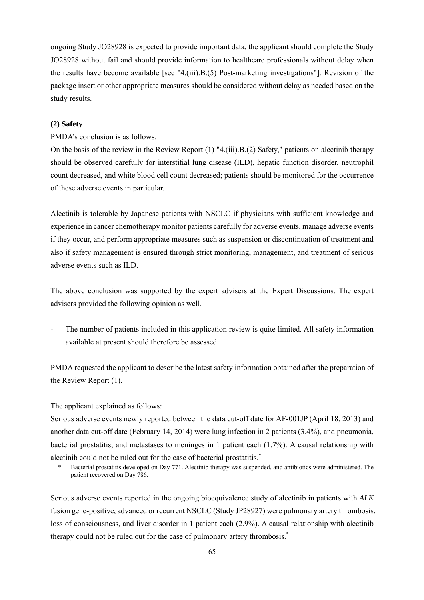ongoing Study JO28928 is expected to provide important data, the applicant should complete the Study JO28928 without fail and should provide information to healthcare professionals without delay when the results have become available [see "4.(iii).B.(5) Post-marketing investigations"]. Revision of the package insert or other appropriate measures should be considered without delay as needed based on the study results.

### **(2) Safety**

PMDA's conclusion is as follows:

On the basis of the review in the Review Report (1) "4.(iii).B.(2) Safety," patients on alectinib therapy should be observed carefully for interstitial lung disease (ILD), hepatic function disorder, neutrophil count decreased, and white blood cell count decreased; patients should be monitored for the occurrence of these adverse events in particular.

Alectinib is tolerable by Japanese patients with NSCLC if physicians with sufficient knowledge and experience in cancer chemotherapy monitor patients carefully for adverse events, manage adverse events if they occur, and perform appropriate measures such as suspension or discontinuation of treatment and also if safety management is ensured through strict monitoring, management, and treatment of serious adverse events such as ILD.

The above conclusion was supported by the expert advisers at the Expert Discussions. The expert advisers provided the following opinion as well.

The number of patients included in this application review is quite limited. All safety information available at present should therefore be assessed.

PMDA requested the applicant to describe the latest safety information obtained after the preparation of the Review Report (1).

The applicant explained as follows:

Serious adverse events newly reported between the data cut-off date for AF-001JP (April 18, 2013) and another data cut-off date (February 14, 2014) were lung infection in 2 patients (3.4%), and pneumonia, bacterial prostatitis, and metastases to meninges in 1 patient each (1.7%). A causal relationship with alectinib could not be ruled out for the case of bacterial prostatitis.\*

\* Bacterial prostatitis developed on Day 771. Alectinib therapy was suspended, and antibiotics were administered. The patient recovered on Day 786.

Serious adverse events reported in the ongoing bioequivalence study of alectinib in patients with *ALK* fusion gene-positive, advanced or recurrent NSCLC (Study JP28927) were pulmonary artery thrombosis, loss of consciousness, and liver disorder in 1 patient each (2.9%). A causal relationship with alectinib therapy could not be ruled out for the case of pulmonary artery thrombosis.\*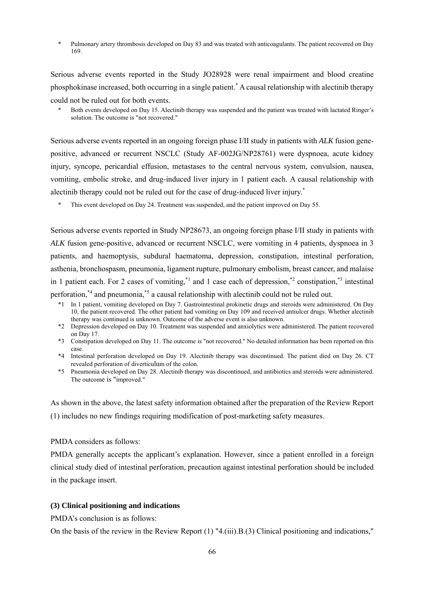Pulmonary artery thrombosis developed on Day 83 and was treated with anticoagulants. The patient recovered on Day 169.

Serious adverse events reported in the Study JO28928 were renal impairment and blood creatine phosphokinase increased, both occurring in a single patient.\* A causal relationship with alectinib therapy could not be ruled out for both events.

Serious adverse events reported in an ongoing foreign phase I/II study in patients with *ALK* fusion genepositive, advanced or recurrent NSCLC (Study AF-002JG/NP28761) were dyspnoea, acute kidney injury, syncope, pericardial effusion, metastases to the central nervous system, convulsion, nausea, vomiting, embolic stroke, and drug-induced liver injury in 1 patient each. A causal relationship with alectinib therapy could not be ruled out for the case of drug-induced liver injury.<sup>\*</sup>

\* This event developed on Day 24. Treatment was suspended, and the patient improved on Day 55.

Serious adverse events reported in Study NP28673, an ongoing foreign phase I/II study in patients with *ALK* fusion gene-positive, advanced or recurrent NSCLC, were vomiting in 4 patients, dyspnoea in 3 patients, and haemoptysis, subdural haematoma, depression, constipation, intestinal perforation, asthenia, bronchospasm, pneumonia, ligament rupture, pulmonary embolism, breast cancer, and malaise in 1 patient each. For 2 cases of vomiting,<sup>\*1</sup> and 1 case each of depression,<sup>\*2</sup> constipation,<sup>\*3</sup> intestinal perforation,\*4 and pneumonia,\*5 a causal relationship with alectinib could not be ruled out.

- \*1 In 1 patient, vomiting developed on Day 7. Gastrointestinal prokinetic drugs and steroids were administered. On Day 10, the patient recovered. The other patient had vomiting on Day 109 and received antiulcer drugs. Whether alectinib therapy was continued is unknown. Outcome of the adverse event is also unknown.
- \*2 Depression developed on Day 10. Treatment was suspended and anxiolytics were administered. The patient recovered on Day 17.
- \*3 Constipation developed on Day 11. The outcome is "not recovered." No detailed information has been reported on this case.
- \*4 Intestinal perforation developed on Day 19. Alectinib therapy was discontinued. The patient died on Day 26. CT revealed perforation of diverticulum of the colon.
- \*5 Pneumonia developed on Day 28. Alectinib therapy was discontinued, and antibiotics and steroids were administered. The outcome is "improved."

As shown in the above, the latest safety information obtained after the preparation of the Review Report (1) includes no new findings requiring modification of post-marketing safety measures.

### PMDA considers as follows:

PMDA generally accepts the applicant's explanation. However, since a patient enrolled in a foreign clinical study died of intestinal perforation, precaution against intestinal perforation should be included in the package insert.

### **(3) Clinical positioning and indications**

PMDA's conclusion is as follows:

On the basis of the review in the Review Report (1) "4.(iii).B.(3) Clinical positioning and indications,"

Both events developed on Day 15. Alectinib therapy was suspended and the patient was treated with lactated Ringer's solution. The outcome is "not recovered."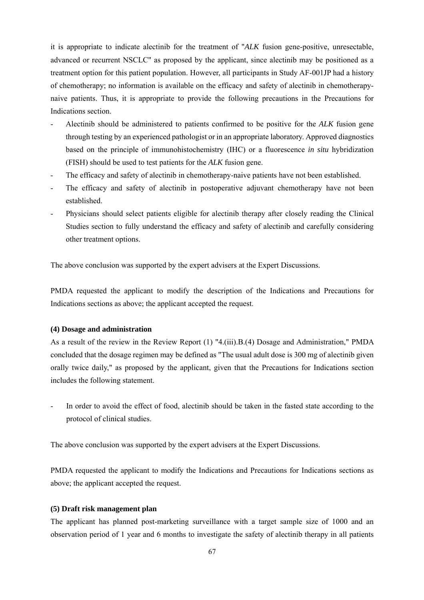it is appropriate to indicate alectinib for the treatment of "*ALK* fusion gene-positive, unresectable, advanced or recurrent NSCLC" as proposed by the applicant, since alectinib may be positioned as a treatment option for this patient population. However, all participants in Study AF-001JP had a history of chemotherapy; no information is available on the efficacy and safety of alectinib in chemotherapynaive patients. Thus, it is appropriate to provide the following precautions in the Precautions for Indications section.

- Alectinib should be administered to patients confirmed to be positive for the *ALK* fusion gene through testing by an experienced pathologist or in an appropriate laboratory. Approved diagnostics based on the principle of immunohistochemistry (IHC) or a fluorescence *in situ* hybridization (FISH) should be used to test patients for the *ALK* fusion gene.
- The efficacy and safety of alectinib in chemotherapy-naive patients have not been established.
- The efficacy and safety of alectinib in postoperative adjuvant chemotherapy have not been established.
- Physicians should select patients eligible for alectinib therapy after closely reading the Clinical Studies section to fully understand the efficacy and safety of alectinib and carefully considering other treatment options.

The above conclusion was supported by the expert advisers at the Expert Discussions.

PMDA requested the applicant to modify the description of the Indications and Precautions for Indications sections as above; the applicant accepted the request.

### **(4) Dosage and administration**

As a result of the review in the Review Report (1) "4.(iii).B.(4) Dosage and Administration," PMDA concluded that the dosage regimen may be defined as "The usual adult dose is 300 mg of alectinib given orally twice daily," as proposed by the applicant, given that the Precautions for Indications section includes the following statement.

In order to avoid the effect of food, alectinib should be taken in the fasted state according to the protocol of clinical studies.

The above conclusion was supported by the expert advisers at the Expert Discussions.

PMDA requested the applicant to modify the Indications and Precautions for Indications sections as above; the applicant accepted the request.

### **(5) Draft risk management plan**

The applicant has planned post-marketing surveillance with a target sample size of 1000 and an observation period of 1 year and 6 months to investigate the safety of alectinib therapy in all patients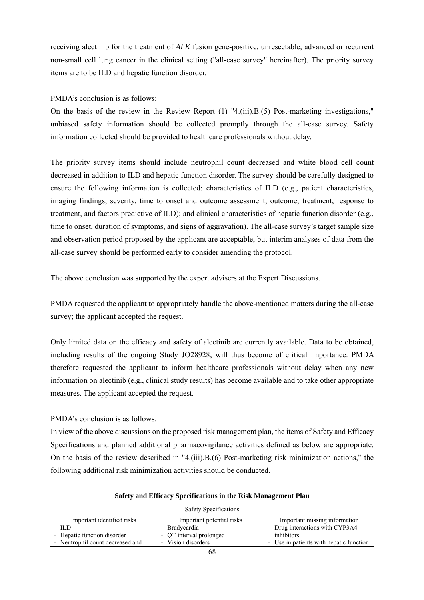receiving alectinib for the treatment of *ALK* fusion gene-positive, unresectable, advanced or recurrent non-small cell lung cancer in the clinical setting ("all-case survey" hereinafter). The priority survey items are to be ILD and hepatic function disorder.

### PMDA's conclusion is as follows:

On the basis of the review in the Review Report  $(1)$  "4.(iii).B.(5) Post-marketing investigations," unbiased safety information should be collected promptly through the all-case survey. Safety information collected should be provided to healthcare professionals without delay.

The priority survey items should include neutrophil count decreased and white blood cell count decreased in addition to ILD and hepatic function disorder. The survey should be carefully designed to ensure the following information is collected: characteristics of ILD (e.g., patient characteristics, imaging findings, severity, time to onset and outcome assessment, outcome, treatment, response to treatment, and factors predictive of ILD); and clinical characteristics of hepatic function disorder (e.g., time to onset, duration of symptoms, and signs of aggravation). The all-case survey's target sample size and observation period proposed by the applicant are acceptable, but interim analyses of data from the all-case survey should be performed early to consider amending the protocol.

The above conclusion was supported by the expert advisers at the Expert Discussions.

PMDA requested the applicant to appropriately handle the above-mentioned matters during the all-case survey; the applicant accepted the request.

Only limited data on the efficacy and safety of alectinib are currently available. Data to be obtained, including results of the ongoing Study JO28928, will thus become of critical importance. PMDA therefore requested the applicant to inform healthcare professionals without delay when any new information on alectinib (e.g., clinical study results) has become available and to take other appropriate measures. The applicant accepted the request.

PMDA's conclusion is as follows:

In view of the above discussions on the proposed risk management plan, the items of Safety and Efficacy Specifications and planned additional pharmacovigilance activities defined as below are appropriate. On the basis of the review described in "4.(iii). $B(6)$  Post-marketing risk minimization actions," the following additional risk minimization activities should be conducted.

| <b>Safety Specifications</b>     |                           |                                         |  |  |
|----------------------------------|---------------------------|-----------------------------------------|--|--|
| Important identified risks       | Important potential risks | Important missing information           |  |  |
| $-$ ILD                          | - Bradycardia             | - Drug interactions with CYP3A4         |  |  |
| - Hepatic function disorder      | - QT interval prolonged   | inhibitors                              |  |  |
| - Neutrophil count decreased and | - Vision disorders        | - Use in patients with hepatic function |  |  |

#### **Safety and Efficacy Specifications in the Risk Management Plan**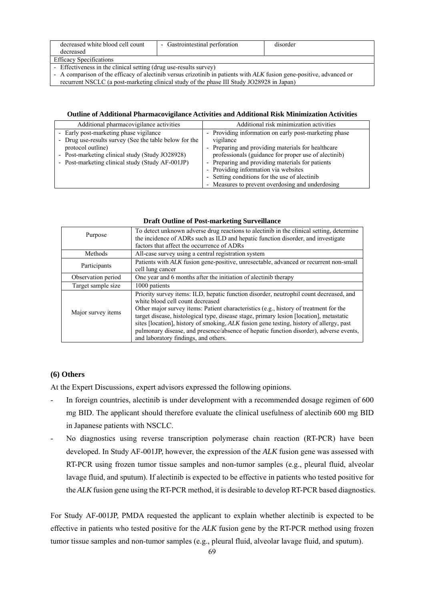| decreased white blood cell count<br>decreased                                                                        | - Gastrointestinal perforation | disorder |  |
|----------------------------------------------------------------------------------------------------------------------|--------------------------------|----------|--|
| <b>Efficacy Specifications</b>                                                                                       |                                |          |  |
| - Effectiveness in the clinical setting (drug use-results survey)                                                    |                                |          |  |
| - A comparison of the efficacy of alectinib versus crizotinib in patients with ALK fusion gene-positive, advanced or |                                |          |  |
| recurrent NSCLC (a post-marketing clinical study of the phase III Study JO28928 in Japan)                            |                                |          |  |

#### **Outline of Additional Pharmacovigilance Activities and Additional Risk Minimization Activities**

| Additional pharmacovigilance activities                | Additional risk minimization activities               |
|--------------------------------------------------------|-------------------------------------------------------|
| - Early post-marketing phase vigilance                 | - Providing information on early post-marketing phase |
| - Drug use-results survey (See the table below for the | vigilance                                             |
| protocol outline)                                      | - Preparing and providing materials for healthcare    |
| - Post-marketing clinical study (Study JO28928)        | professionals (guidance for proper use of alectinib)  |
| - Post-marketing clinical study (Study AF-001JP)       | - Preparing and providing materials for patients      |
|                                                        | - Providing information via websites                  |
|                                                        | - Setting conditions for the use of alectinib         |
|                                                        | - Measures to prevent overdosing and underdosing      |

| Purpose            | To detect unknown adverse drug reactions to alectinib in the clinical setting, determine<br>the incidence of ADRs such as ILD and hepatic function disorder, and investigate |
|--------------------|------------------------------------------------------------------------------------------------------------------------------------------------------------------------------|
|                    | factors that affect the occurrence of ADRs                                                                                                                                   |
| Methods            | All-case survey using a central registration system                                                                                                                          |
| Participants       | Patients with ALK fusion gene-positive, unresectable, advanced or recurrent non-small                                                                                        |
|                    | cell lung cancer                                                                                                                                                             |
| Observation period | One year and 6 months after the initiation of alectinib therapy                                                                                                              |
| Target sample size | 1000 patients                                                                                                                                                                |
|                    | Priority survey items: ILD, hepatic function disorder, neutrophil count decreased, and                                                                                       |
|                    | white blood cell count decreased                                                                                                                                             |
| Major survey items | Other major survey items: Patient characteristics (e.g., history of treatment for the                                                                                        |
|                    | target disease, histological type, disease stage, primary lesion [location], metastatic                                                                                      |
|                    | sites [location], history of smoking, ALK fusion gene testing, history of allergy, past                                                                                      |
|                    | pulmonary disease, and presence/absence of hepatic function disorder), adverse events,                                                                                       |
|                    | and laboratory findings, and others.                                                                                                                                         |

#### **Draft Outline of Post-marketing Surveillance**

## **(6) Others**

At the Expert Discussions, expert advisors expressed the following opinions.

- In foreign countries, alectinib is under development with a recommended dosage regimen of 600 mg BID. The applicant should therefore evaluate the clinical usefulness of alectinib 600 mg BID in Japanese patients with NSCLC.
- No diagnostics using reverse transcription polymerase chain reaction (RT-PCR) have been developed. In Study AF-001JP, however, the expression of the *ALK* fusion gene was assessed with RT-PCR using frozen tumor tissue samples and non-tumor samples (e.g., pleural fluid, alveolar lavage fluid, and sputum). If alectinib is expected to be effective in patients who tested positive for the *ALK* fusion gene using the RT-PCR method, it is desirable to develop RT-PCR based diagnostics.

For Study AF-001JP, PMDA requested the applicant to explain whether alectinib is expected to be effective in patients who tested positive for the *ALK* fusion gene by the RT-PCR method using frozen tumor tissue samples and non-tumor samples (e.g., pleural fluid, alveolar lavage fluid, and sputum).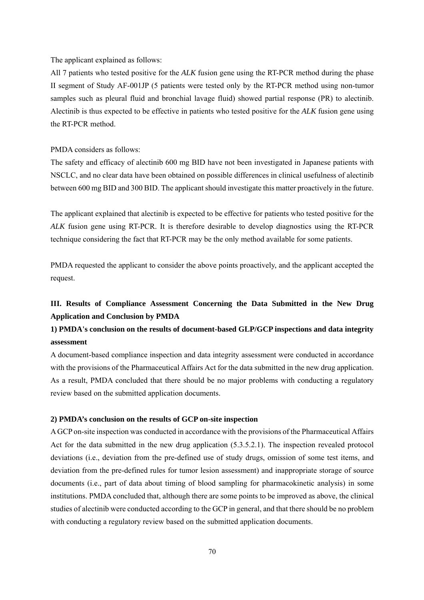The applicant explained as follows:

All 7 patients who tested positive for the *ALK* fusion gene using the RT-PCR method during the phase II segment of Study AF-001JP (5 patients were tested only by the RT-PCR method using non-tumor samples such as pleural fluid and bronchial lavage fluid) showed partial response (PR) to alectinib. Alectinib is thus expected to be effective in patients who tested positive for the *ALK* fusion gene using the RT-PCR method.

#### PMDA considers as follows:

The safety and efficacy of alectinib 600 mg BID have not been investigated in Japanese patients with NSCLC, and no clear data have been obtained on possible differences in clinical usefulness of alectinib between 600 mg BID and 300 BID. The applicant should investigate this matter proactively in the future.

The applicant explained that alectinib is expected to be effective for patients who tested positive for the *ALK* fusion gene using RT-PCR. It is therefore desirable to develop diagnostics using the RT-PCR technique considering the fact that RT-PCR may be the only method available for some patients.

PMDA requested the applicant to consider the above points proactively, and the applicant accepted the request.

# **III. Results of Compliance Assessment Concerning the Data Submitted in the New Drug Application and Conclusion by PMDA**

# **1) PMDA's conclusion on the results of document-based GLP/GCP inspections and data integrity assessment**

A document-based compliance inspection and data integrity assessment were conducted in accordance with the provisions of the Pharmaceutical Affairs Act for the data submitted in the new drug application. As a result, PMDA concluded that there should be no major problems with conducting a regulatory review based on the submitted application documents.

### **2) PMDA's conclusion on the results of GCP on-site inspection**

A GCP on-site inspection was conducted in accordance with the provisions of the Pharmaceutical Affairs Act for the data submitted in the new drug application (5.3.5.2.1). The inspection revealed protocol deviations (i.e., deviation from the pre-defined use of study drugs, omission of some test items, and deviation from the pre-defined rules for tumor lesion assessment) and inappropriate storage of source documents (i.e., part of data about timing of blood sampling for pharmacokinetic analysis) in some institutions. PMDA concluded that, although there are some points to be improved as above, the clinical studies of alectinib were conducted according to the GCP in general, and that there should be no problem with conducting a regulatory review based on the submitted application documents.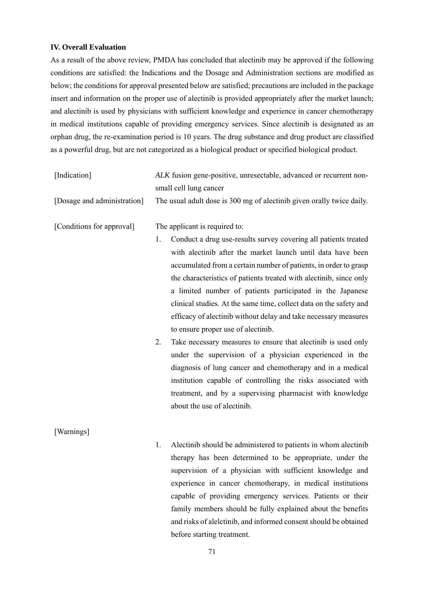## **IV. Overall Evaluation**

As a result of the above review, PMDA has concluded that alectinib may be approved if the following conditions are satisfied: the Indications and the Dosage and Administration sections are modified as below; the conditions for approval presented below are satisfied; precautions are included in the package insert and information on the proper use of alectinib is provided appropriately after the market launch; and alectinib is used by physicians with sufficient knowledge and experience in cancer chemotherapy in medical institutions capable of providing emergency services. Since alectinib is designated as an orphan drug, the re-examination period is 10 years. The drug substance and drug product are classified as a powerful drug, but are not categorized as a biological product or specified biological product.

| [Indication]                | ALK fusion gene-positive, unresectable, advanced or recurrent non-<br>small cell lung cancer                                                                                                                                                                                                                                                                                                                                                                                                                                                                                                                                                                                                                                                                                                                                                                                                                            |  |  |
|-----------------------------|-------------------------------------------------------------------------------------------------------------------------------------------------------------------------------------------------------------------------------------------------------------------------------------------------------------------------------------------------------------------------------------------------------------------------------------------------------------------------------------------------------------------------------------------------------------------------------------------------------------------------------------------------------------------------------------------------------------------------------------------------------------------------------------------------------------------------------------------------------------------------------------------------------------------------|--|--|
| [Dosage and administration] | The usual adult dose is 300 mg of alectinib given orally twice daily.                                                                                                                                                                                                                                                                                                                                                                                                                                                                                                                                                                                                                                                                                                                                                                                                                                                   |  |  |
| [Conditions for approval]   | The applicant is required to:<br>Conduct a drug use-results survey covering all patients treated<br>1.<br>with alectinib after the market launch until data have been<br>accumulated from a certain number of patients, in order to grasp<br>the characteristics of patients treated with alectinib, since only<br>a limited number of patients participated in the Japanese<br>clinical studies. At the same time, collect data on the safety and<br>efficacy of alectinib without delay and take necessary measures<br>to ensure proper use of alectinib.<br>2.<br>Take necessary measures to ensure that alectinib is used only<br>under the supervision of a physician experienced in the<br>diagnosis of lung cancer and chemotherapy and in a medical<br>institution capable of controlling the risks associated with<br>treatment, and by a supervising pharmacist with knowledge<br>about the use of alectinib. |  |  |
| [Warnings]                  | Alectinib should be administered to patients in whom alectinib<br>1.<br>therapy has been determined to be appropriate under the                                                                                                                                                                                                                                                                                                                                                                                                                                                                                                                                                                                                                                                                                                                                                                                         |  |  |

therapy has been determined to be appropriate, under the supervision of a physician with sufficient knowledge and experience in cancer chemotherapy, in medical institutions capable of providing emergency services. Patients or their family members should be fully explained about the benefits and risks of alelctinib, and informed consent should be obtained before starting treatment.